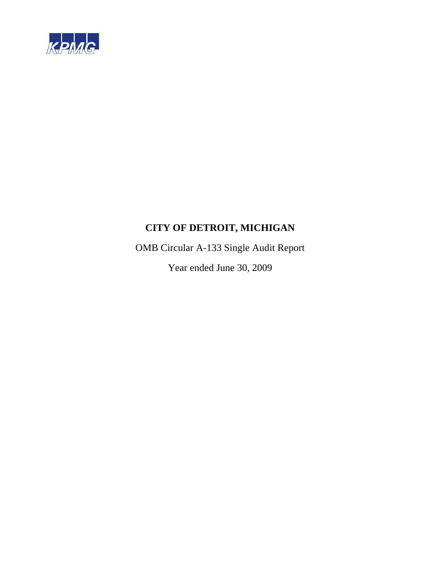

OMB Circular A-133 Single Audit Report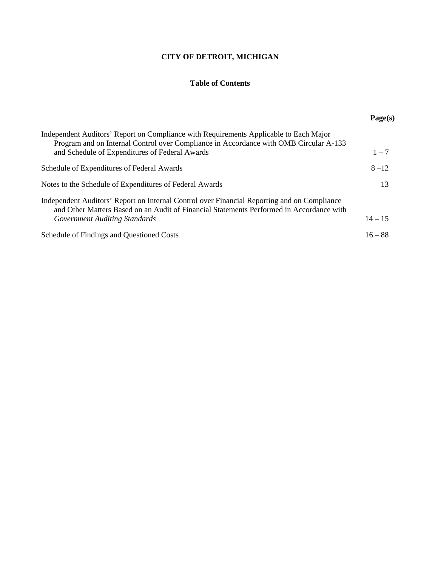# **Table of Contents**

| Independent Auditors' Report on Compliance with Requirements Applicable to Each Major<br>Program and on Internal Control over Compliance in Accordance with OMB Circular A-133<br>and Schedule of Expenditures of Federal Awards | $1 - 7$   |
|----------------------------------------------------------------------------------------------------------------------------------------------------------------------------------------------------------------------------------|-----------|
| Schedule of Expenditures of Federal Awards                                                                                                                                                                                       | $8 - 12$  |
| Notes to the Schedule of Expenditures of Federal Awards                                                                                                                                                                          | 13        |
| Independent Auditors' Report on Internal Control over Financial Reporting and on Compliance<br>and Other Matters Based on an Audit of Financial Statements Performed in Accordance with<br>Government Auditing Standards         | $14 - 15$ |
| Schedule of Findings and Questioned Costs                                                                                                                                                                                        | $16 - 88$ |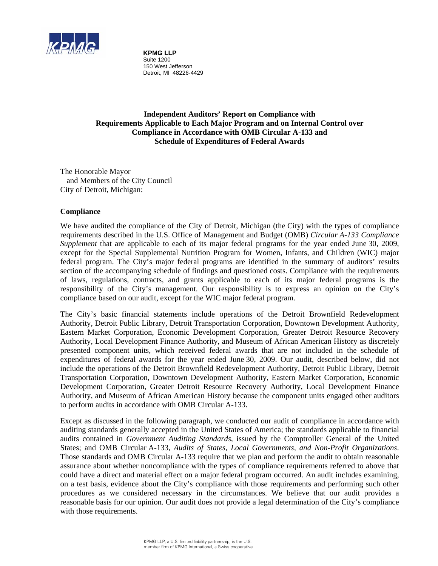

**KPMG LLP** Suite 1200 150 West Jefferson Detroit, MI 48226-4429

**Independent Auditors' Report on Compliance with Requirements Applicable to Each Major Program and on Internal Control over Compliance in Accordance with OMB Circular A-133 and Schedule of Expenditures of Federal Awards** 

The Honorable Mayor and Members of the City Council City of Detroit, Michigan:

## **Compliance**

We have audited the compliance of the City of Detroit, Michigan (the City) with the types of compliance requirements described in the U.S. Office of Management and Budget (OMB) *Circular A-133 Compliance Supplement* that are applicable to each of its major federal programs for the year ended June 30, 2009, except for the Special Supplemental Nutrition Program for Women, Infants, and Children (WIC) major federal program. The City's major federal programs are identified in the summary of auditors' results section of the accompanying schedule of findings and questioned costs. Compliance with the requirements of laws, regulations, contracts, and grants applicable to each of its major federal programs is the responsibility of the City's management. Our responsibility is to express an opinion on the City's compliance based on our audit, except for the WIC major federal program.

The City's basic financial statements include operations of the Detroit Brownfield Redevelopment Authority, Detroit Public Library, Detroit Transportation Corporation, Downtown Development Authority, Eastern Market Corporation, Economic Development Corporation, Greater Detroit Resource Recovery Authority, Local Development Finance Authority, and Museum of African American History as discretely presented component units, which received federal awards that are not included in the schedule of expenditures of federal awards for the year ended June 30, 2009. Our audit, described below, did not include the operations of the Detroit Brownfield Redevelopment Authority, Detroit Public Library, Detroit Transportation Corporation, Downtown Development Authority, Eastern Market Corporation, Economic Development Corporation, Greater Detroit Resource Recovery Authority, Local Development Finance Authority, and Museum of African American History because the component units engaged other auditors to perform audits in accordance with OMB Circular A-133.

Except as discussed in the following paragraph, we conducted our audit of compliance in accordance with auditing standards generally accepted in the United States of America; the standards applicable to financial audits contained in *Government Auditing Standards*, issued by the Comptroller General of the United States; and OMB Circular A-133, *Audits of States, Local Governments, and Non-Profit Organizations*. Those standards and OMB Circular A-133 require that we plan and perform the audit to obtain reasonable assurance about whether noncompliance with the types of compliance requirements referred to above that could have a direct and material effect on a major federal program occurred. An audit includes examining, on a test basis, evidence about the City's compliance with those requirements and performing such other procedures as we considered necessary in the circumstances. We believe that our audit provides a reasonable basis for our opinion. Our audit does not provide a legal determination of the City's compliance with those requirements.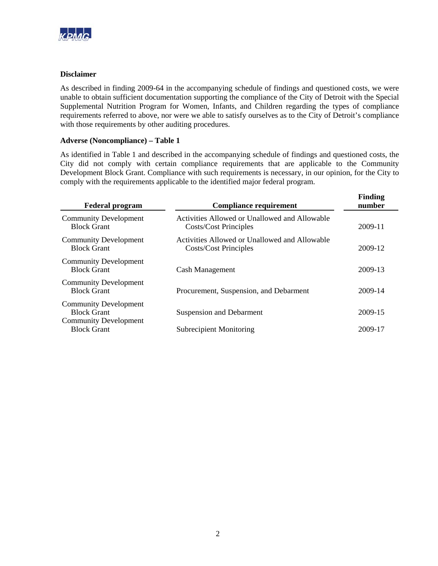

## **Disclaimer**

As described in finding 2009-64 in the accompanying schedule of findings and questioned costs, we were unable to obtain sufficient documentation supporting the compliance of the City of Detroit with the Special Supplemental Nutrition Program for Women, Infants, and Children regarding the types of compliance requirements referred to above, nor were we able to satisfy ourselves as to the City of Detroit's compliance with those requirements by other auditing procedures.

# **Adverse (Noncompliance) – Table 1**

As identified in Table 1 and described in the accompanying schedule of findings and questioned costs, the City did not comply with certain compliance requirements that are applicable to the Community Development Block Grant. Compliance with such requirements is necessary, in our opinion, for the City to comply with the requirements applicable to the identified major federal program.

| <b>Federal program</b>                                                             | <b>Compliance requirement</b>                                          | <b>Finding</b><br>number |
|------------------------------------------------------------------------------------|------------------------------------------------------------------------|--------------------------|
| <b>Community Development</b><br><b>Block Grant</b>                                 | Activities Allowed or Unallowed and Allowable<br>Costs/Cost Principles | 2009-11                  |
| <b>Community Development</b><br><b>Block Grant</b>                                 | Activities Allowed or Unallowed and Allowable<br>Costs/Cost Principles | 2009-12                  |
| <b>Community Development</b><br><b>Block Grant</b>                                 | Cash Management                                                        | 2009-13                  |
| <b>Community Development</b><br><b>Block Grant</b>                                 | Procurement, Suspension, and Debarment                                 | 2009-14                  |
| <b>Community Development</b><br><b>Block Grant</b><br><b>Community Development</b> | Suspension and Debarment                                               | 2009-15                  |
| <b>Block Grant</b>                                                                 | <b>Subrecipient Monitoring</b>                                         | 2009-17                  |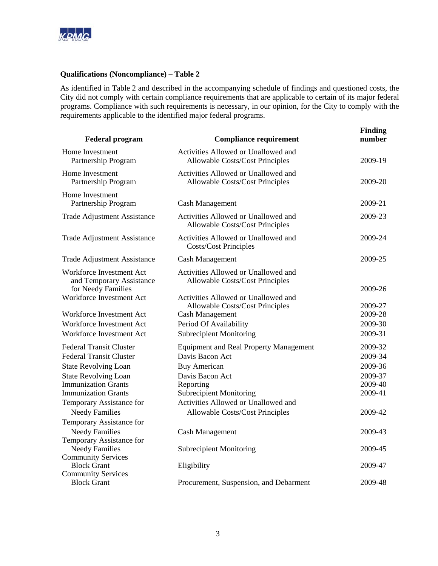

# **Qualifications (Noncompliance) – Table 2**

As identified in Table 2 and described in the accompanying schedule of findings and questioned costs, the City did not comply with certain compliance requirements that are applicable to certain of its major federal programs. Compliance with such requirements is necessary, in our opinion, for the City to comply with the requirements applicable to the identified major federal programs.

| <b>Federal program</b>                                                                                                                                                                     | <b>Compliance requirement</b>                                                                                                                             | <b>Finding</b><br>number                                       |
|--------------------------------------------------------------------------------------------------------------------------------------------------------------------------------------------|-----------------------------------------------------------------------------------------------------------------------------------------------------------|----------------------------------------------------------------|
| Home Investment<br>Partnership Program                                                                                                                                                     | Activities Allowed or Unallowed and<br><b>Allowable Costs/Cost Principles</b>                                                                             | 2009-19                                                        |
| Home Investment<br>Partnership Program                                                                                                                                                     | Activities Allowed or Unallowed and<br>Allowable Costs/Cost Principles                                                                                    | 2009-20                                                        |
| Home Investment<br>Partnership Program                                                                                                                                                     | <b>Cash Management</b>                                                                                                                                    | 2009-21                                                        |
| <b>Trade Adjustment Assistance</b>                                                                                                                                                         | Activities Allowed or Unallowed and<br>Allowable Costs/Cost Principles                                                                                    | 2009-23                                                        |
| <b>Trade Adjustment Assistance</b>                                                                                                                                                         | Activities Allowed or Unallowed and<br><b>Costs/Cost Principles</b>                                                                                       | 2009-24                                                        |
| <b>Trade Adjustment Assistance</b>                                                                                                                                                         | <b>Cash Management</b>                                                                                                                                    | 2009-25                                                        |
| Workforce Investment Act<br>and Temporary Assistance<br>for Needy Families                                                                                                                 | Activities Allowed or Unallowed and<br>Allowable Costs/Cost Principles                                                                                    | 2009-26                                                        |
| Workforce Investment Act<br>Workforce Investment Act<br>Workforce Investment Act                                                                                                           | Activities Allowed or Unallowed and<br>Allowable Costs/Cost Principles<br><b>Cash Management</b><br>Period Of Availability                                | 2009-27<br>2009-28<br>2009-30                                  |
| Workforce Investment Act                                                                                                                                                                   | <b>Subrecipient Monitoring</b>                                                                                                                            | 2009-31                                                        |
| <b>Federal Transit Cluster</b><br><b>Federal Transit Cluster</b><br><b>State Revolving Loan</b><br><b>State Revolving Loan</b><br><b>Immunization Grants</b><br><b>Immunization Grants</b> | <b>Equipment and Real Property Management</b><br>Davis Bacon Act<br><b>Buy American</b><br>Davis Bacon Act<br>Reporting<br><b>Subrecipient Monitoring</b> | 2009-32<br>2009-34<br>2009-36<br>2009-37<br>2009-40<br>2009-41 |
| Temporary Assistance for<br><b>Needy Families</b>                                                                                                                                          | Activities Allowed or Unallowed and<br>Allowable Costs/Cost Principles                                                                                    | 2009-42                                                        |
| Temporary Assistance for<br><b>Needy Families</b><br>Temporary Assistance for                                                                                                              | <b>Cash Management</b>                                                                                                                                    | 2009-43                                                        |
| <b>Needy Families</b><br><b>Community Services</b>                                                                                                                                         | <b>Subrecipient Monitoring</b>                                                                                                                            | 2009-45                                                        |
| <b>Block Grant</b><br><b>Community Services</b><br><b>Block Grant</b>                                                                                                                      | Eligibility<br>Procurement, Suspension, and Debarment                                                                                                     | 2009-47<br>2009-48                                             |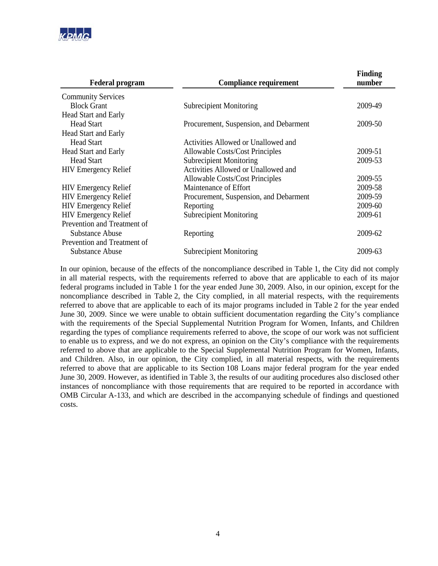

| <b>Compliance requirement</b><br><b>Federal program</b> |                                        | Finding<br>number |
|---------------------------------------------------------|----------------------------------------|-------------------|
| <b>Community Services</b>                               |                                        |                   |
| <b>Block Grant</b>                                      | <b>Subrecipient Monitoring</b>         | 2009-49           |
| <b>Head Start and Early</b>                             |                                        |                   |
| <b>Head Start</b>                                       | Procurement, Suspension, and Debarment | 2009-50           |
| Head Start and Early                                    |                                        |                   |
| <b>Head Start</b>                                       | Activities Allowed or Unallowed and    |                   |
| <b>Head Start and Early</b>                             | <b>Allowable Costs/Cost Principles</b> | 2009-51           |
| <b>Head Start</b>                                       | <b>Subrecipient Monitoring</b>         | 2009-53           |
| <b>HIV Emergency Relief</b>                             | Activities Allowed or Unallowed and    |                   |
|                                                         | <b>Allowable Costs/Cost Principles</b> | 2009-55           |
| <b>HIV Emergency Relief</b>                             | Maintenance of Effort                  | 2009-58           |
| <b>HIV Emergency Relief</b>                             | Procurement, Suspension, and Debarment | 2009-59           |
| <b>HIV Emergency Relief</b>                             | Reporting                              | 2009-60           |
| <b>HIV Emergency Relief</b>                             | <b>Subrecipient Monitoring</b>         | 2009-61           |
| Prevention and Treatment of                             |                                        |                   |
| Substance Abuse                                         | Reporting                              | 2009-62           |
| Prevention and Treatment of                             |                                        |                   |
| Substance Abuse                                         | <b>Subrecipient Monitoring</b>         | 2009-63           |

In our opinion, because of the effects of the noncompliance described in Table 1, the City did not comply in all material respects, with the requirements referred to above that are applicable to each of its major federal programs included in Table 1 for the year ended June 30, 2009. Also, in our opinion, except for the noncompliance described in Table 2, the City complied, in all material respects, with the requirements referred to above that are applicable to each of its major programs included in Table 2 for the year ended June 30, 2009. Since we were unable to obtain sufficient documentation regarding the City's compliance with the requirements of the Special Supplemental Nutrition Program for Women, Infants, and Children regarding the types of compliance requirements referred to above, the scope of our work was not sufficient to enable us to express, and we do not express, an opinion on the City's compliance with the requirements referred to above that are applicable to the Special Supplemental Nutrition Program for Women, Infants, and Children. Also, in our opinion, the City complied, in all material respects, with the requirements referred to above that are applicable to its Section 108 Loans major federal program for the year ended June 30, 2009. However, as identified in Table 3, the results of our auditing procedures also disclosed other instances of noncompliance with those requirements that are required to be reported in accordance with OMB Circular A-133, and which are described in the accompanying schedule of findings and questioned costs.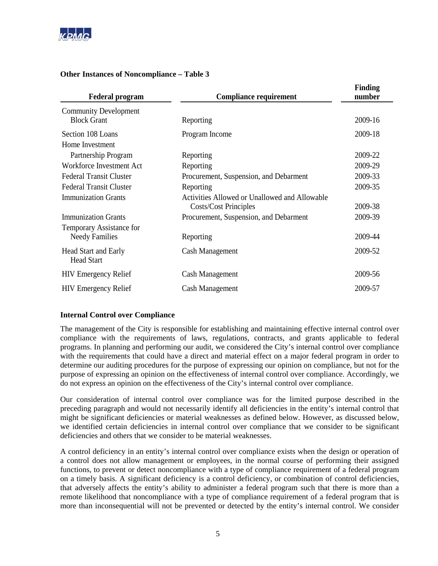

# **Other Instances of Noncompliance – Table 3**

| <b>Federal program</b>         | <b>Compliance requirement</b>                 | <b>Finding</b><br>number |
|--------------------------------|-----------------------------------------------|--------------------------|
| <b>Community Development</b>   |                                               |                          |
| <b>Block Grant</b>             | Reporting                                     | 2009-16                  |
| Section 108 Loans              | Program Income                                | 2009-18                  |
| Home Investment                |                                               |                          |
| Partnership Program            | Reporting                                     | 2009-22                  |
| Workforce Investment Act       | Reporting                                     | 2009-29                  |
| <b>Federal Transit Cluster</b> | Procurement, Suspension, and Debarment        | 2009-33                  |
| <b>Federal Transit Cluster</b> | Reporting                                     | 2009-35                  |
| <b>Immunization Grants</b>     | Activities Allowed or Unallowed and Allowable |                          |
|                                | <b>Costs/Cost Principles</b>                  | 2009-38                  |
| <b>Immunization Grants</b>     | Procurement, Suspension, and Debarment        | 2009-39                  |
| Temporary Assistance for       |                                               |                          |
| <b>Needy Families</b>          | Reporting                                     | 2009-44                  |
| Head Start and Early           | Cash Management                               | 2009-52                  |
| <b>Head Start</b>              |                                               |                          |
| <b>HIV Emergency Relief</b>    | Cash Management                               | 2009-56                  |
| <b>HIV Emergency Relief</b>    | Cash Management                               | 2009-57                  |

# **Internal Control over Compliance**

The management of the City is responsible for establishing and maintaining effective internal control over compliance with the requirements of laws, regulations, contracts, and grants applicable to federal programs. In planning and performing our audit, we considered the City's internal control over compliance with the requirements that could have a direct and material effect on a major federal program in order to determine our auditing procedures for the purpose of expressing our opinion on compliance, but not for the purpose of expressing an opinion on the effectiveness of internal control over compliance. Accordingly, we do not express an opinion on the effectiveness of the City's internal control over compliance.

Our consideration of internal control over compliance was for the limited purpose described in the preceding paragraph and would not necessarily identify all deficiencies in the entity's internal control that might be significant deficiencies or material weaknesses as defined below. However, as discussed below, we identified certain deficiencies in internal control over compliance that we consider to be significant deficiencies and others that we consider to be material weaknesses.

A control deficiency in an entity's internal control over compliance exists when the design or operation of a control does not allow management or employees, in the normal course of performing their assigned functions, to prevent or detect noncompliance with a type of compliance requirement of a federal program on a timely basis. A significant deficiency is a control deficiency, or combination of control deficiencies, that adversely affects the entity's ability to administer a federal program such that there is more than a remote likelihood that noncompliance with a type of compliance requirement of a federal program that is more than inconsequential will not be prevented or detected by the entity's internal control. We consider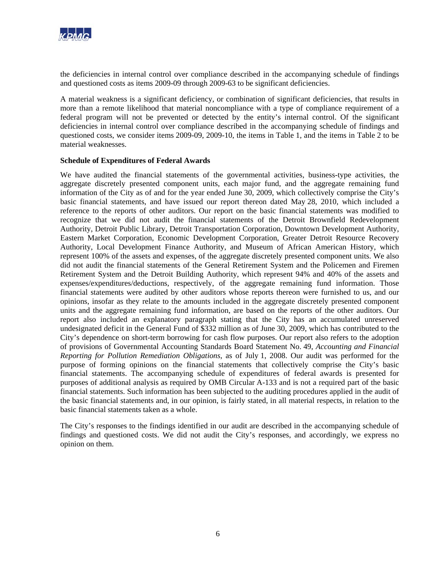

the deficiencies in internal control over compliance described in the accompanying schedule of findings and questioned costs as items 2009-09 through 2009-63 to be significant deficiencies.

A material weakness is a significant deficiency, or combination of significant deficiencies, that results in more than a remote likelihood that material noncompliance with a type of compliance requirement of a federal program will not be prevented or detected by the entity's internal control. Of the significant deficiencies in internal control over compliance described in the accompanying schedule of findings and questioned costs, we consider items 2009-09, 2009-10, the items in Table 1, and the items in Table 2 to be material weaknesses.

## **Schedule of Expenditures of Federal Awards**

We have audited the financial statements of the governmental activities, business-type activities, the aggregate discretely presented component units, each major fund, and the aggregate remaining fund information of the City as of and for the year ended June 30, 2009, which collectively comprise the City's basic financial statements, and have issued our report thereon dated May 28, 2010, which included a reference to the reports of other auditors. Our report on the basic financial statements was modified to recognize that we did not audit the financial statements of the Detroit Brownfield Redevelopment Authority, Detroit Public Library, Detroit Transportation Corporation, Downtown Development Authority, Eastern Market Corporation, Economic Development Corporation, Greater Detroit Resource Recovery Authority, Local Development Finance Authority, and Museum of African American History, which represent 100% of the assets and expenses, of the aggregate discretely presented component units. We also did not audit the financial statements of the General Retirement System and the Policemen and Firemen Retirement System and the Detroit Building Authority, which represent 94% and 40% of the assets and expenses/expenditures/deductions, respectively, of the aggregate remaining fund information. Those financial statements were audited by other auditors whose reports thereon were furnished to us, and our opinions, insofar as they relate to the amounts included in the aggregate discretely presented component units and the aggregate remaining fund information, are based on the reports of the other auditors. Our report also included an explanatory paragraph stating that the City has an accumulated unreserved undesignated deficit in the General Fund of \$332 million as of June 30, 2009, which has contributed to the City's dependence on short-term borrowing for cash flow purposes. Our report also refers to the adoption of provisions of Governmental Accounting Standards Board Statement No. 49, *Accounting and Financial Reporting for Pollution Remediation Obligations*, as of July 1, 2008. Our audit was performed for the purpose of forming opinions on the financial statements that collectively comprise the City's basic financial statements. The accompanying schedule of expenditures of federal awards is presented for purposes of additional analysis as required by OMB Circular A-133 and is not a required part of the basic financial statements. Such information has been subjected to the auditing procedures applied in the audit of the basic financial statements and, in our opinion, is fairly stated, in all material respects, in relation to the basic financial statements taken as a whole.

The City's responses to the findings identified in our audit are described in the accompanying schedule of findings and questioned costs. We did not audit the City's responses, and accordingly, we express no opinion on them.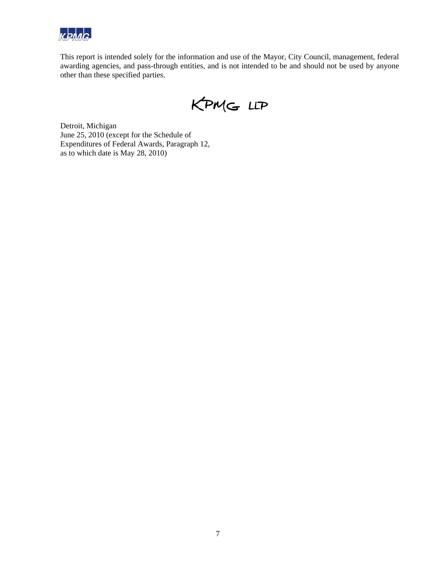

This report is intended solely for the information and use of the Mayor, City Council, management, federal awarding agencies, and pass-through entities, and is not intended to be and should not be used by anyone other than these specified parties.

KPMG LLP

Detroit, Michigan June 25, 2010 (except for the Schedule of Expenditures of Federal Awards, Paragraph 12, as to which date is May 28, 2010)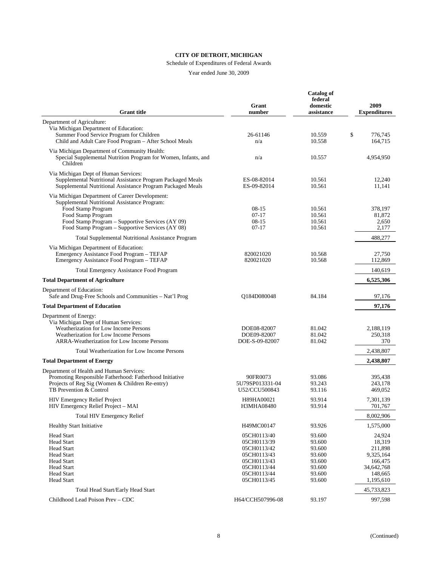Schedule of Expenditures of Federal Awards

| <b>Grant</b> title                                                                                                                                                                                                                                 | Grant<br>number                                                                                                      | <b>Catalog of</b><br>federal<br>domestic<br>assistance                       | 2009<br><b>Expenditures</b>                                                               |
|----------------------------------------------------------------------------------------------------------------------------------------------------------------------------------------------------------------------------------------------------|----------------------------------------------------------------------------------------------------------------------|------------------------------------------------------------------------------|-------------------------------------------------------------------------------------------|
| Department of Agriculture:                                                                                                                                                                                                                         |                                                                                                                      |                                                                              |                                                                                           |
| Via Michigan Department of Education:<br>Summer Food Service Program for Children<br>Child and Adult Care Food Program - After School Meals                                                                                                        | 26-61146<br>n/a                                                                                                      | 10.559<br>10.558                                                             | \$<br>776,745<br>164,715                                                                  |
| Via Michigan Department of Community Health:<br>Special Supplemental Nutrition Program for Women, Infants, and<br>Children                                                                                                                         | n/a                                                                                                                  | 10.557                                                                       | 4,954,950                                                                                 |
| Via Michigan Dept of Human Services:<br>Supplemental Nutritional Assistance Program Packaged Meals<br>Supplemental Nutritional Assistance Program Packaged Meals                                                                                   | ES-08-82014<br>ES-09-82014                                                                                           | 10.561<br>10.561                                                             | 12,240<br>11.141                                                                          |
| Via Michigan Department of Career Development:<br>Supplemental Nutritional Assistance Program:<br>Food Stamp Program<br>Food Stamp Program<br>Food Stamp Program - Supportive Services (AY 09)<br>Food Stamp Program - Supportive Services (AY 08) | $08-15$<br>$07-17$<br>08-15<br>$07-17$                                                                               | 10.561<br>10.561<br>10.561<br>10.561                                         | 378,197<br>81,872<br>2,650<br>2,177                                                       |
| <b>Total Supplemental Nutritional Assistance Program</b>                                                                                                                                                                                           |                                                                                                                      |                                                                              | 488,277                                                                                   |
| Via Michigan Department of Education:<br>Emergency Assistance Food Program - TEFAP<br>Emergency Assistance Food Program - TEFAP                                                                                                                    | 820021020<br>820021020                                                                                               | 10.568<br>10.568                                                             | 27.750<br>112,869                                                                         |
| <b>Total Emergency Assistance Food Program</b>                                                                                                                                                                                                     |                                                                                                                      |                                                                              | 140,619                                                                                   |
| <b>Total Department of Agriculture</b>                                                                                                                                                                                                             |                                                                                                                      |                                                                              | 6,525,306                                                                                 |
| Department of Education:<br>Safe and Drug-Free Schools and Communities - Nat'l Prog                                                                                                                                                                | Q184D080048                                                                                                          | 84.184                                                                       | 97,176                                                                                    |
| <b>Total Department of Education</b>                                                                                                                                                                                                               |                                                                                                                      |                                                                              | 97,176                                                                                    |
| Department of Energy:<br>Via Michigan Dept of Human Services:<br>Weatherization for Low Income Persons<br>Weatherization for Low Income Persons<br><b>ARRA-Weatherization for Low Income Persons</b>                                               | DOE08-82007<br>DOE09-82007<br>DOE-S-09-82007                                                                         | 81.042<br>81.042<br>81.042                                                   | 2,188,119<br>250,318<br>370                                                               |
| <b>Total Weatherization for Low Income Persons</b>                                                                                                                                                                                                 |                                                                                                                      |                                                                              | 2,438,807                                                                                 |
| <b>Total Department of Energy</b>                                                                                                                                                                                                                  |                                                                                                                      |                                                                              | 2,438,807                                                                                 |
| Department of Health and Human Services:<br>Promoting Responsible Fatherhood: Fatherhood Initiative<br>Projects of Reg Sig (Women & Children Re-entry)<br>TB Prevention & Control                                                                  | 90FR0073<br>5U79SP013331-04<br>U52/CCU500843                                                                         | 93.086<br>93.243<br>93.116                                                   | 395,438<br>243,178<br>469,052                                                             |
| <b>HIV Emergency Relief Project</b><br>HIV Emergency Relief Project – MAI                                                                                                                                                                          | H89HA00021<br>H3MHA08480                                                                                             | 93.914<br>93.914                                                             | 7,301,139<br>701,767                                                                      |
| Total HIV Emergency Relief                                                                                                                                                                                                                         |                                                                                                                      |                                                                              | 8,002,906                                                                                 |
| <b>Healthy Start Initiative</b>                                                                                                                                                                                                                    | H49MC00147                                                                                                           | 93.926                                                                       | 1,575,000                                                                                 |
| <b>Head Start</b><br><b>Head Start</b><br><b>Head Start</b><br><b>Head Start</b><br><b>Head Start</b><br><b>Head Start</b><br><b>Head Start</b><br><b>Head Start</b>                                                                               | 05CH0113/40<br>05CH0113/39<br>05CH0113/42<br>05CH0113/43<br>05CH0113/43<br>05CH0113/44<br>05CH0113/44<br>05CH0113/45 | 93.600<br>93.600<br>93.600<br>93.600<br>93.600<br>93.600<br>93.600<br>93.600 | 24,924<br>18,319<br>211,898<br>9,325,164<br>166,475<br>34,642,768<br>148,665<br>1,195,610 |
| Total Head Start/Early Head Start                                                                                                                                                                                                                  |                                                                                                                      |                                                                              | 45,733,823                                                                                |
| Childhood Lead Poison Prev - CDC                                                                                                                                                                                                                   | H64/CCH507996-08                                                                                                     | 93.197                                                                       | 997,598                                                                                   |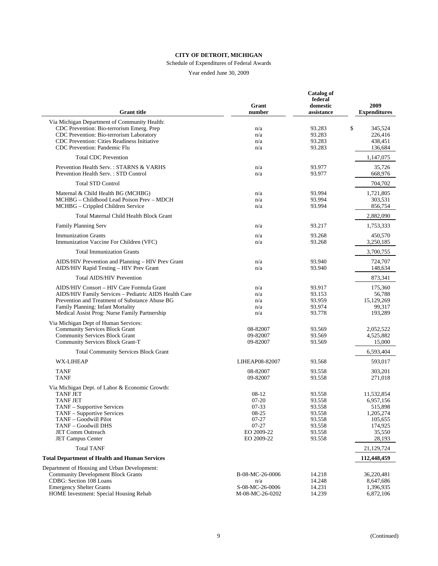Schedule of Expenditures of Federal Awards

| <b>Grant</b> title                                                                                                                                                                                                                                | Grant<br>number                                                                                | <b>Catalog of</b><br>federal<br>domestic<br>assistance                       | 2009<br><b>Expenditures</b>                                                               |
|---------------------------------------------------------------------------------------------------------------------------------------------------------------------------------------------------------------------------------------------------|------------------------------------------------------------------------------------------------|------------------------------------------------------------------------------|-------------------------------------------------------------------------------------------|
| Via Michigan Department of Community Health:<br>CDC Prevention: Bio-terrorism Emerg. Prep<br>CDC Prevention: Bio-terrorism Laboratory<br>CDC Prevention: Cities Readiness Initiative<br>CDC Prevention: Pandemic Flu                              | n/a<br>n/a<br>n/a<br>n/a                                                                       | 93.283<br>93.283<br>93.283<br>93.283                                         | \$<br>345,524<br>226,416<br>438,451<br>136,684                                            |
| <b>Total CDC Prevention</b>                                                                                                                                                                                                                       |                                                                                                |                                                                              | 1,147,075                                                                                 |
| Prevention Health Serv.: STARNS & VARHS<br>Prevention Health Serv.: STD Control                                                                                                                                                                   | n/a<br>n/a                                                                                     | 93.977<br>93.977                                                             | 35,726<br>668,976                                                                         |
| <b>Total STD Control</b>                                                                                                                                                                                                                          |                                                                                                |                                                                              | 704,702                                                                                   |
| Maternal & Child Health BG (MCHBG)<br>MCHBG - Childhood Lead Poison Prev - MDCH<br>MCHBG - Crippled Children Service                                                                                                                              | n/a<br>n/a<br>n/a                                                                              | 93.994<br>93.994<br>93.994                                                   | 1,721,805<br>303,531<br>856,754                                                           |
| Total Maternal Child Health Block Grant                                                                                                                                                                                                           |                                                                                                |                                                                              | 2,882,090                                                                                 |
| Family Planning Serv                                                                                                                                                                                                                              | n/a                                                                                            | 93.217                                                                       | 1,753,333                                                                                 |
| <b>Immunization Grants</b><br>Immunization Vaccine For Children (VFC)                                                                                                                                                                             | n/a<br>n/a                                                                                     | 93.268<br>93.268                                                             | 450,570<br>3,250,185                                                                      |
| <b>Total Immunization Grants</b>                                                                                                                                                                                                                  |                                                                                                |                                                                              | 3,700,755                                                                                 |
| AIDS/HIV Prevention and Planning - HIV Prev Grant<br>AIDS/HIV Rapid Testing - HIV Prev Grant                                                                                                                                                      | n/a<br>n/a                                                                                     | 93.940<br>93.940                                                             | 724,707<br>148,634                                                                        |
| <b>Total AIDS/HIV Prevention</b>                                                                                                                                                                                                                  |                                                                                                |                                                                              | 873,341                                                                                   |
| AIDS/HIV Consort - HIV Care Formula Grant<br>AIDS/HIV Family Services - Pediatric AIDS Health Care<br>Prevention and Treatment of Substance Abuse BG<br>Family Planning: Infant Mortality<br>Medical Assist Prog: Nurse Family Partnership        | n/a<br>n/a<br>n/a<br>n/a<br>n/a                                                                | 93.917<br>93.153<br>93.959<br>93.974<br>93.778                               | 175,360<br>56,788<br>15,129,269<br>99,317<br>193,289                                      |
| Via Michigan Dept of Human Services:<br><b>Community Services Block Grant</b><br><b>Community Services Block Grant</b><br><b>Community Services Block Grant-T</b>                                                                                 | 08-82007<br>09-82007<br>09-82007                                                               | 93.569<br>93.569<br>93.569                                                   | 2,052,522<br>4,525,882<br>15,000                                                          |
| <b>Total Community Services Block Grant</b>                                                                                                                                                                                                       |                                                                                                |                                                                              | 6,593,404                                                                                 |
| <b>WX-LIHEAP</b>                                                                                                                                                                                                                                  | LIHEAP08-82007                                                                                 | 93.568                                                                       | 593,017                                                                                   |
| <b>TANF</b><br><b>TANF</b>                                                                                                                                                                                                                        | 08-82007<br>09-82007                                                                           | 93.558<br>93.558                                                             | 303,201<br>271,018                                                                        |
| Via Michigan Dept. of Labor & Economic Growth:<br><b>TANF JET</b><br><b>TANF JET</b><br>TANF - Supportive Services<br>TANF – Supportive Services<br>TANF - Goodwill Pilot<br>TANF - Goodwill DHS<br><b>JET Comm Outreach</b><br>JET Campus Center | $08 - 12$<br>$07 - 20$<br>$07 - 33$<br>08-25<br>07-27<br>$07 - 27$<br>EO 2009-22<br>EO 2009-22 | 93.558<br>93.558<br>93.558<br>93.558<br>93.558<br>93.558<br>93.558<br>93.558 | 11,532,854<br>6,957,156<br>515,898<br>1,205,274<br>105,655<br>174,925<br>35,550<br>28,193 |
| <b>Total TANF</b>                                                                                                                                                                                                                                 |                                                                                                |                                                                              | 21,129,724                                                                                |
| <b>Total Department of Health and Human Services</b>                                                                                                                                                                                              |                                                                                                |                                                                              | 112,448,459                                                                               |
| Department of Housing and Urban Development:<br><b>Community Development Block Grants</b><br>CDBG: Section 108 Loans<br><b>Emergency Shelter Grants</b><br>HOME Investment: Special Housing Rehab                                                 | B-08-MC-26-0006<br>n/a<br>S-08-MC-26-0006<br>M-08-MC-26-0202                                   | 14.218<br>14.248<br>14.231<br>14.239                                         | 36,220,481<br>8,647,686<br>1,396,935<br>6,872,106                                         |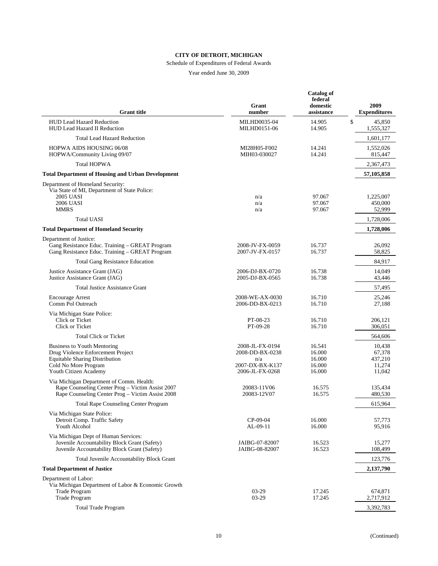#### Schedule of Expenditures of Federal Awards

| <b>Grant</b> title                                                                                                                                         | Grant<br>number                                                                 | <b>Catalog of</b><br>federal<br>domestic<br>assistance | 2009<br><b>Expenditures</b>                     |
|------------------------------------------------------------------------------------------------------------------------------------------------------------|---------------------------------------------------------------------------------|--------------------------------------------------------|-------------------------------------------------|
| <b>HUD Lead Hazard Reduction</b>                                                                                                                           | <b>MILHD0035-04</b>                                                             | 14.905                                                 | \$<br>45,850                                    |
| <b>HUD Lead Hazard II Reduction</b>                                                                                                                        | MILHD0151-06                                                                    | 14.905                                                 | 1,555,327                                       |
| <b>Total Lead Hazard Reduction</b>                                                                                                                         |                                                                                 |                                                        | 1,601,177                                       |
| HOPWA AIDS HOUSING 06/08<br>HOPWA/Community Living 09/07                                                                                                   | MI28H05-F002<br>MIH03-030027                                                    | 14.241<br>14.241                                       | 1,552,026<br>815,447                            |
| <b>Total HOPWA</b>                                                                                                                                         |                                                                                 |                                                        | 2,367,473                                       |
| <b>Total Department of Housing and Urban Development</b>                                                                                                   |                                                                                 |                                                        | 57,105,858                                      |
| Department of Homeland Security:<br>Via State of MI, Department of State Police:<br><b>2005 UASI</b><br><b>2006 UASI</b><br><b>MMRS</b>                    | n/a<br>n/a<br>n/a                                                               | 97.067<br>97.067<br>97.067                             | 1,225,007<br>450,000<br>52,999                  |
| <b>Total UASI</b>                                                                                                                                          |                                                                                 |                                                        | 1,728,006                                       |
| <b>Total Department of Homeland Security</b>                                                                                                               |                                                                                 |                                                        | 1,728,006                                       |
| Department of Justice:<br>Gang Resistance Educ. Training - GREAT Program<br>Gang Resistance Educ. Training - GREAT Program                                 | 2008-JV-FX-0059<br>2007-JV-FX-0157                                              | 16.737<br>16.737                                       | 26,092<br>58,825                                |
| <b>Total Gang Resistance Education</b>                                                                                                                     |                                                                                 |                                                        | 84,917                                          |
| Justice Assistance Grant (JAG)<br>Justice Assistance Grant (JAG)                                                                                           | 2006-DJ-BX-0720<br>2005-DJ-BX-0565                                              | 16.738<br>16.738                                       | 14,049<br>43,446                                |
| <b>Total Justice Assistance Grant</b>                                                                                                                      |                                                                                 |                                                        | 57,495                                          |
| <b>Encourage Arrest</b><br>Comm Pol Outreach                                                                                                               | 2008-WE-AX-0030<br>2006-DD-BX-0213                                              | 16.710<br>16.710                                       | 25,246<br>27,188                                |
| Via Michigan State Police:<br>Click or Ticket<br><b>Click or Ticket</b>                                                                                    | PT-08-23<br>PT-09-28                                                            | 16.710<br>16.710                                       | 206,121<br>306,051                              |
| <b>Total Click or Ticket</b>                                                                                                                               |                                                                                 |                                                        | 564,606                                         |
| <b>Business to Youth Mentoring</b><br>Drug Violence Enforcement Project<br>Equitable Sharing Distribution<br>Cold No More Program<br>Youth Citizen Academy | 2008-JL-FX-0194<br>2008-DD-BX-0238<br>n/a<br>2007-DX-BX-K137<br>2006-JL-FX-0268 | 16.541<br>16.000<br>16.000<br>16.000<br>16.000         | 10,438<br>67,378<br>437,210<br>11,274<br>11,042 |
| Via Michigan Department of Comm. Health:<br>Rape Counseling Center Prog - Victim Assist 2007<br>Rape Counseling Center Prog - Victim Assist 2008           | 20083-11V06<br>20083-12V07                                                      | 16.575<br>16.575                                       | 135,434<br>480,530                              |
| <b>Total Rape Counseling Center Program</b>                                                                                                                |                                                                                 |                                                        | 615,964                                         |
| Via Michigan State Police:<br>Detroit Comp. Traffic Safety<br>Youth Alcohol                                                                                | CP-09-04<br>AL-09-11                                                            | 16.000<br>16.000                                       | 57,773<br>95,916                                |
| Via Michigan Dept of Human Services:<br>Juvenile Accountability Block Grant (Safety)<br>Juvenile Accountability Block Grant (Safety)                       | JAIBG-07-82007<br>JAIBG-08-82007                                                | 16.523<br>16.523                                       | 15,277<br>108,499                               |
| Total Juvenile Accountability Block Grant                                                                                                                  |                                                                                 |                                                        | 123,776                                         |
| <b>Total Department of Justice</b>                                                                                                                         |                                                                                 |                                                        | 2,137,790                                       |
| Department of Labor:<br>Via Michigan Department of Labor & Economic Growth<br><b>Trade Program</b><br><b>Trade Program</b>                                 | $03-29$<br>$03-29$                                                              | 17.245<br>17.245                                       | 674,871<br>2,717,912                            |
| <b>Total Trade Program</b>                                                                                                                                 |                                                                                 |                                                        | 3,392,783                                       |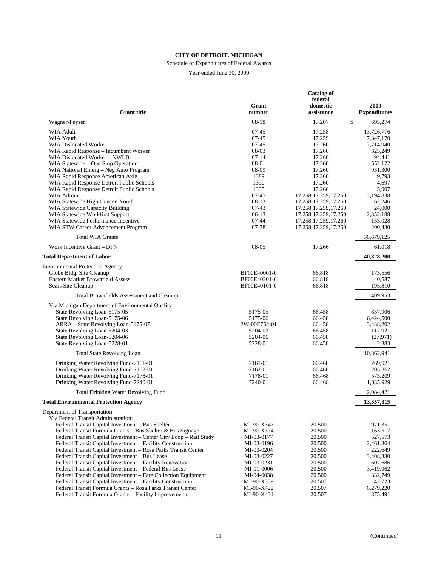Schedule of Expenditures of Federal Awards

| <b>Grant title</b>                                                                  | Grant<br>number        | <b>Catalog of</b><br>federal<br>domestic<br>assistance | 2009<br><b>Expenditures</b> |
|-------------------------------------------------------------------------------------|------------------------|--------------------------------------------------------|-----------------------------|
| Wagner-Peyser                                                                       | $08-18$                | 17.207                                                 | \$<br>695,274               |
| WIA Adult<br><b>WIA Youth</b>                                                       | $07 - 45$<br>$07 - 45$ | 17.258<br>17.259                                       | 13,726,776<br>7,347,170     |
| <b>WIA Dislocated Worker</b>                                                        | $07 - 45$              | 17.260                                                 |                             |
| WIA Rapid Response - Incumbent Worker                                               | 08-03                  | 17.260                                                 | 7,714,940<br>325,249        |
| WIA Dislocated Worker - NWLB                                                        | $07 - 14$              | 17.260                                                 | 94,441                      |
| WIA Statewide – One Stop Operation                                                  | 08-01                  | 17.260                                                 | 552,122                     |
| WIA National Emerg - Neg Auto Program                                               | 08-09                  | 17.260                                                 | 931,300                     |
| WIA Rapid Response American Axle                                                    | 1389                   | 17.260                                                 | 9,793                       |
| WIA Rapid Response Detroit Public Schools                                           | 1390                   | 17.260                                                 | 4,697                       |
| WIA Rapid Response Detroit Public Schools                                           | 1395                   | 17.260                                                 | 5,907                       |
| WIA Admin                                                                           | $07 - 45$              | 17.258, 17.259, 17.260                                 | 3,194,838                   |
| WIA Statewide High Concen Youth                                                     | 08-13                  | 17.258, 17.259, 17.260                                 | 62,246                      |
| WIA Statewide Capacity Building                                                     | $07-43$                | 17.258, 17.259, 17.260                                 | 24,000                      |
| WIA Statewide Workfirst Support                                                     | $06-13$                | 17.258, 17.259, 17.260                                 | 2,352,188                   |
| WIA Statewide Performance Incentive                                                 | $07 - 44$              | 17.258, 17.259, 17.260                                 | 133,028                     |
| WIA STW Career Advancement Program                                                  | 07-38                  | 17.258, 17.259, 17.260                                 | 200,430                     |
| <b>Total WIA Grants</b>                                                             |                        |                                                        | 36,679,125                  |
| Work Incentive Grant - DPN                                                          | 08-05                  | 17.266                                                 | 61,018                      |
| <b>Total Department of Labor</b>                                                    |                        |                                                        | 40,828,200                  |
| <b>Environmental Protection Agency:</b>                                             |                        |                                                        |                             |
| Globe Bldg. Site Cleanup                                                            | BF00E40001-0           | 66.818                                                 | 173,556                     |
| Eastern Market Brownfield Assess.                                                   | BF00E40201-0           | 66.818                                                 | 40,587                      |
| Sears Site Cleanup                                                                  | BF00E40101-0           | 66.818                                                 | 195,810                     |
| Total Brownfields Assessment and Cleanup                                            |                        |                                                        | 409,953                     |
| Via Michigan Department of Environmental Quality                                    |                        |                                                        |                             |
| State Revolving Loan-5175-05                                                        | 5175-05                | 66.458                                                 | 857,906                     |
| State Revolving Loan-5175-06                                                        | 5175-06                | 66.458                                                 | 6,424,500                   |
| ARRA - State Revolving Loan-5175-07                                                 | 2W-00E752-01           | 66.458                                                 | 3,488,202                   |
| State Revolving Loan-5204-03                                                        | 5204-03                | 66.458                                                 | 117,921                     |
| State Revolving Loan-5204-06                                                        | 5204-06                | 66.458                                                 | (27, 971)                   |
| State Revolving Loan-5228-01                                                        | 5228-01                | 66.458                                                 | 2,383                       |
| <b>Total State Revolving Loan</b>                                                   |                        |                                                        | 10,862,941                  |
| Drinking Water Revolving Fund-7161-01                                               | 7161-01                | 66.468                                                 | 269,921                     |
| Drinking Water Revolving Fund-7162-01<br>Drinking Water Revolving Fund-7178-01      | 7162-01                | 66.468                                                 | 205,362                     |
| Drinking Water Revolving Fund-7240-01                                               | 7178-01<br>7240-01     | 66.468<br>66.468                                       | 573,209<br>1,035,929        |
|                                                                                     |                        |                                                        |                             |
| Total Drinking Water Revolving Fund<br><b>Total Environmental Protection Agency</b> |                        |                                                        | 2,084,421<br>13,357,315     |
|                                                                                     |                        |                                                        |                             |
| Department of Transportation:<br>Via Federal Transit Administration:                |                        |                                                        |                             |
| Federal Transit Capital Investment - Bus Shelter                                    | MI-90-X347             | 20.500                                                 | 971,351                     |
| Federal Transit Formula Grants - Bus Shelter & Bus Signage                          | MI-90-X374             | 20.500                                                 | 163,517                     |
| Federal Transit Capital Investment - Center City Loop - Rail Study                  | MI-03-0177             | 20.500                                                 | 527,573                     |
| Federal Transit Capital Investment – Facility Construction                          | MI-03-0196             | 20.500                                                 | 2,461,364                   |
| Federal Transit Capital Investment - Rosa Parks Transit Center                      | MI-03-0204             | 20.500                                                 | 222,649                     |
| Federal Transit Capital Investment – Bus Lease                                      | MI-03-0227             | 20.500                                                 | 3,408,330                   |
| Federal Transit Capital Investment - Facility Renovation                            | MI-03-0231             | 20.500                                                 | 607,686                     |
| Federal Transit Capital Investment - Federal Bus Lease                              | MI-01-0006             | 20.500                                                 | 3,419,962                   |
| Federal Transit Capital Investment – Fare Collection Equipment                      | MI-04-0038             | 20.500                                                 | 332,749                     |
| Federal Transit Capital Investment - Facility Construction                          | MI-90-X359             | 20.507                                                 | 42,723                      |
| Federal Transit Formula Grants - Rosa Parks Transit Center                          | MI-90-X422             | 20.507                                                 | 6,279,220                   |
| Federal Transit Formula Grants - Facility Improvements                              | MI-90-X434             | 20.507                                                 | 375,491                     |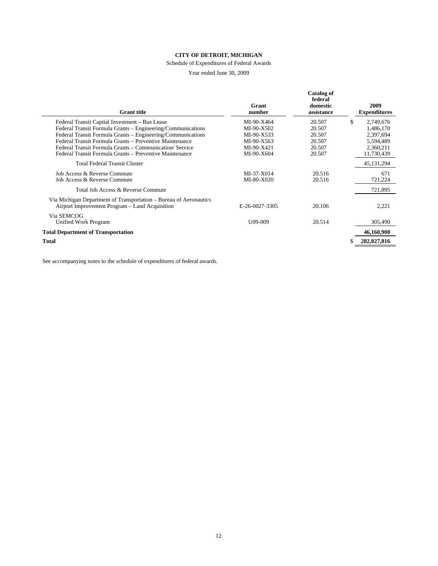#### Schedule of Expenditures of Federal Awards

#### Year ended June 30, 2009

| <b>Grant</b> title                                                                                                                                                                                                                                                                                                                                           | Grant<br>number                                                                  | Catalog of<br>federal<br>domestic<br>assistance          | 2009<br><b>Expenditures</b>                                                       |
|--------------------------------------------------------------------------------------------------------------------------------------------------------------------------------------------------------------------------------------------------------------------------------------------------------------------------------------------------------------|----------------------------------------------------------------------------------|----------------------------------------------------------|-----------------------------------------------------------------------------------|
| Federal Transit Capital Investment - Bus Lease<br>Federal Transit Formula Grants - Engineering/Communications<br>Federal Transit Formula Grants - Engineering/Communications<br>Federal Transit Formula Grants – Preventive Maintenance<br>Federal Transit Formula Grants – Communication/Service<br>Federal Transit Formula Grants – Preventive Maintenance | MI-90-X464<br>MI-90-X502<br>MI-90-X533<br>MI-90-X563<br>MI-90-X421<br>MI-90-X604 | 20.507<br>20.507<br>20.507<br>20.507<br>20.507<br>20.507 | \$<br>2,749,676<br>1,486,170<br>2,397,694<br>5,594,489<br>2,360,211<br>11,730,439 |
| <b>Total Federal Transit Cluster</b>                                                                                                                                                                                                                                                                                                                         |                                                                                  |                                                          | 45, 131, 294                                                                      |
| Job Access & Reverse Commute<br>Job Access & Reverse Commute                                                                                                                                                                                                                                                                                                 | $MI-37-X014$<br>MI-80-X020                                                       | 20.516<br>20.516                                         | 671<br>721,224                                                                    |
| Total Job Access & Reverse Commute                                                                                                                                                                                                                                                                                                                           |                                                                                  |                                                          | 721,895                                                                           |
| Via Michigan Department of Transportation – Bureau of Aeronautics<br>Airport Improvement Program – Land Acquisition                                                                                                                                                                                                                                          | E-26-0027-3305                                                                   | 20.106                                                   | 2,221                                                                             |
| Via SEMCOG<br>20.514<br>Unified Work Program<br>U09-009                                                                                                                                                                                                                                                                                                      |                                                                                  | 305,490                                                  |                                                                                   |
| <b>Total Department of Transportation</b>                                                                                                                                                                                                                                                                                                                    |                                                                                  |                                                          | 46,160,900                                                                        |
| <b>Total</b>                                                                                                                                                                                                                                                                                                                                                 |                                                                                  |                                                          | 282,827,816                                                                       |

See accompanying notes to the schedule of expenditures of federal awards.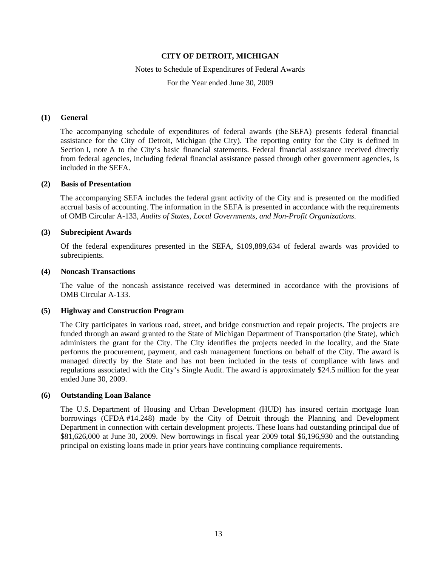#### Notes to Schedule of Expenditures of Federal Awards

For the Year ended June 30, 2009

### **(1) General**

The accompanying schedule of expenditures of federal awards (the SEFA) presents federal financial assistance for the City of Detroit, Michigan (the City). The reporting entity for the City is defined in Section I, note A to the City's basic financial statements. Federal financial assistance received directly from federal agencies, including federal financial assistance passed through other government agencies, is included in the SEFA.

#### **(2) Basis of Presentation**

The accompanying SEFA includes the federal grant activity of the City and is presented on the modified accrual basis of accounting. The information in the SEFA is presented in accordance with the requirements of OMB Circular A-133, *Audits of States, Local Governments, and Non-Profit Organizations*.

## **(3) Subrecipient Awards**

Of the federal expenditures presented in the SEFA, \$109,889,634 of federal awards was provided to subrecipients.

#### **(4) Noncash Transactions**

The value of the noncash assistance received was determined in accordance with the provisions of OMB Circular A-133.

#### **(5) Highway and Construction Program**

The City participates in various road, street, and bridge construction and repair projects. The projects are funded through an award granted to the State of Michigan Department of Transportation (the State), which administers the grant for the City. The City identifies the projects needed in the locality, and the State performs the procurement, payment, and cash management functions on behalf of the City. The award is managed directly by the State and has not been included in the tests of compliance with laws and regulations associated with the City's Single Audit. The award is approximately \$24.5 million for the year ended June 30, 2009.

#### **(6) Outstanding Loan Balance**

The U.S. Department of Housing and Urban Development (HUD) has insured certain mortgage loan borrowings (CFDA #14.248) made by the City of Detroit through the Planning and Development Department in connection with certain development projects. These loans had outstanding principal due of \$81,626,000 at June 30, 2009. New borrowings in fiscal year 2009 total \$6,196,930 and the outstanding principal on existing loans made in prior years have continuing compliance requirements.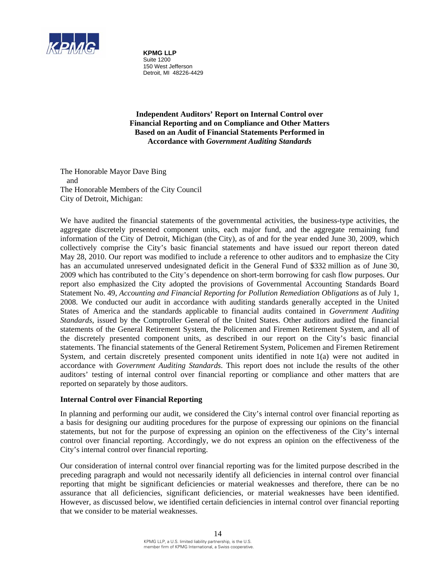

**KPMG LLP** Suite 1200 150 West Jefferson Detroit, MI 48226-4429

**Independent Auditors' Report on Internal Control over Financial Reporting and on Compliance and Other Matters Based on an Audit of Financial Statements Performed in Accordance with** *Government Auditing Standards*

The Honorable Mayor Dave Bing and The Honorable Members of the City Council City of Detroit, Michigan:

We have audited the financial statements of the governmental activities, the business-type activities, the aggregate discretely presented component units, each major fund, and the aggregate remaining fund information of the City of Detroit, Michigan (the City), as of and for the year ended June 30, 2009, which collectively comprise the City's basic financial statements and have issued our report thereon dated May 28, 2010. Our report was modified to include a reference to other auditors and to emphasize the City has an accumulated unreserved undesignated deficit in the General Fund of \$332 million as of June 30, 2009 which has contributed to the City's dependence on short-term borrowing for cash flow purposes. Our report also emphasized the City adopted the provisions of Governmental Accounting Standards Board Statement No. 49, *Accounting and Financial Reporting for Pollution Remediation Obligations* as of July 1, 2008. We conducted our audit in accordance with auditing standards generally accepted in the United States of America and the standards applicable to financial audits contained in *Government Auditing Standards*, issued by the Comptroller General of the United States. Other auditors audited the financial statements of the General Retirement System, the Policemen and Firemen Retirement System, and all of the discretely presented component units, as described in our report on the City's basic financial statements. The financial statements of the General Retirement System, Policemen and Firemen Retirement System, and certain discretely presented component units identified in note 1(a) were not audited in accordance with *Government Auditing Standards*. This report does not include the results of the other auditors' testing of internal control over financial reporting or compliance and other matters that are reported on separately by those auditors.

# **Internal Control over Financial Reporting**

In planning and performing our audit, we considered the City's internal control over financial reporting as a basis for designing our auditing procedures for the purpose of expressing our opinions on the financial statements, but not for the purpose of expressing an opinion on the effectiveness of the City's internal control over financial reporting. Accordingly, we do not express an opinion on the effectiveness of the City's internal control over financial reporting.

Our consideration of internal control over financial reporting was for the limited purpose described in the preceding paragraph and would not necessarily identify all deficiencies in internal control over financial reporting that might be significant deficiencies or material weaknesses and therefore, there can be no assurance that all deficiencies, significant deficiencies, or material weaknesses have been identified. However, as discussed below, we identified certain deficiencies in internal control over financial reporting that we consider to be material weaknesses.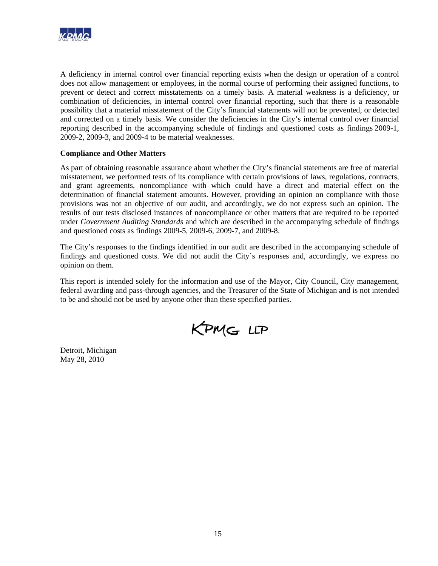

A deficiency in internal control over financial reporting exists when the design or operation of a control does not allow management or employees, in the normal course of performing their assigned functions, to prevent or detect and correct misstatements on a timely basis. A material weakness is a deficiency, or combination of deficiencies, in internal control over financial reporting, such that there is a reasonable possibility that a material misstatement of the City's financial statements will not be prevented, or detected and corrected on a timely basis. We consider the deficiencies in the City's internal control over financial reporting described in the accompanying schedule of findings and questioned costs as findings 2009-1, 2009-2, 2009-3, and 2009-4 to be material weaknesses.

# **Compliance and Other Matters**

As part of obtaining reasonable assurance about whether the City's financial statements are free of material misstatement, we performed tests of its compliance with certain provisions of laws, regulations, contracts, and grant agreements, noncompliance with which could have a direct and material effect on the determination of financial statement amounts. However, providing an opinion on compliance with those provisions was not an objective of our audit, and accordingly, we do not express such an opinion. The results of our tests disclosed instances of noncompliance or other matters that are required to be reported under *Government Auditing Standards* and which are described in the accompanying schedule of findings and questioned costs as findings 2009-5, 2009-6, 2009-7, and 2009-8.

The City's responses to the findings identified in our audit are described in the accompanying schedule of findings and questioned costs. We did not audit the City's responses and, accordingly, we express no opinion on them.

This report is intended solely for the information and use of the Mayor, City Council, City management, federal awarding and pass-through agencies, and the Treasurer of the State of Michigan and is not intended to be and should not be used by anyone other than these specified parties.

KPMG LLP

Detroit, Michigan May 28, 2010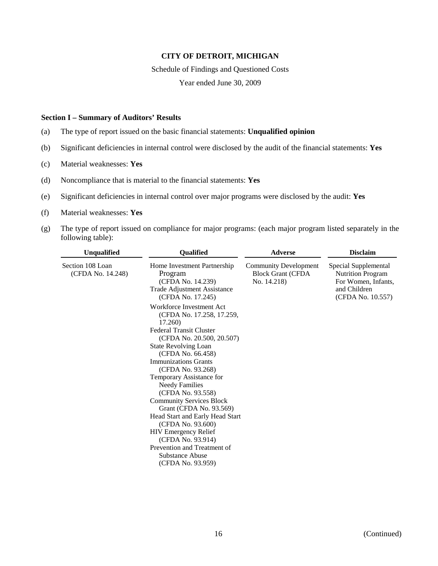Schedule of Findings and Questioned Costs

Year ended June 30, 2009

#### **Section I – Summary of Auditors' Results**

- (a) The type of report issued on the basic financial statements: **Unqualified opinion**
- (b) Significant deficiencies in internal control were disclosed by the audit of the financial statements: **Yes**
- (c) Material weaknesses: **Yes**
- (d) Noncompliance that is material to the financial statements: **Yes**
- (e) Significant deficiencies in internal control over major programs were disclosed by the audit: **Yes**
- (f) Material weaknesses: **Yes**
- (g) The type of report issued on compliance for major programs: (each major program listed separately in the following table):

| <b>Unqualified</b>                    | Qualified                                                                                                                                                                                                                                                                                                                                                                                                                                                                                                                                                          | <b>Adverse</b>                                                          | <b>Disclaim</b>                                                                                              |
|---------------------------------------|--------------------------------------------------------------------------------------------------------------------------------------------------------------------------------------------------------------------------------------------------------------------------------------------------------------------------------------------------------------------------------------------------------------------------------------------------------------------------------------------------------------------------------------------------------------------|-------------------------------------------------------------------------|--------------------------------------------------------------------------------------------------------------|
| Section 108 Loan<br>(CFDA No. 14.248) | Home Investment Partnership<br>Program<br>(CFDA No. 14.239)<br>Trade Adjustment Assistance<br>(CFDA No. 17.245)                                                                                                                                                                                                                                                                                                                                                                                                                                                    | <b>Community Development</b><br><b>Block Grant (CFDA</b><br>No. 14.218) | Special Supplemental<br><b>Nutrition Program</b><br>For Women, Infants,<br>and Children<br>(CFDA No. 10.557) |
|                                       | Workforce Investment Act<br>(CFDA No. 17.258, 17.259,<br>17.260)<br><b>Federal Transit Cluster</b><br>(CFDA No. 20.500, 20.507)<br><b>State Revolving Loan</b><br>(CFDA No. 66.458)<br><b>Immunizations Grants</b><br>(CFDA No. 93.268)<br>Temporary Assistance for<br><b>Needy Families</b><br>(CFDA No. 93.558)<br><b>Community Services Block</b><br>Grant (CFDA No. 93.569)<br>Head Start and Early Head Start<br>(CFDA No. 93.600)<br><b>HIV Emergency Relief</b><br>(CFDA No. 93.914)<br>Prevention and Treatment of<br>Substance Abuse<br>(CFDA No. 93.959) |                                                                         |                                                                                                              |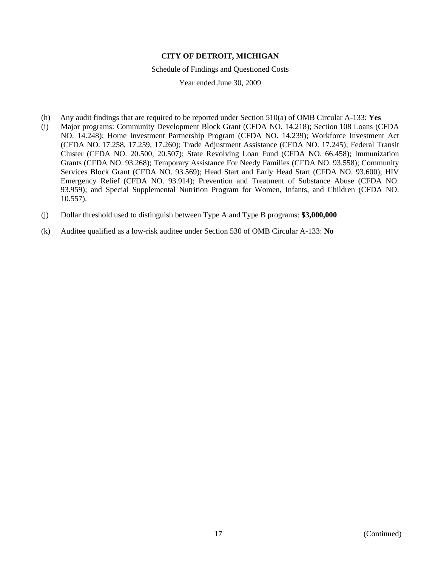Schedule of Findings and Questioned Costs

- (h) Any audit findings that are required to be reported under Section 510(a) of OMB Circular A-133: **Yes**
- (i) Major programs: Community Development Block Grant (CFDA NO. 14.218); Section 108 Loans (CFDA NO. 14.248); Home Investment Partnership Program (CFDA NO. 14.239); Workforce Investment Act (CFDA NO. 17.258, 17.259, 17.260); Trade Adjustment Assistance (CFDA NO. 17.245); Federal Transit Cluster (CFDA NO. 20.500, 20.507); State Revolving Loan Fund (CFDA NO. 66.458); Immunization Grants (CFDA NO. 93.268); Temporary Assistance For Needy Families (CFDA NO. 93.558); Community Services Block Grant (CFDA NO. 93.569); Head Start and Early Head Start (CFDA NO. 93.600); HIV Emergency Relief (CFDA NO. 93.914); Prevention and Treatment of Substance Abuse (CFDA NO. 93.959); and Special Supplemental Nutrition Program for Women, Infants, and Children (CFDA NO. 10.557).
- (j) Dollar threshold used to distinguish between Type A and Type B programs: **\$3,000,000**
- (k) Auditee qualified as a low-risk auditee under Section 530 of OMB Circular A-133: **No**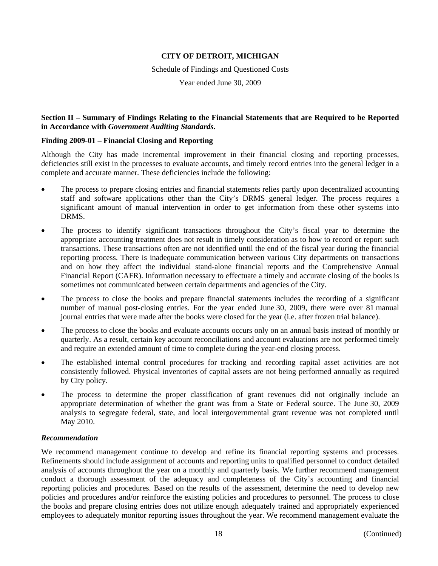Schedule of Findings and Questioned Costs

Year ended June 30, 2009

# **Section II – Summary of Findings Relating to the Financial Statements that are Required to be Reported in Accordance with** *Government Auditing Standards***.**

## **Finding 2009-01 – Financial Closing and Reporting**

Although the City has made incremental improvement in their financial closing and reporting processes, deficiencies still exist in the processes to evaluate accounts, and timely record entries into the general ledger in a complete and accurate manner. These deficiencies include the following:

- The process to prepare closing entries and financial statements relies partly upon decentralized accounting staff and software applications other than the City's DRMS general ledger. The process requires a significant amount of manual intervention in order to get information from these other systems into DRMS.
- The process to identify significant transactions throughout the City's fiscal year to determine the appropriate accounting treatment does not result in timely consideration as to how to record or report such transactions. These transactions often are not identified until the end of the fiscal year during the financial reporting process. There is inadequate communication between various City departments on transactions and on how they affect the individual stand-alone financial reports and the Comprehensive Annual Financial Report (CAFR). Information necessary to effectuate a timely and accurate closing of the books is sometimes not communicated between certain departments and agencies of the City.
- The process to close the books and prepare financial statements includes the recording of a significant number of manual post-closing entries. For the year ended June 30, 2009, there were over 81 manual journal entries that were made after the books were closed for the year (i.e. after frozen trial balance).
- The process to close the books and evaluate accounts occurs only on an annual basis instead of monthly or quarterly. As a result, certain key account reconciliations and account evaluations are not performed timely and require an extended amount of time to complete during the year-end closing process.
- The established internal control procedures for tracking and recording capital asset activities are not consistently followed. Physical inventories of capital assets are not being performed annually as required by City policy.
- The process to determine the proper classification of grant revenues did not originally include an appropriate determination of whether the grant was from a State or Federal source. The June 30, 2009 analysis to segregate federal, state, and local intergovernmental grant revenue was not completed until May 2010.

# *Recommendation*

We recommend management continue to develop and refine its financial reporting systems and processes. Refinements should include assignment of accounts and reporting units to qualified personnel to conduct detailed analysis of accounts throughout the year on a monthly and quarterly basis. We further recommend management conduct a thorough assessment of the adequacy and completeness of the City's accounting and financial reporting policies and procedures. Based on the results of the assessment, determine the need to develop new policies and procedures and/or reinforce the existing policies and procedures to personnel. The process to close the books and prepare closing entries does not utilize enough adequately trained and appropriately experienced employees to adequately monitor reporting issues throughout the year. We recommend management evaluate the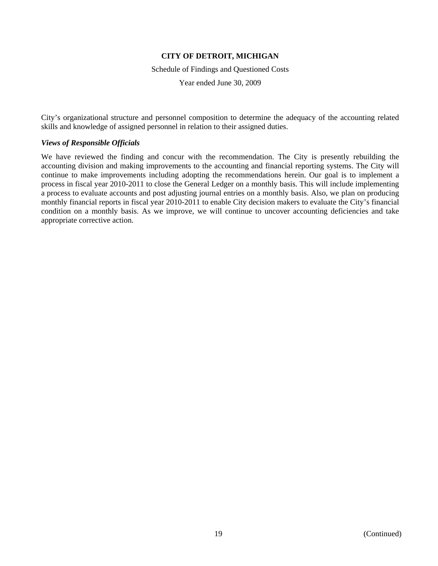Schedule of Findings and Questioned Costs

Year ended June 30, 2009

City's organizational structure and personnel composition to determine the adequacy of the accounting related skills and knowledge of assigned personnel in relation to their assigned duties.

## *Views of Responsible Officials*

We have reviewed the finding and concur with the recommendation. The City is presently rebuilding the accounting division and making improvements to the accounting and financial reporting systems. The City will continue to make improvements including adopting the recommendations herein. Our goal is to implement a process in fiscal year 2010-2011 to close the General Ledger on a monthly basis. This will include implementing a process to evaluate accounts and post adjusting journal entries on a monthly basis. Also, we plan on producing monthly financial reports in fiscal year 2010-2011 to enable City decision makers to evaluate the City's financial condition on a monthly basis. As we improve, we will continue to uncover accounting deficiencies and take appropriate corrective action.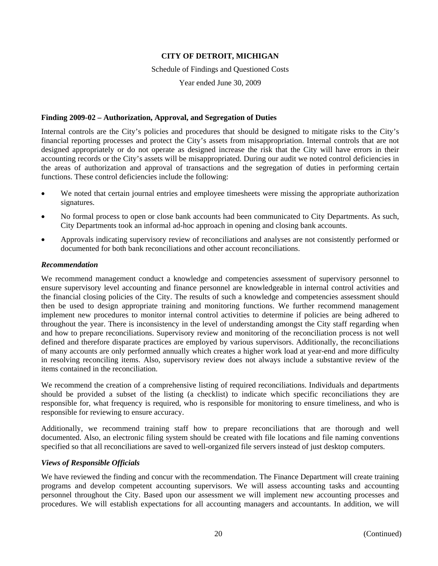Schedule of Findings and Questioned Costs

Year ended June 30, 2009

# **Finding 2009-02 – Authorization, Approval, and Segregation of Duties**

Internal controls are the City's policies and procedures that should be designed to mitigate risks to the City's financial reporting processes and protect the City's assets from misappropriation. Internal controls that are not designed appropriately or do not operate as designed increase the risk that the City will have errors in their accounting records or the City's assets will be misappropriated. During our audit we noted control deficiencies in the areas of authorization and approval of transactions and the segregation of duties in performing certain functions. These control deficiencies include the following:

- We noted that certain journal entries and employee timesheets were missing the appropriate authorization signatures.
- No formal process to open or close bank accounts had been communicated to City Departments. As such, City Departments took an informal ad-hoc approach in opening and closing bank accounts.
- Approvals indicating supervisory review of reconciliations and analyses are not consistently performed or documented for both bank reconciliations and other account reconciliations.

## *Recommendation*

We recommend management conduct a knowledge and competencies assessment of supervisory personnel to ensure supervisory level accounting and finance personnel are knowledgeable in internal control activities and the financial closing policies of the City. The results of such a knowledge and competencies assessment should then be used to design appropriate training and monitoring functions. We further recommend management implement new procedures to monitor internal control activities to determine if policies are being adhered to throughout the year. There is inconsistency in the level of understanding amongst the City staff regarding when and how to prepare reconciliations. Supervisory review and monitoring of the reconciliation process is not well defined and therefore disparate practices are employed by various supervisors. Additionally, the reconciliations of many accounts are only performed annually which creates a higher work load at year-end and more difficulty in resolving reconciling items. Also, supervisory review does not always include a substantive review of the items contained in the reconciliation.

We recommend the creation of a comprehensive listing of required reconciliations. Individuals and departments should be provided a subset of the listing (a checklist) to indicate which specific reconciliations they are responsible for, what frequency is required, who is responsible for monitoring to ensure timeliness, and who is responsible for reviewing to ensure accuracy.

Additionally, we recommend training staff how to prepare reconciliations that are thorough and well documented. Also, an electronic filing system should be created with file locations and file naming conventions specified so that all reconciliations are saved to well-organized file servers instead of just desktop computers.

# *Views of Responsible Officials*

We have reviewed the finding and concur with the recommendation. The Finance Department will create training programs and develop competent accounting supervisors. We will assess accounting tasks and accounting personnel throughout the City. Based upon our assessment we will implement new accounting processes and procedures. We will establish expectations for all accounting managers and accountants. In addition, we will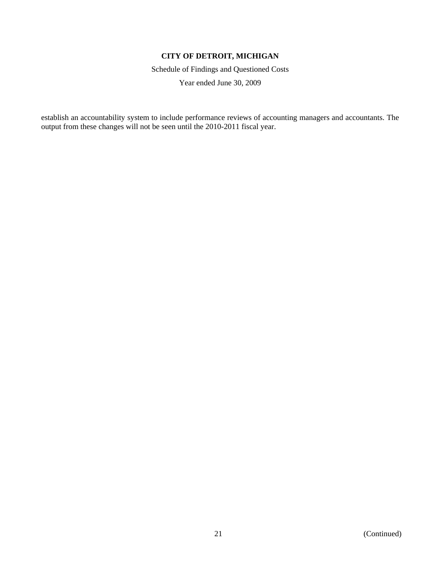Schedule of Findings and Questioned Costs

Year ended June 30, 2009

establish an accountability system to include performance reviews of accounting managers and accountants. The output from these changes will not be seen until the 2010-2011 fiscal year.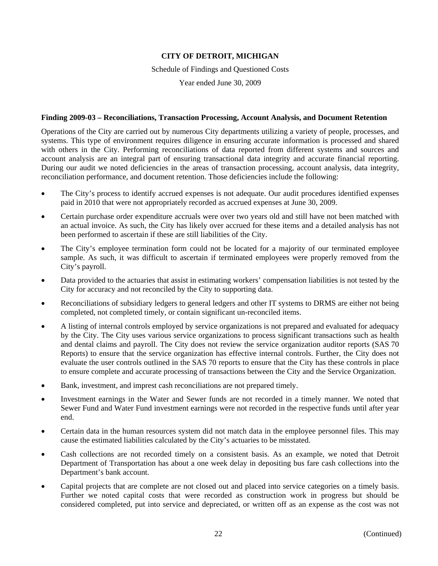Schedule of Findings and Questioned Costs

Year ended June 30, 2009

# **Finding 2009-03 – Reconciliations, Transaction Processing, Account Analysis, and Document Retention**

Operations of the City are carried out by numerous City departments utilizing a variety of people, processes, and systems. This type of environment requires diligence in ensuring accurate information is processed and shared with others in the City. Performing reconciliations of data reported from different systems and sources and account analysis are an integral part of ensuring transactional data integrity and accurate financial reporting. During our audit we noted deficiencies in the areas of transaction processing, account analysis, data integrity, reconciliation performance, and document retention. Those deficiencies include the following:

- The City's process to identify accrued expenses is not adequate. Our audit procedures identified expenses paid in 2010 that were not appropriately recorded as accrued expenses at June 30, 2009.
- Certain purchase order expenditure accruals were over two years old and still have not been matched with an actual invoice. As such, the City has likely over accrued for these items and a detailed analysis has not been performed to ascertain if these are still liabilities of the City.
- The City's employee termination form could not be located for a majority of our terminated employee sample. As such, it was difficult to ascertain if terminated employees were properly removed from the City's payroll.
- Data provided to the actuaries that assist in estimating workers' compensation liabilities is not tested by the City for accuracy and not reconciled by the City to supporting data.
- Reconciliations of subsidiary ledgers to general ledgers and other IT systems to DRMS are either not being completed, not completed timely, or contain significant un-reconciled items.
- A listing of internal controls employed by service organizations is not prepared and evaluated for adequacy by the City. The City uses various service organizations to process significant transactions such as health and dental claims and payroll. The City does not review the service organization auditor reports (SAS 70 Reports) to ensure that the service organization has effective internal controls. Further, the City does not evaluate the user controls outlined in the SAS 70 reports to ensure that the City has these controls in place to ensure complete and accurate processing of transactions between the City and the Service Organization.
- Bank, investment, and imprest cash reconciliations are not prepared timely.
- Investment earnings in the Water and Sewer funds are not recorded in a timely manner. We noted that Sewer Fund and Water Fund investment earnings were not recorded in the respective funds until after year end.
- Certain data in the human resources system did not match data in the employee personnel files. This may cause the estimated liabilities calculated by the City's actuaries to be misstated.
- Cash collections are not recorded timely on a consistent basis. As an example, we noted that Detroit Department of Transportation has about a one week delay in depositing bus fare cash collections into the Department's bank account.
- Capital projects that are complete are not closed out and placed into service categories on a timely basis. Further we noted capital costs that were recorded as construction work in progress but should be considered completed, put into service and depreciated, or written off as an expense as the cost was not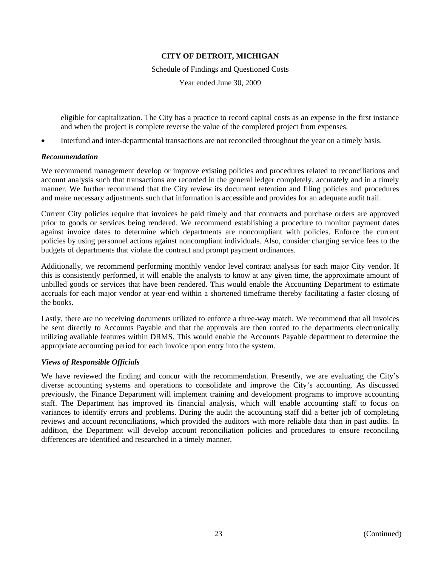Schedule of Findings and Questioned Costs

Year ended June 30, 2009

eligible for capitalization. The City has a practice to record capital costs as an expense in the first instance and when the project is complete reverse the value of the completed project from expenses.

• Interfund and inter-departmental transactions are not reconciled throughout the year on a timely basis.

## *Recommendation*

We recommend management develop or improve existing policies and procedures related to reconciliations and account analysis such that transactions are recorded in the general ledger completely, accurately and in a timely manner. We further recommend that the City review its document retention and filing policies and procedures and make necessary adjustments such that information is accessible and provides for an adequate audit trail.

Current City policies require that invoices be paid timely and that contracts and purchase orders are approved prior to goods or services being rendered. We recommend establishing a procedure to monitor payment dates against invoice dates to determine which departments are noncompliant with policies. Enforce the current policies by using personnel actions against noncompliant individuals. Also, consider charging service fees to the budgets of departments that violate the contract and prompt payment ordinances.

Additionally, we recommend performing monthly vendor level contract analysis for each major City vendor. If this is consistently performed, it will enable the analysts to know at any given time, the approximate amount of unbilled goods or services that have been rendered. This would enable the Accounting Department to estimate accruals for each major vendor at year-end within a shortened timeframe thereby facilitating a faster closing of the books.

Lastly, there are no receiving documents utilized to enforce a three-way match. We recommend that all invoices be sent directly to Accounts Payable and that the approvals are then routed to the departments electronically utilizing available features within DRMS. This would enable the Accounts Payable department to determine the appropriate accounting period for each invoice upon entry into the system.

# *Views of Responsible Officials*

We have reviewed the finding and concur with the recommendation. Presently, we are evaluating the City's diverse accounting systems and operations to consolidate and improve the City's accounting. As discussed previously, the Finance Department will implement training and development programs to improve accounting staff. The Department has improved its financial analysis, which will enable accounting staff to focus on variances to identify errors and problems. During the audit the accounting staff did a better job of completing reviews and account reconciliations, which provided the auditors with more reliable data than in past audits. In addition, the Department will develop account reconciliation policies and procedures to ensure reconciling differences are identified and researched in a timely manner.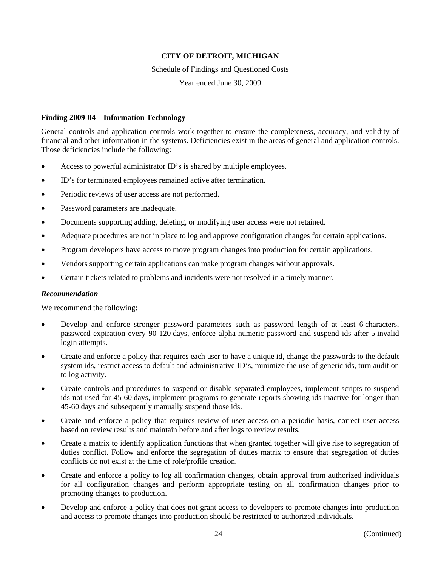Schedule of Findings and Questioned Costs

Year ended June 30, 2009

## **Finding 2009-04 – Information Technology**

General controls and application controls work together to ensure the completeness, accuracy, and validity of financial and other information in the systems. Deficiencies exist in the areas of general and application controls. Those deficiencies include the following:

- Access to powerful administrator ID's is shared by multiple employees.
- ID's for terminated employees remained active after termination.
- Periodic reviews of user access are not performed.
- Password parameters are inadequate.
- Documents supporting adding, deleting, or modifying user access were not retained.
- Adequate procedures are not in place to log and approve configuration changes for certain applications.
- Program developers have access to move program changes into production for certain applications.
- Vendors supporting certain applications can make program changes without approvals.
- Certain tickets related to problems and incidents were not resolved in a timely manner.

#### *Recommendation*

We recommend the following:

- Develop and enforce stronger password parameters such as password length of at least 6 characters, password expiration every 90-120 days, enforce alpha-numeric password and suspend ids after 5 invalid login attempts.
- Create and enforce a policy that requires each user to have a unique id, change the passwords to the default system ids, restrict access to default and administrative ID's, minimize the use of generic ids, turn audit on to log activity.
- Create controls and procedures to suspend or disable separated employees, implement scripts to suspend ids not used for 45-60 days, implement programs to generate reports showing ids inactive for longer than 45-60 days and subsequently manually suspend those ids.
- Create and enforce a policy that requires review of user access on a periodic basis, correct user access based on review results and maintain before and after logs to review results.
- Create a matrix to identify application functions that when granted together will give rise to segregation of duties conflict. Follow and enforce the segregation of duties matrix to ensure that segregation of duties conflicts do not exist at the time of role/profile creation.
- Create and enforce a policy to log all confirmation changes, obtain approval from authorized individuals for all configuration changes and perform appropriate testing on all confirmation changes prior to promoting changes to production.
- Develop and enforce a policy that does not grant access to developers to promote changes into production and access to promote changes into production should be restricted to authorized individuals.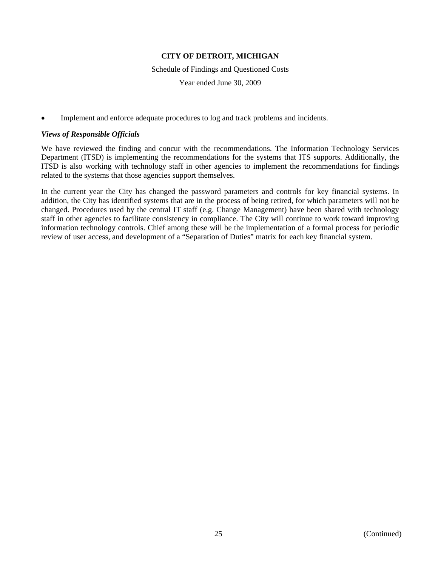Schedule of Findings and Questioned Costs

Year ended June 30, 2009

• Implement and enforce adequate procedures to log and track problems and incidents.

# *Views of Responsible Officials*

We have reviewed the finding and concur with the recommendations. The Information Technology Services Department (ITSD) is implementing the recommendations for the systems that ITS supports. Additionally, the ITSD is also working with technology staff in other agencies to implement the recommendations for findings related to the systems that those agencies support themselves.

In the current year the City has changed the password parameters and controls for key financial systems. In addition, the City has identified systems that are in the process of being retired, for which parameters will not be changed. Procedures used by the central IT staff (e.g. Change Management) have been shared with technology staff in other agencies to facilitate consistency in compliance. The City will continue to work toward improving information technology controls. Chief among these will be the implementation of a formal process for periodic review of user access, and development of a "Separation of Duties" matrix for each key financial system.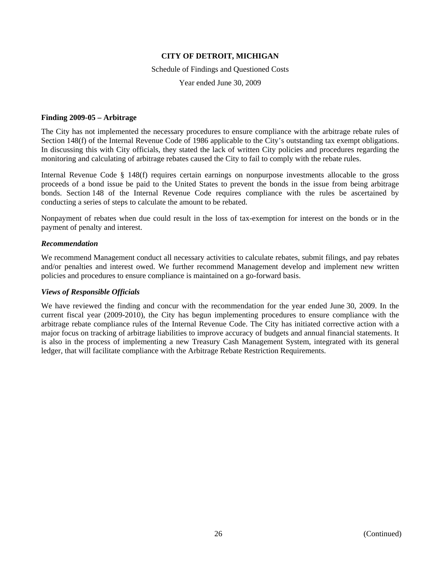#### Schedule of Findings and Questioned Costs

Year ended June 30, 2009

#### **Finding 2009-05 – Arbitrage**

The City has not implemented the necessary procedures to ensure compliance with the arbitrage rebate rules of Section 148(f) of the Internal Revenue Code of 1986 applicable to the City's outstanding tax exempt obligations. In discussing this with City officials, they stated the lack of written City policies and procedures regarding the monitoring and calculating of arbitrage rebates caused the City to fail to comply with the rebate rules.

Internal Revenue Code § 148(f) requires certain earnings on nonpurpose investments allocable to the gross proceeds of a bond issue be paid to the United States to prevent the bonds in the issue from being arbitrage bonds. Section 148 of the Internal Revenue Code requires compliance with the rules be ascertained by conducting a series of steps to calculate the amount to be rebated.

Nonpayment of rebates when due could result in the loss of tax-exemption for interest on the bonds or in the payment of penalty and interest.

#### *Recommendation*

We recommend Management conduct all necessary activities to calculate rebates, submit filings, and pay rebates and/or penalties and interest owed. We further recommend Management develop and implement new written policies and procedures to ensure compliance is maintained on a go-forward basis.

#### *Views of Responsible Officials*

We have reviewed the finding and concur with the recommendation for the year ended June 30, 2009. In the current fiscal year (2009-2010), the City has begun implementing procedures to ensure compliance with the arbitrage rebate compliance rules of the Internal Revenue Code. The City has initiated corrective action with a major focus on tracking of arbitrage liabilities to improve accuracy of budgets and annual financial statements. It is also in the process of implementing a new Treasury Cash Management System, integrated with its general ledger, that will facilitate compliance with the Arbitrage Rebate Restriction Requirements.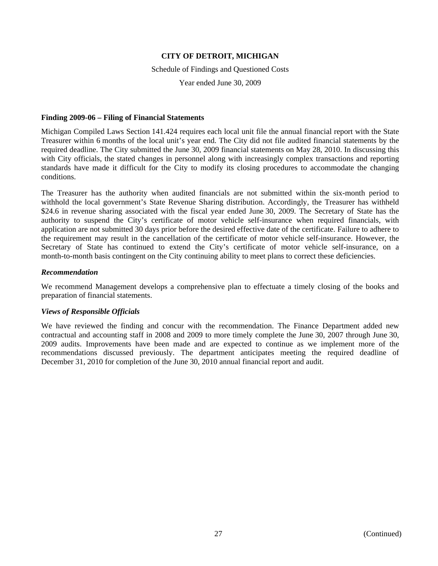Schedule of Findings and Questioned Costs

Year ended June 30, 2009

#### **Finding 2009-06 – Filing of Financial Statements**

Michigan Compiled Laws Section 141.424 requires each local unit file the annual financial report with the State Treasurer within 6 months of the local unit's year end. The City did not file audited financial statements by the required deadline. The City submitted the June 30, 2009 financial statements on May 28, 2010. In discussing this with City officials, the stated changes in personnel along with increasingly complex transactions and reporting standards have made it difficult for the City to modify its closing procedures to accommodate the changing conditions.

The Treasurer has the authority when audited financials are not submitted within the six-month period to withhold the local government's State Revenue Sharing distribution. Accordingly, the Treasurer has withheld \$24.6 in revenue sharing associated with the fiscal year ended June 30, 2009. The Secretary of State has the authority to suspend the City's certificate of motor vehicle self-insurance when required financials, with application are not submitted 30 days prior before the desired effective date of the certificate. Failure to adhere to the requirement may result in the cancellation of the certificate of motor vehicle self-insurance. However, the Secretary of State has continued to extend the City's certificate of motor vehicle self-insurance, on a month-to-month basis contingent on the City continuing ability to meet plans to correct these deficiencies.

#### *Recommendation*

We recommend Management develops a comprehensive plan to effectuate a timely closing of the books and preparation of financial statements.

#### *Views of Responsible Officials*

We have reviewed the finding and concur with the recommendation. The Finance Department added new contractual and accounting staff in 2008 and 2009 to more timely complete the June 30, 2007 through June 30, 2009 audits. Improvements have been made and are expected to continue as we implement more of the recommendations discussed previously. The department anticipates meeting the required deadline of December 31, 2010 for completion of the June 30, 2010 annual financial report and audit.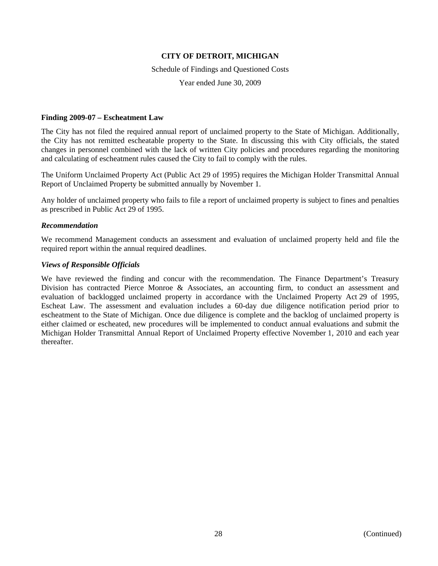#### Schedule of Findings and Questioned Costs

Year ended June 30, 2009

#### **Finding 2009-07 – Escheatment Law**

The City has not filed the required annual report of unclaimed property to the State of Michigan. Additionally, the City has not remitted escheatable property to the State. In discussing this with City officials, the stated changes in personnel combined with the lack of written City policies and procedures regarding the monitoring and calculating of escheatment rules caused the City to fail to comply with the rules.

The Uniform Unclaimed Property Act (Public Act 29 of 1995) requires the Michigan Holder Transmittal Annual Report of Unclaimed Property be submitted annually by November 1.

Any holder of unclaimed property who fails to file a report of unclaimed property is subject to fines and penalties as prescribed in Public Act 29 of 1995.

#### *Recommendation*

We recommend Management conducts an assessment and evaluation of unclaimed property held and file the required report within the annual required deadlines.

#### *Views of Responsible Officials*

We have reviewed the finding and concur with the recommendation. The Finance Department's Treasury Division has contracted Pierce Monroe & Associates, an accounting firm, to conduct an assessment and evaluation of backlogged unclaimed property in accordance with the Unclaimed Property Act 29 of 1995, Escheat Law. The assessment and evaluation includes a 60-day due diligence notification period prior to escheatment to the State of Michigan. Once due diligence is complete and the backlog of unclaimed property is either claimed or escheated, new procedures will be implemented to conduct annual evaluations and submit the Michigan Holder Transmittal Annual Report of Unclaimed Property effective November 1, 2010 and each year thereafter.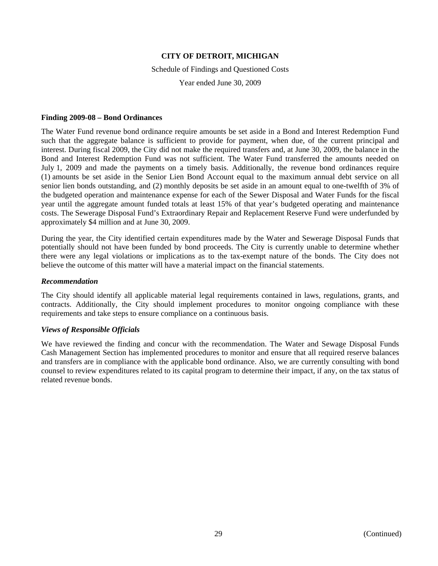#### Schedule of Findings and Questioned Costs

Year ended June 30, 2009

#### **Finding 2009-08 – Bond Ordinances**

The Water Fund revenue bond ordinance require amounts be set aside in a Bond and Interest Redemption Fund such that the aggregate balance is sufficient to provide for payment, when due, of the current principal and interest. During fiscal 2009, the City did not make the required transfers and, at June 30, 2009, the balance in the Bond and Interest Redemption Fund was not sufficient. The Water Fund transferred the amounts needed on July 1, 2009 and made the payments on a timely basis. Additionally, the revenue bond ordinances require (1) amounts be set aside in the Senior Lien Bond Account equal to the maximum annual debt service on all senior lien bonds outstanding, and (2) monthly deposits be set aside in an amount equal to one-twelfth of 3% of the budgeted operation and maintenance expense for each of the Sewer Disposal and Water Funds for the fiscal year until the aggregate amount funded totals at least 15% of that year's budgeted operating and maintenance costs. The Sewerage Disposal Fund's Extraordinary Repair and Replacement Reserve Fund were underfunded by approximately \$4 million and at June 30, 2009.

During the year, the City identified certain expenditures made by the Water and Sewerage Disposal Funds that potentially should not have been funded by bond proceeds. The City is currently unable to determine whether there were any legal violations or implications as to the tax-exempt nature of the bonds. The City does not believe the outcome of this matter will have a material impact on the financial statements.

#### *Recommendation*

The City should identify all applicable material legal requirements contained in laws, regulations, grants, and contracts. Additionally, the City should implement procedures to monitor ongoing compliance with these requirements and take steps to ensure compliance on a continuous basis.

#### *Views of Responsible Officials*

We have reviewed the finding and concur with the recommendation. The Water and Sewage Disposal Funds Cash Management Section has implemented procedures to monitor and ensure that all required reserve balances and transfers are in compliance with the applicable bond ordinance. Also, we are currently consulting with bond counsel to review expenditures related to its capital program to determine their impact, if any, on the tax status of related revenue bonds.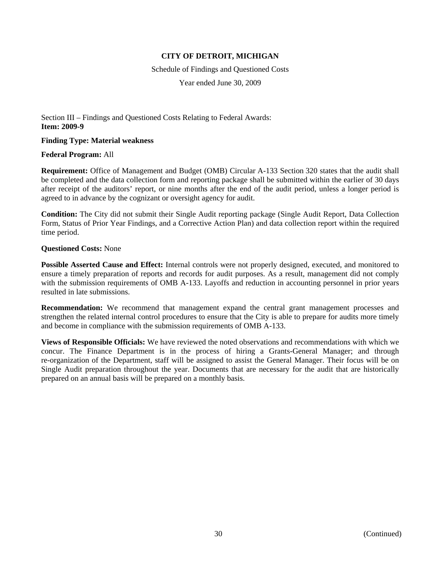Schedule of Findings and Questioned Costs

Year ended June 30, 2009

Section III – Findings and Questioned Costs Relating to Federal Awards: **Item: 2009-9** 

#### **Finding Type: Material weakness**

## **Federal Program:** All

**Requirement:** Office of Management and Budget (OMB) Circular A-133 Section 320 states that the audit shall be completed and the data collection form and reporting package shall be submitted within the earlier of 30 days after receipt of the auditors' report, or nine months after the end of the audit period, unless a longer period is agreed to in advance by the cognizant or oversight agency for audit.

**Condition:** The City did not submit their Single Audit reporting package (Single Audit Report, Data Collection Form, Status of Prior Year Findings, and a Corrective Action Plan) and data collection report within the required time period.

## **Questioned Costs:** None

**Possible Asserted Cause and Effect:** Internal controls were not properly designed, executed, and monitored to ensure a timely preparation of reports and records for audit purposes. As a result, management did not comply with the submission requirements of OMB A-133. Layoffs and reduction in accounting personnel in prior years resulted in late submissions.

**Recommendation:** We recommend that management expand the central grant management processes and strengthen the related internal control procedures to ensure that the City is able to prepare for audits more timely and become in compliance with the submission requirements of OMB A-133.

**Views of Responsible Officials:** We have reviewed the noted observations and recommendations with which we concur. The Finance Department is in the process of hiring a Grants-General Manager; and through re-organization of the Department, staff will be assigned to assist the General Manager. Their focus will be on Single Audit preparation throughout the year. Documents that are necessary for the audit that are historically prepared on an annual basis will be prepared on a monthly basis.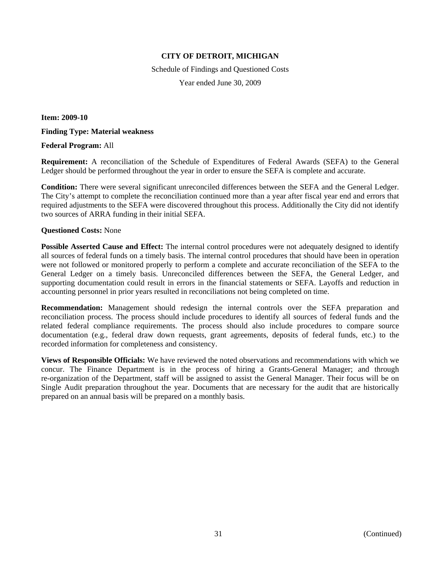Schedule of Findings and Questioned Costs Year ended June 30, 2009

**Item: 2009-10 Finding Type: Material weakness** 

## **Federal Program:** All

**Requirement:** A reconciliation of the Schedule of Expenditures of Federal Awards (SEFA) to the General Ledger should be performed throughout the year in order to ensure the SEFA is complete and accurate.

**Condition:** There were several significant unreconciled differences between the SEFA and the General Ledger. The City's attempt to complete the reconciliation continued more than a year after fiscal year end and errors that required adjustments to the SEFA were discovered throughout this process. Additionally the City did not identify two sources of ARRA funding in their initial SEFA.

## **Questioned Costs:** None

**Possible Asserted Cause and Effect:** The internal control procedures were not adequately designed to identify all sources of federal funds on a timely basis. The internal control procedures that should have been in operation were not followed or monitored properly to perform a complete and accurate reconciliation of the SEFA to the General Ledger on a timely basis. Unreconciled differences between the SEFA, the General Ledger, and supporting documentation could result in errors in the financial statements or SEFA. Layoffs and reduction in accounting personnel in prior years resulted in reconciliations not being completed on time.

**Recommendation:** Management should redesign the internal controls over the SEFA preparation and reconciliation process. The process should include procedures to identify all sources of federal funds and the related federal compliance requirements. The process should also include procedures to compare source documentation (e.g., federal draw down requests, grant agreements, deposits of federal funds, etc.) to the recorded information for completeness and consistency.

**Views of Responsible Officials:** We have reviewed the noted observations and recommendations with which we concur. The Finance Department is in the process of hiring a Grants-General Manager; and through re-organization of the Department, staff will be assigned to assist the General Manager. Their focus will be on Single Audit preparation throughout the year. Documents that are necessary for the audit that are historically prepared on an annual basis will be prepared on a monthly basis.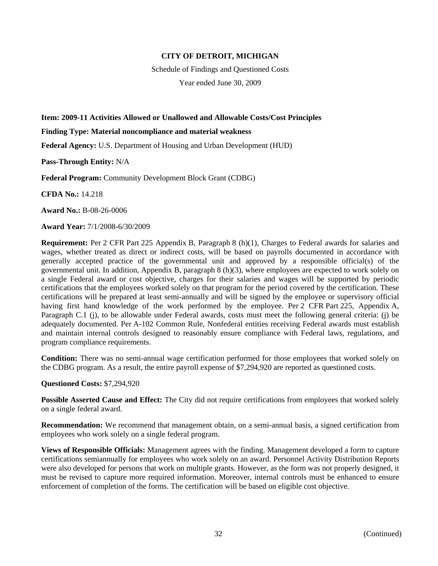Schedule of Findings and Questioned Costs

Year ended June 30, 2009

# **Item: 2009-11 Activities Allowed or Unallowed and Allowable Costs/Cost Principles**

#### **Finding Type: Material noncompliance and material weakness**

**Federal Agency:** U.S. Department of Housing and Urban Development (HUD)

**Pass-Through Entity:** N/A

**Federal Program:** Community Development Block Grant (CDBG)

**CFDA No.:** 14.218

**Award No.:** B-08-26-0006

**Award Year:** 7/1/2008-6/30/2009

**Requirement:** Per 2 CFR Part 225 Appendix B, Paragraph 8 (h)(1), Charges to Federal awards for salaries and wages, whether treated as direct or indirect costs, will be based on payrolls documented in accordance with generally accepted practice of the governmental unit and approved by a responsible official(s) of the governmental unit. In addition, Appendix B, paragraph 8 (h)(3), where employees are expected to work solely on a single Federal award or cost objective, charges for their salaries and wages will be supported by periodic certifications that the employees worked solely on that program for the period covered by the certification. These certifications will be prepared at least semi-annually and will be signed by the employee or supervisory official having first hand knowledge of the work performed by the employee. Per 2 CFR Part 225, Appendix A, Paragraph C.1 (j), to be allowable under Federal awards, costs must meet the following general criteria: (j) be adequately documented. Per A-102 Common Rule, Nonfederal entities receiving Federal awards must establish and maintain internal controls designed to reasonably ensure compliance with Federal laws, regulations, and program compliance requirements.

**Condition:** There was no semi-annual wage certification performed for those employees that worked solely on the CDBG program. As a result, the entire payroll expense of \$7,294,920 are reported as questioned costs.

#### **Questioned Costs:** \$7,294,920

**Possible Asserted Cause and Effect:** The City did not require certifications from employees that worked solely on a single federal award.

**Recommendation:** We recommend that management obtain, on a semi-annual basis, a signed certification from employees who work solely on a single federal program.

**Views of Responsible Officials:** Management agrees with the finding. Management developed a form to capture certifications semiannually for employees who work solely on an award. Personnel Activity Distribution Reports were also developed for persons that work on multiple grants. However, as the form was not properly designed, it must be revised to capture more required information. Moreover, internal controls must be enhanced to ensure enforcement of completion of the forms. The certification will be based on eligible cost objective.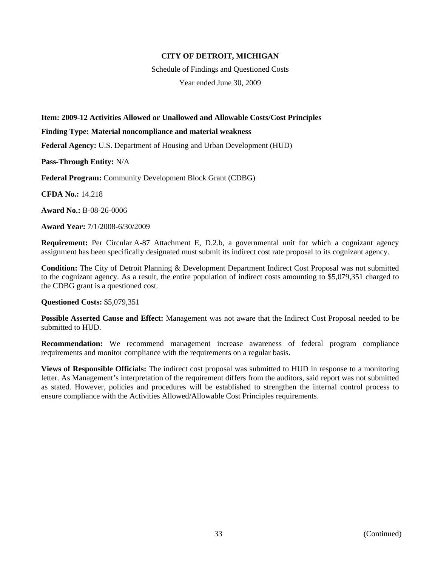Schedule of Findings and Questioned Costs Year ended June 30, 2009

## **Item: 2009-12 Activities Allowed or Unallowed and Allowable Costs/Cost Principles**

#### **Finding Type: Material noncompliance and material weakness**

**Federal Agency:** U.S. Department of Housing and Urban Development (HUD)

**Pass-Through Entity:** N/A

**Federal Program:** Community Development Block Grant (CDBG)

**CFDA No.:** 14.218

**Award No.:** B-08-26-0006

**Award Year:** 7/1/2008-6/30/2009

**Requirement:** Per Circular A-87 Attachment E, D.2.b, a governmental unit for which a cognizant agency assignment has been specifically designated must submit its indirect cost rate proposal to its cognizant agency.

**Condition:** The City of Detroit Planning & Development Department Indirect Cost Proposal was not submitted to the cognizant agency. As a result, the entire population of indirect costs amounting to \$5,079,351 charged to the CDBG grant is a questioned cost.

#### **Questioned Costs:** \$5,079,351

**Possible Asserted Cause and Effect:** Management was not aware that the Indirect Cost Proposal needed to be submitted to HUD.

**Recommendation:** We recommend management increase awareness of federal program compliance requirements and monitor compliance with the requirements on a regular basis.

**Views of Responsible Officials:** The indirect cost proposal was submitted to HUD in response to a monitoring letter. As Management's interpretation of the requirement differs from the auditors, said report was not submitted as stated. However, policies and procedures will be established to strengthen the internal control process to ensure compliance with the Activities Allowed/Allowable Cost Principles requirements.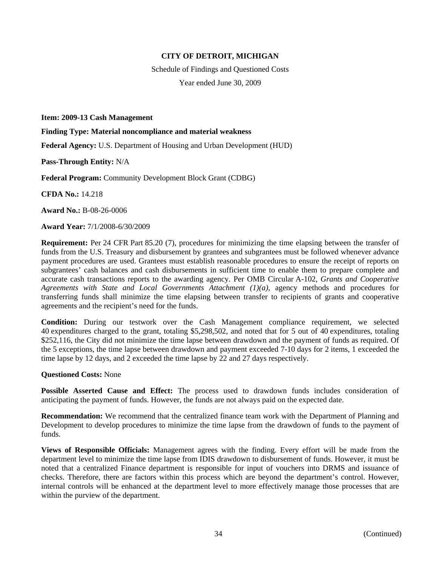Schedule of Findings and Questioned Costs Year ended June 30, 2009

**Item: 2009-13 Cash Management** 

**Finding Type: Material noncompliance and material weakness** 

**Federal Agency:** U.S. Department of Housing and Urban Development (HUD)

**Pass-Through Entity:** N/A

**Federal Program:** Community Development Block Grant (CDBG)

**CFDA No.:** 14.218

**Award No.:** B-08-26-0006

**Award Year:** 7/1/2008-6/30/2009

**Requirement:** Per 24 CFR Part 85.20 (7), procedures for minimizing the time elapsing between the transfer of funds from the U.S. Treasury and disbursement by grantees and subgrantees must be followed whenever advance payment procedures are used. Grantees must establish reasonable procedures to ensure the receipt of reports on subgrantees' cash balances and cash disbursements in sufficient time to enable them to prepare complete and accurate cash transactions reports to the awarding agency. Per OMB Circular A-102, *Grants and Cooperative Agreements with State and Local Governments Attachment (1)(a)*, agency methods and procedures for transferring funds shall minimize the time elapsing between transfer to recipients of grants and cooperative agreements and the recipient's need for the funds.

**Condition:** During our testwork over the Cash Management compliance requirement, we selected 40 expenditures charged to the grant, totaling \$5,298,502, and noted that for 5 out of 40 expenditures, totaling \$252,116, the City did not minimize the time lapse between drawdown and the payment of funds as required. Of the 5 exceptions, the time lapse between drawdown and payment exceeded 7-10 days for 2 items, 1 exceeded the time lapse by 12 days, and 2 exceeded the time lapse by 22 and 27 days respectively.

#### **Questioned Costs:** None

**Possible Asserted Cause and Effect:** The process used to drawdown funds includes consideration of anticipating the payment of funds. However, the funds are not always paid on the expected date.

**Recommendation:** We recommend that the centralized finance team work with the Department of Planning and Development to develop procedures to minimize the time lapse from the drawdown of funds to the payment of funds.

**Views of Responsible Officials:** Management agrees with the finding. Every effort will be made from the department level to minimize the time lapse from IDIS drawdown to disbursement of funds. However, it must be noted that a centralized Finance department is responsible for input of vouchers into DRMS and issuance of checks. Therefore, there are factors within this process which are beyond the department's control. However, internal controls will be enhanced at the department level to more effectively manage those processes that are within the purview of the department.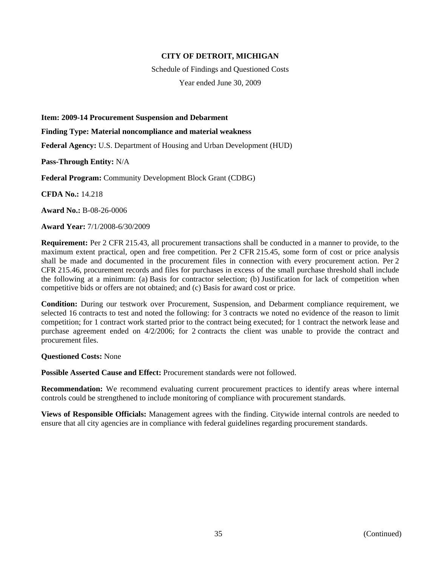Schedule of Findings and Questioned Costs

Year ended June 30, 2009

## **Item: 2009-14 Procurement Suspension and Debarment**

**Finding Type: Material noncompliance and material weakness** 

**Federal Agency:** U.S. Department of Housing and Urban Development (HUD)

**Pass-Through Entity:** N/A

**Federal Program:** Community Development Block Grant (CDBG)

**CFDA No.:** 14.218

**Award No.:** B-08-26-0006

**Award Year:** 7/1/2008-6/30/2009

**Requirement:** Per 2 CFR 215.43, all procurement transactions shall be conducted in a manner to provide, to the maximum extent practical, open and free competition. Per 2 CFR 215.45, some form of cost or price analysis shall be made and documented in the procurement files in connection with every procurement action. Per 2 CFR 215.46, procurement records and files for purchases in excess of the small purchase threshold shall include the following at a minimum: (a) Basis for contractor selection; (b) Justification for lack of competition when competitive bids or offers are not obtained; and (c) Basis for award cost or price.

**Condition:** During our testwork over Procurement, Suspension, and Debarment compliance requirement, we selected 16 contracts to test and noted the following: for 3 contracts we noted no evidence of the reason to limit competition; for 1 contract work started prior to the contract being executed; for 1 contract the network lease and purchase agreement ended on 4/2/2006; for 2 contracts the client was unable to provide the contract and procurement files.

**Questioned Costs:** None

**Possible Asserted Cause and Effect:** Procurement standards were not followed.

**Recommendation:** We recommend evaluating current procurement practices to identify areas where internal controls could be strengthened to include monitoring of compliance with procurement standards.

**Views of Responsible Officials:** Management agrees with the finding. Citywide internal controls are needed to ensure that all city agencies are in compliance with federal guidelines regarding procurement standards.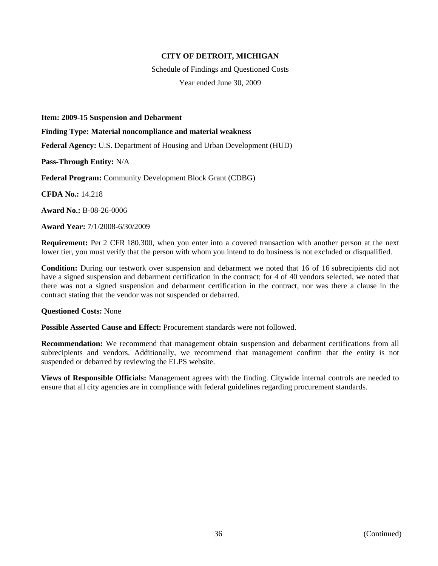Schedule of Findings and Questioned Costs Year ended June 30, 2009

## **Item: 2009-15 Suspension and Debarment**

## **Finding Type: Material noncompliance and material weakness**

**Federal Agency:** U.S. Department of Housing and Urban Development (HUD)

**Pass-Through Entity:** N/A

**Federal Program:** Community Development Block Grant (CDBG)

**CFDA No.:** 14.218

**Award No.:** B-08-26-0006

**Award Year:** 7/1/2008-6/30/2009

**Requirement:** Per 2 CFR 180.300, when you enter into a covered transaction with another person at the next lower tier, you must verify that the person with whom you intend to do business is not excluded or disqualified.

**Condition:** During our testwork over suspension and debarment we noted that 16 of 16 subrecipients did not have a signed suspension and debarment certification in the contract; for 4 of 40 vendors selected, we noted that there was not a signed suspension and debarment certification in the contract, nor was there a clause in the contract stating that the vendor was not suspended or debarred.

## **Questioned Costs:** None

**Possible Asserted Cause and Effect:** Procurement standards were not followed.

**Recommendation:** We recommend that management obtain suspension and debarment certifications from all subrecipients and vendors. Additionally, we recommend that management confirm that the entity is not suspended or debarred by reviewing the ELPS website.

**Views of Responsible Officials:** Management agrees with the finding. Citywide internal controls are needed to ensure that all city agencies are in compliance with federal guidelines regarding procurement standards.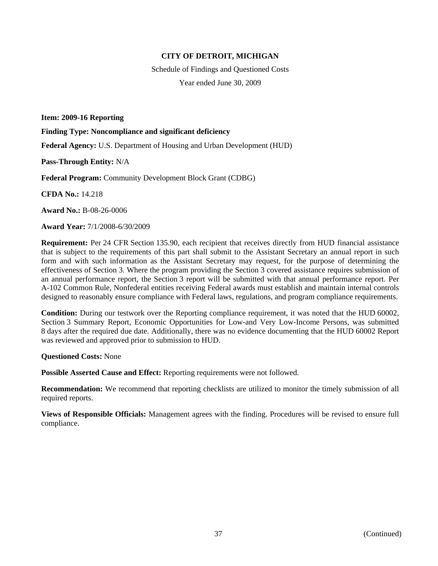Schedule of Findings and Questioned Costs Year ended June 30, 2009

**Item: 2009-16 Reporting** 

**Finding Type: Noncompliance and significant deficiency** 

**Federal Agency:** U.S. Department of Housing and Urban Development (HUD)

**Pass-Through Entity:** N/A

**Federal Program:** Community Development Block Grant (CDBG)

**CFDA No.:** 14.218

**Award No.:** B-08-26-0006

**Award Year:** 7/1/2008-6/30/2009

**Requirement:** Per 24 CFR Section 135.90, each recipient that receives directly from HUD financial assistance that is subject to the requirements of this part shall submit to the Assistant Secretary an annual report in such form and with such information as the Assistant Secretary may request, for the purpose of determining the effectiveness of Section 3. Where the program providing the Section 3 covered assistance requires submission of an annual performance report, the Section 3 report will be submitted with that annual performance report. Per A-102 Common Rule, Nonfederal entities receiving Federal awards must establish and maintain internal controls designed to reasonably ensure compliance with Federal laws, regulations, and program compliance requirements.

**Condition:** During our testwork over the Reporting compliance requirement, it was noted that the HUD 60002, Section 3 Summary Report, Economic Opportunities for Low-and Very Low-Income Persons, was submitted 8 days after the required due date. Additionally, there was no evidence documenting that the HUD 60002 Report was reviewed and approved prior to submission to HUD.

**Questioned Costs:** None

**Possible Asserted Cause and Effect:** Reporting requirements were not followed.

**Recommendation:** We recommend that reporting checklists are utilized to monitor the timely submission of all required reports.

**Views of Responsible Officials:** Management agrees with the finding. Procedures will be revised to ensure full compliance.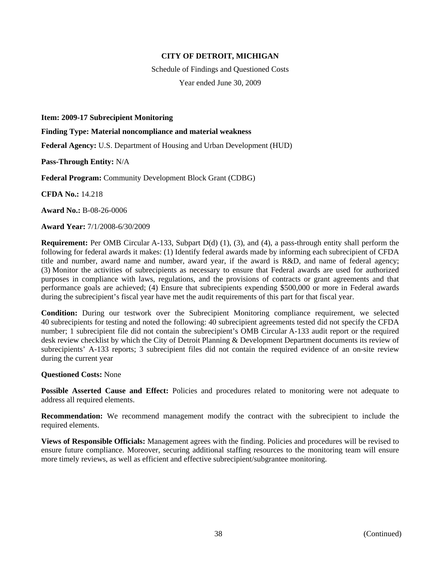Schedule of Findings and Questioned Costs Year ended June 30, 2009

**Item: 2009-17 Subrecipient Monitoring** 

**Finding Type: Material noncompliance and material weakness** 

**Federal Agency:** U.S. Department of Housing and Urban Development (HUD)

**Pass-Through Entity:** N/A

**Federal Program:** Community Development Block Grant (CDBG)

**CFDA No.:** 14.218

**Award No.:** B-08-26-0006

**Award Year:** 7/1/2008-6/30/2009

**Requirement:** Per OMB Circular A-133, Subpart D(d) (1), (3), and (4), a pass-through entity shall perform the following for federal awards it makes: (1) Identify federal awards made by informing each subrecipient of CFDA title and number, award name and number, award year, if the award is R&D, and name of federal agency; (3) Monitor the activities of subrecipients as necessary to ensure that Federal awards are used for authorized purposes in compliance with laws, regulations, and the provisions of contracts or grant agreements and that performance goals are achieved; (4) Ensure that subrecipients expending \$500,000 or more in Federal awards during the subrecipient's fiscal year have met the audit requirements of this part for that fiscal year.

**Condition:** During our testwork over the Subrecipient Monitoring compliance requirement, we selected 40 subrecipients for testing and noted the following: 40 subrecipient agreements tested did not specify the CFDA number; 1 subrecipient file did not contain the subrecipient's OMB Circular A-133 audit report or the required desk review checklist by which the City of Detroit Planning & Development Department documents its review of subrecipients' A-133 reports; 3 subrecipient files did not contain the required evidence of an on-site review during the current year

#### **Questioned Costs:** None

**Possible Asserted Cause and Effect:** Policies and procedures related to monitoring were not adequate to address all required elements.

**Recommendation:** We recommend management modify the contract with the subrecipient to include the required elements.

**Views of Responsible Officials:** Management agrees with the finding. Policies and procedures will be revised to ensure future compliance. Moreover, securing additional staffing resources to the monitoring team will ensure more timely reviews, as well as efficient and effective subrecipient/subgrantee monitoring.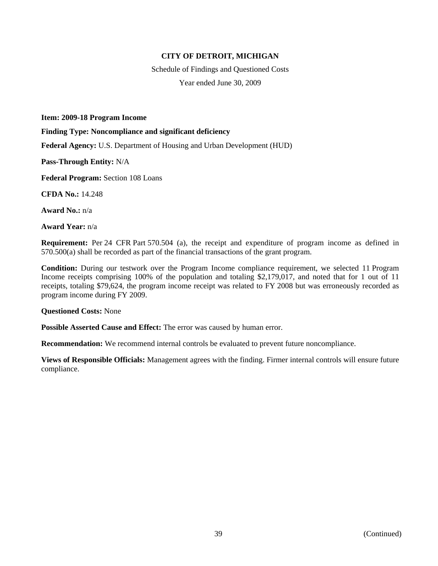Schedule of Findings and Questioned Costs Year ended June 30, 2009

**Item: 2009-18 Program Income** 

**Finding Type: Noncompliance and significant deficiency** 

**Federal Agency:** U.S. Department of Housing and Urban Development (HUD)

**Pass-Through Entity:** N/A

**Federal Program:** Section 108 Loans

**CFDA No.:** 14.248

**Award No.:** n/a

**Award Year:** n/a

**Requirement:** Per 24 CFR Part 570.504 (a), the receipt and expenditure of program income as defined in 570.500(a) shall be recorded as part of the financial transactions of the grant program.

**Condition:** During our testwork over the Program Income compliance requirement, we selected 11 Program Income receipts comprising 100% of the population and totaling \$2,179,017, and noted that for 1 out of 11 receipts, totaling \$79,624, the program income receipt was related to FY 2008 but was erroneously recorded as program income during FY 2009.

**Questioned Costs:** None

**Possible Asserted Cause and Effect:** The error was caused by human error.

**Recommendation:** We recommend internal controls be evaluated to prevent future noncompliance.

**Views of Responsible Officials:** Management agrees with the finding. Firmer internal controls will ensure future compliance.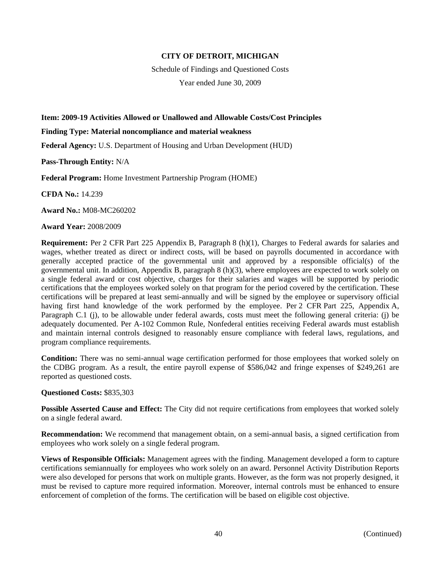Schedule of Findings and Questioned Costs

Year ended June 30, 2009

# **Item: 2009-19 Activities Allowed or Unallowed and Allowable Costs/Cost Principles**

## **Finding Type: Material noncompliance and material weakness**

**Federal Agency:** U.S. Department of Housing and Urban Development (HUD)

**Pass-Through Entity:** N/A

**Federal Program:** Home Investment Partnership Program (HOME)

**CFDA No.:** 14.239

**Award No.:** M08-MC260202

**Award Year:** 2008/2009

**Requirement:** Per 2 CFR Part 225 Appendix B, Paragraph 8 (h)(1), Charges to Federal awards for salaries and wages, whether treated as direct or indirect costs, will be based on payrolls documented in accordance with generally accepted practice of the governmental unit and approved by a responsible official(s) of the governmental unit. In addition, Appendix B, paragraph 8 (h)(3), where employees are expected to work solely on a single federal award or cost objective, charges for their salaries and wages will be supported by periodic certifications that the employees worked solely on that program for the period covered by the certification. These certifications will be prepared at least semi-annually and will be signed by the employee or supervisory official having first hand knowledge of the work performed by the employee. Per 2 CFR Part 225, Appendix A, Paragraph C.1 (j), to be allowable under federal awards, costs must meet the following general criteria: (j) be adequately documented. Per A-102 Common Rule, Nonfederal entities receiving Federal awards must establish and maintain internal controls designed to reasonably ensure compliance with federal laws, regulations, and program compliance requirements.

**Condition:** There was no semi-annual wage certification performed for those employees that worked solely on the CDBG program. As a result, the entire payroll expense of \$586,042 and fringe expenses of \$249,261 are reported as questioned costs.

## **Questioned Costs:** \$835,303

**Possible Asserted Cause and Effect:** The City did not require certifications from employees that worked solely on a single federal award.

**Recommendation:** We recommend that management obtain, on a semi-annual basis, a signed certification from employees who work solely on a single federal program.

**Views of Responsible Officials:** Management agrees with the finding. Management developed a form to capture certifications semiannually for employees who work solely on an award. Personnel Activity Distribution Reports were also developed for persons that work on multiple grants. However, as the form was not properly designed, it must be revised to capture more required information. Moreover, internal controls must be enhanced to ensure enforcement of completion of the forms. The certification will be based on eligible cost objective.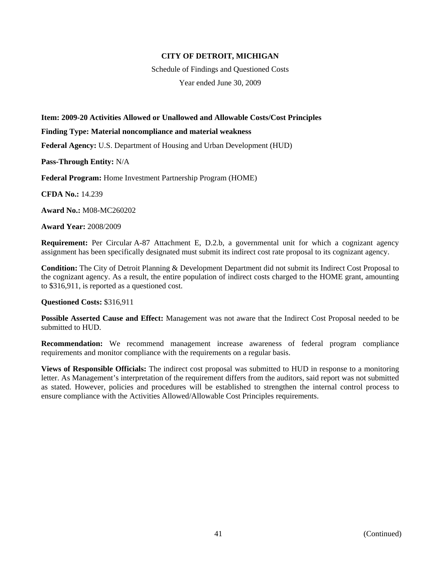Schedule of Findings and Questioned Costs Year ended June 30, 2009

## **Item: 2009-20 Activities Allowed or Unallowed and Allowable Costs/Cost Principles**

#### **Finding Type: Material noncompliance and material weakness**

**Federal Agency:** U.S. Department of Housing and Urban Development (HUD)

**Pass-Through Entity:** N/A

**Federal Program:** Home Investment Partnership Program (HOME)

**CFDA No.:** 14.239

**Award No.:** M08-MC260202

**Award Year:** 2008/2009

**Requirement:** Per Circular A-87 Attachment E, D.2.b, a governmental unit for which a cognizant agency assignment has been specifically designated must submit its indirect cost rate proposal to its cognizant agency.

**Condition:** The City of Detroit Planning & Development Department did not submit its Indirect Cost Proposal to the cognizant agency. As a result, the entire population of indirect costs charged to the HOME grant, amounting to \$316,911, is reported as a questioned cost.

## **Questioned Costs:** \$316,911

**Possible Asserted Cause and Effect:** Management was not aware that the Indirect Cost Proposal needed to be submitted to HUD.

**Recommendation:** We recommend management increase awareness of federal program compliance requirements and monitor compliance with the requirements on a regular basis.

**Views of Responsible Officials:** The indirect cost proposal was submitted to HUD in response to a monitoring letter. As Management's interpretation of the requirement differs from the auditors, said report was not submitted as stated. However, policies and procedures will be established to strengthen the internal control process to ensure compliance with the Activities Allowed/Allowable Cost Principles requirements.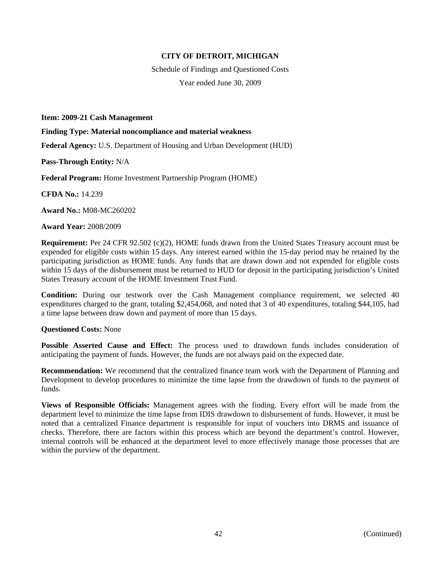Schedule of Findings and Questioned Costs Year ended June 30, 2009

**Item: 2009-21 Cash Management** 

**Finding Type: Material noncompliance and material weakness** 

**Federal Agency:** U.S. Department of Housing and Urban Development (HUD)

**Pass-Through Entity:** N/A

**Federal Program:** Home Investment Partnership Program (HOME)

**CFDA No.:** 14.239

**Award No.:** M08-MC260202

**Award Year:** 2008/2009

**Requirement:** Per 24 CFR 92.502 (c)(2), HOME funds drawn from the United States Treasury account must be expended for eligible costs within 15 days. Any interest earned within the 15-day period may be retained by the participating jurisdiction as HOME funds. Any funds that are drawn down and not expended for eligible costs within 15 days of the disbursement must be returned to HUD for deposit in the participating jurisdiction's United States Treasury account of the HOME Investment Trust Fund.

**Condition:** During our testwork over the Cash Management compliance requirement, we selected 40 expenditures charged to the grant, totaling \$2,454,068, and noted that 3 of 40 expenditures, totaling \$44,105, had a time lapse between draw down and payment of more than 15 days.

## **Questioned Costs:** None

**Possible Asserted Cause and Effect:** The process used to drawdown funds includes consideration of anticipating the payment of funds. However, the funds are not always paid on the expected date.

**Recommendation:** We recommend that the centralized finance team work with the Department of Planning and Development to develop procedures to minimize the time lapse from the drawdown of funds to the payment of funds.

**Views of Responsible Officials:** Management agrees with the finding. Every effort will be made from the department level to minimize the time lapse from IDIS drawdown to disbursement of funds. However, it must be noted that a centralized Finance department is responsible for input of vouchers into DRMS and issuance of checks. Therefore, there are factors within this process which are beyond the department's control. However, internal controls will be enhanced at the department level to more effectively manage those processes that are within the purview of the department.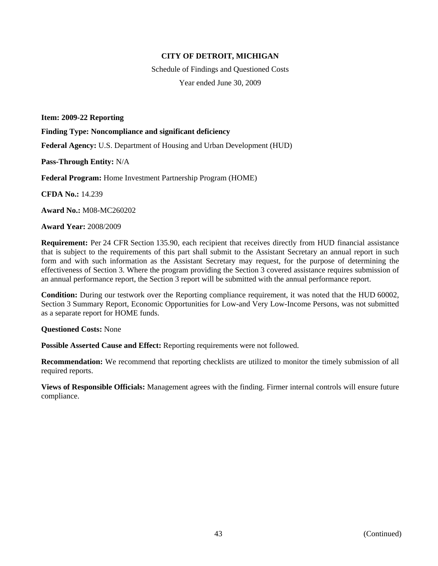Schedule of Findings and Questioned Costs Year ended June 30, 2009

**Item: 2009-22 Reporting** 

**Finding Type: Noncompliance and significant deficiency** 

**Federal Agency:** U.S. Department of Housing and Urban Development (HUD)

**Pass-Through Entity:** N/A

**Federal Program:** Home Investment Partnership Program (HOME)

**CFDA No.:** 14.239

**Award No.:** M08-MC260202

**Award Year:** 2008/2009

**Requirement:** Per 24 CFR Section 135.90, each recipient that receives directly from HUD financial assistance that is subject to the requirements of this part shall submit to the Assistant Secretary an annual report in such form and with such information as the Assistant Secretary may request, for the purpose of determining the effectiveness of Section 3. Where the program providing the Section 3 covered assistance requires submission of an annual performance report, the Section 3 report will be submitted with the annual performance report.

**Condition:** During our testwork over the Reporting compliance requirement, it was noted that the HUD 60002, Section 3 Summary Report, Economic Opportunities for Low-and Very Low-Income Persons, was not submitted as a separate report for HOME funds.

**Questioned Costs:** None

**Possible Asserted Cause and Effect:** Reporting requirements were not followed.

**Recommendation:** We recommend that reporting checklists are utilized to monitor the timely submission of all required reports.

**Views of Responsible Officials:** Management agrees with the finding. Firmer internal controls will ensure future compliance.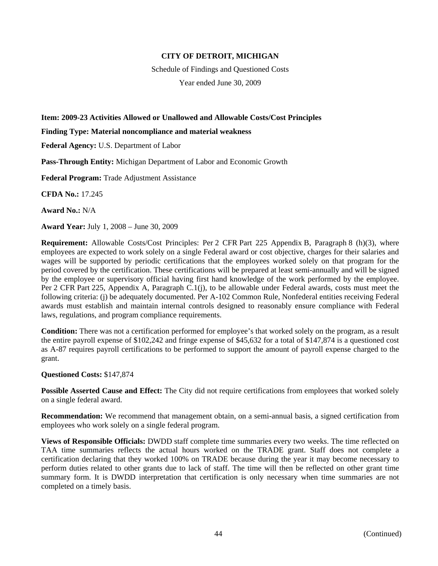Schedule of Findings and Questioned Costs

Year ended June 30, 2009

# **Item: 2009-23 Activities Allowed or Unallowed and Allowable Costs/Cost Principles**

**Finding Type: Material noncompliance and material weakness** 

**Federal Agency:** U.S. Department of Labor

**Pass-Through Entity:** Michigan Department of Labor and Economic Growth

**Federal Program:** Trade Adjustment Assistance

**CFDA No.:** 17.245

**Award No.:** N/A

**Award Year:** July 1, 2008 – June 30, 2009

**Requirement:** Allowable Costs/Cost Principles: Per 2 CFR Part 225 Appendix B, Paragraph 8 (h)(3), where employees are expected to work solely on a single Federal award or cost objective, charges for their salaries and wages will be supported by periodic certifications that the employees worked solely on that program for the period covered by the certification. These certifications will be prepared at least semi-annually and will be signed by the employee or supervisory official having first hand knowledge of the work performed by the employee. Per 2 CFR Part 225, Appendix A, Paragraph C.1(j), to be allowable under Federal awards, costs must meet the following criteria: (j) be adequately documented. Per A-102 Common Rule, Nonfederal entities receiving Federal awards must establish and maintain internal controls designed to reasonably ensure compliance with Federal laws, regulations, and program compliance requirements.

**Condition:** There was not a certification performed for employee's that worked solely on the program, as a result the entire payroll expense of \$102,242 and fringe expense of \$45,632 for a total of \$147,874 is a questioned cost as A-87 requires payroll certifications to be performed to support the amount of payroll expense charged to the grant.

## **Questioned Costs:** \$147,874

**Possible Asserted Cause and Effect:** The City did not require certifications from employees that worked solely on a single federal award.

**Recommendation:** We recommend that management obtain, on a semi-annual basis, a signed certification from employees who work solely on a single federal program.

**Views of Responsible Officials:** DWDD staff complete time summaries every two weeks. The time reflected on TAA time summaries reflects the actual hours worked on the TRADE grant. Staff does not complete a certification declaring that they worked 100% on TRADE because during the year it may become necessary to perform duties related to other grants due to lack of staff. The time will then be reflected on other grant time summary form. It is DWDD interpretation that certification is only necessary when time summaries are not completed on a timely basis.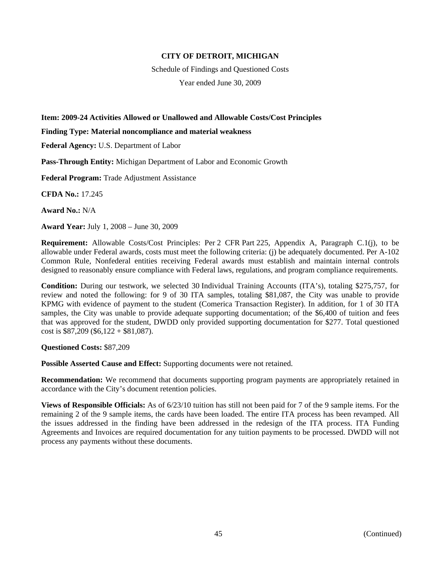Schedule of Findings and Questioned Costs

Year ended June 30, 2009

# **Item: 2009-24 Activities Allowed or Unallowed and Allowable Costs/Cost Principles**

**Finding Type: Material noncompliance and material weakness** 

**Federal Agency:** U.S. Department of Labor

**Pass-Through Entity:** Michigan Department of Labor and Economic Growth

**Federal Program:** Trade Adjustment Assistance

**CFDA No.:** 17.245

**Award No.:** N/A

**Award Year:** July 1, 2008 – June 30, 2009

**Requirement:** Allowable Costs/Cost Principles: Per 2 CFR Part 225, Appendix A, Paragraph C.1(j), to be allowable under Federal awards, costs must meet the following criteria: (j) be adequately documented. Per A-102 Common Rule, Nonfederal entities receiving Federal awards must establish and maintain internal controls designed to reasonably ensure compliance with Federal laws, regulations, and program compliance requirements.

**Condition:** During our testwork, we selected 30 Individual Training Accounts (ITA's), totaling \$275,757, for review and noted the following: for 9 of 30 ITA samples, totaling \$81,087, the City was unable to provide KPMG with evidence of payment to the student (Comerica Transaction Register). In addition, for 1 of 30 ITA samples, the City was unable to provide adequate supporting documentation; of the \$6,400 of tuition and fees that was approved for the student, DWDD only provided supporting documentation for \$277. Total questioned cost is  $$87,209$  (\$6,122 + \$81,087).

**Questioned Costs:** \$87,209

**Possible Asserted Cause and Effect:** Supporting documents were not retained.

**Recommendation:** We recommend that documents supporting program payments are appropriately retained in accordance with the City's document retention policies.

**Views of Responsible Officials:** As of 6/23/10 tuition has still not been paid for 7 of the 9 sample items. For the remaining 2 of the 9 sample items, the cards have been loaded. The entire ITA process has been revamped. All the issues addressed in the finding have been addressed in the redesign of the ITA process. ITA Funding Agreements and Invoices are required documentation for any tuition payments to be processed. DWDD will not process any payments without these documents.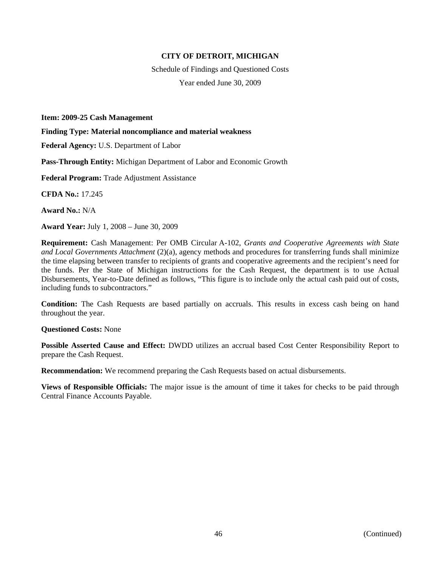Schedule of Findings and Questioned Costs Year ended June 30, 2009

**Item: 2009-25 Cash Management** 

**Finding Type: Material noncompliance and material weakness** 

**Federal Agency:** U.S. Department of Labor

**Pass-Through Entity:** Michigan Department of Labor and Economic Growth

**Federal Program:** Trade Adjustment Assistance

**CFDA No.:** 17.245

**Award No.:** N/A

**Award Year:** July 1, 2008 – June 30, 2009

**Requirement:** Cash Management: Per OMB Circular A-102, *Grants and Cooperative Agreements with State and Local Governments Attachment* (2)(a), agency methods and procedures for transferring funds shall minimize the time elapsing between transfer to recipients of grants and cooperative agreements and the recipient's need for the funds. Per the State of Michigan instructions for the Cash Request, the department is to use Actual Disbursements, Year-to-Date defined as follows, "This figure is to include only the actual cash paid out of costs, including funds to subcontractors."

**Condition:** The Cash Requests are based partially on accruals. This results in excess cash being on hand throughout the year.

#### **Questioned Costs:** None

**Possible Asserted Cause and Effect:** DWDD utilizes an accrual based Cost Center Responsibility Report to prepare the Cash Request.

**Recommendation:** We recommend preparing the Cash Requests based on actual disbursements.

**Views of Responsible Officials:** The major issue is the amount of time it takes for checks to be paid through Central Finance Accounts Payable.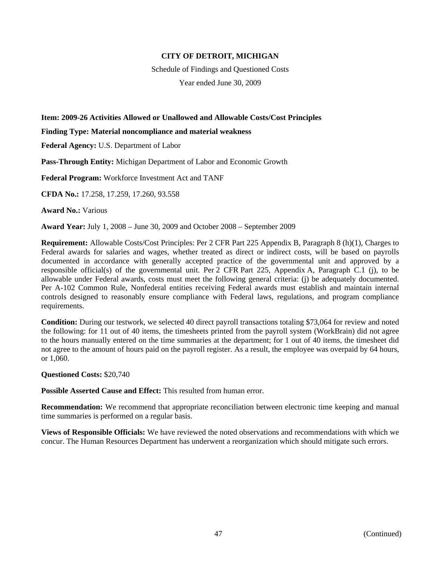Schedule of Findings and Questioned Costs

Year ended June 30, 2009

# **Item: 2009-26 Activities Allowed or Unallowed and Allowable Costs/Cost Principles**

**Finding Type: Material noncompliance and material weakness** 

**Federal Agency:** U.S. Department of Labor

**Pass-Through Entity:** Michigan Department of Labor and Economic Growth

**Federal Program:** Workforce Investment Act and TANF

**CFDA No.:** 17.258, 17.259, 17.260, 93.558

**Award No.:** Various

**Award Year:** July 1, 2008 – June 30, 2009 and October 2008 – September 2009

**Requirement:** Allowable Costs/Cost Principles: Per 2 CFR Part 225 Appendix B, Paragraph 8 (h)(1), Charges to Federal awards for salaries and wages, whether treated as direct or indirect costs, will be based on payrolls documented in accordance with generally accepted practice of the governmental unit and approved by a responsible official(s) of the governmental unit. Per 2 CFR Part 225, Appendix A, Paragraph C.1 (j), to be allowable under Federal awards, costs must meet the following general criteria: (j) be adequately documented. Per A-102 Common Rule, Nonfederal entities receiving Federal awards must establish and maintain internal controls designed to reasonably ensure compliance with Federal laws, regulations, and program compliance requirements.

**Condition:** During our testwork, we selected 40 direct payroll transactions totaling \$73,064 for review and noted the following: for 11 out of 40 items, the timesheets printed from the payroll system (WorkBrain) did not agree to the hours manually entered on the time summaries at the department; for 1 out of 40 items, the timesheet did not agree to the amount of hours paid on the payroll register. As a result, the employee was overpaid by 64 hours, or 1,060.

**Questioned Costs:** \$20,740

**Possible Asserted Cause and Effect:** This resulted from human error.

**Recommendation:** We recommend that appropriate reconciliation between electronic time keeping and manual time summaries is performed on a regular basis.

**Views of Responsible Officials:** We have reviewed the noted observations and recommendations with which we concur. The Human Resources Department has underwent a reorganization which should mitigate such errors.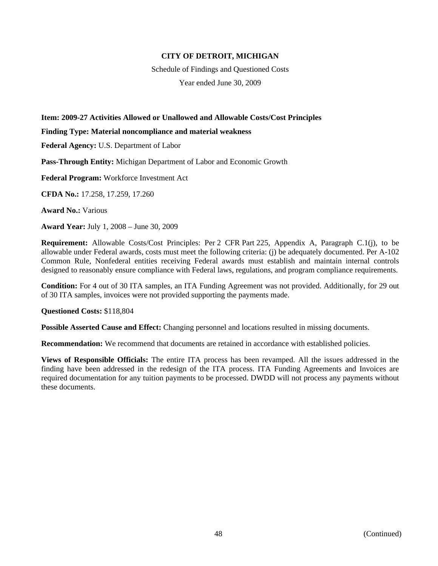Schedule of Findings and Questioned Costs Year ended June 30, 2009

## **Item: 2009-27 Activities Allowed or Unallowed and Allowable Costs/Cost Principles**

#### **Finding Type: Material noncompliance and material weakness**

**Federal Agency:** U.S. Department of Labor

**Pass-Through Entity:** Michigan Department of Labor and Economic Growth

**Federal Program:** Workforce Investment Act

**CFDA No.:** 17.258, 17.259, 17.260

**Award No.:** Various

**Award Year:** July 1, 2008 – June 30, 2009

**Requirement:** Allowable Costs/Cost Principles: Per 2 CFR Part 225, Appendix A, Paragraph C.1(j), to be allowable under Federal awards, costs must meet the following criteria: (j) be adequately documented. Per A-102 Common Rule, Nonfederal entities receiving Federal awards must establish and maintain internal controls designed to reasonably ensure compliance with Federal laws, regulations, and program compliance requirements.

**Condition:** For 4 out of 30 ITA samples, an ITA Funding Agreement was not provided. Additionally, for 29 out of 30 ITA samples, invoices were not provided supporting the payments made.

**Questioned Costs:** \$118,804

**Possible Asserted Cause and Effect:** Changing personnel and locations resulted in missing documents.

**Recommendation:** We recommend that documents are retained in accordance with established policies.

**Views of Responsible Officials:** The entire ITA process has been revamped. All the issues addressed in the finding have been addressed in the redesign of the ITA process. ITA Funding Agreements and Invoices are required documentation for any tuition payments to be processed. DWDD will not process any payments without these documents.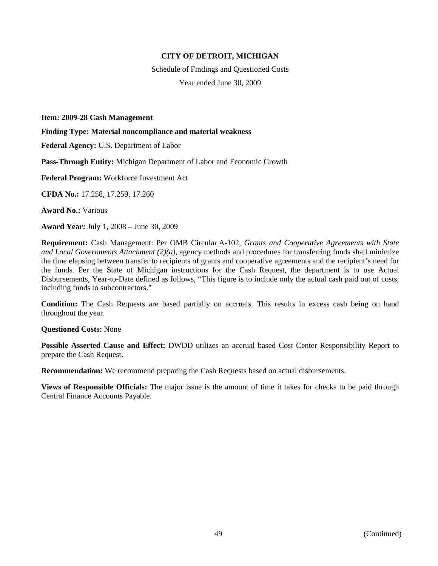Schedule of Findings and Questioned Costs Year ended June 30, 2009

**Item: 2009-28 Cash Management** 

**Finding Type: Material noncompliance and material weakness** 

**Federal Agency:** U.S. Department of Labor

**Pass-Through Entity:** Michigan Department of Labor and Economic Growth

**Federal Program:** Workforce Investment Act

**CFDA No.:** 17.258, 17.259, 17.260

**Award No.:** Various

**Award Year:** July 1, 2008 – June 30, 2009

**Requirement:** Cash Management: Per OMB Circular A-102, *Grants and Cooperative Agreements with State and Local Governments Attachment (2)(a)*, agency methods and procedures for transferring funds shall minimize the time elapsing between transfer to recipients of grants and cooperative agreements and the recipient's need for the funds. Per the State of Michigan instructions for the Cash Request, the department is to use Actual Disbursements, Year-to-Date defined as follows, "This figure is to include only the actual cash paid out of costs, including funds to subcontractors."

**Condition:** The Cash Requests are based partially on accruals. This results in excess cash being on hand throughout the year.

## **Questioned Costs:** None

**Possible Asserted Cause and Effect:** DWDD utilizes an accrual based Cost Center Responsibility Report to prepare the Cash Request.

**Recommendation:** We recommend preparing the Cash Requests based on actual disbursements.

**Views of Responsible Officials:** The major issue is the amount of time it takes for checks to be paid through Central Finance Accounts Payable.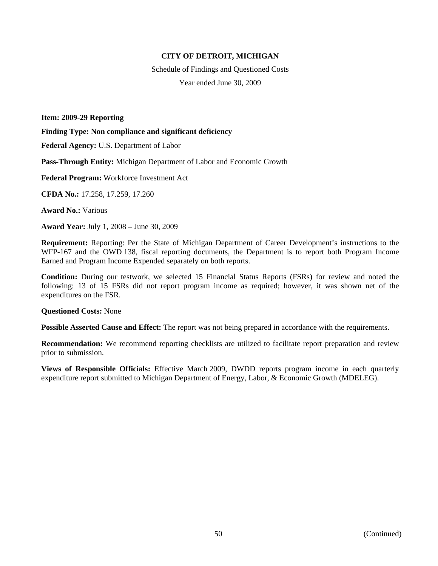Schedule of Findings and Questioned Costs Year ended June 30, 2009

**Item: 2009-29 Reporting** 

**Finding Type: Non compliance and significant deficiency** 

**Federal Agency:** U.S. Department of Labor

**Pass-Through Entity:** Michigan Department of Labor and Economic Growth

**Federal Program:** Workforce Investment Act

**CFDA No.:** 17.258, 17.259, 17.260

**Award No.:** Various

**Award Year:** July 1, 2008 – June 30, 2009

**Requirement:** Reporting: Per the State of Michigan Department of Career Development's instructions to the WFP-167 and the OWD 138, fiscal reporting documents, the Department is to report both Program Income Earned and Program Income Expended separately on both reports.

**Condition:** During our testwork, we selected 15 Financial Status Reports (FSRs) for review and noted the following: 13 of 15 FSRs did not report program income as required; however, it was shown net of the expenditures on the FSR.

**Questioned Costs:** None

**Possible Asserted Cause and Effect:** The report was not being prepared in accordance with the requirements.

**Recommendation:** We recommend reporting checklists are utilized to facilitate report preparation and review prior to submission.

**Views of Responsible Officials:** Effective March 2009, DWDD reports program income in each quarterly expenditure report submitted to Michigan Department of Energy, Labor, & Economic Growth (MDELEG).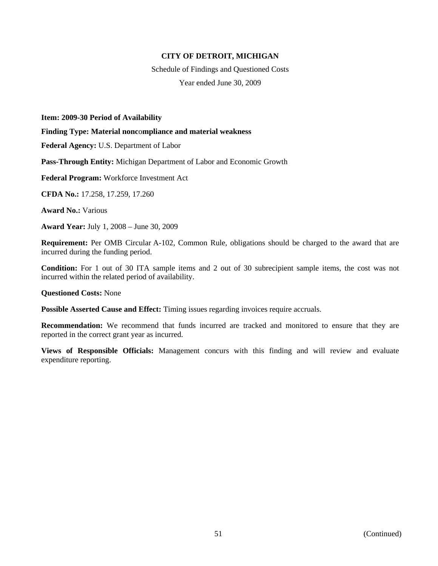Schedule of Findings and Questioned Costs Year ended June 30, 2009

**Item: 2009-30 Period of Availability** 

**Finding Type: Material nonc**o**mpliance and material weakness** 

**Federal Agency:** U.S. Department of Labor

**Pass-Through Entity:** Michigan Department of Labor and Economic Growth

**Federal Program:** Workforce Investment Act

**CFDA No.:** 17.258, 17.259, 17.260

**Award No.:** Various

**Award Year:** July 1, 2008 – June 30, 2009

**Requirement:** Per OMB Circular A-102, Common Rule, obligations should be charged to the award that are incurred during the funding period.

**Condition:** For 1 out of 30 ITA sample items and 2 out of 30 subrecipient sample items, the cost was not incurred within the related period of availability.

**Questioned Costs:** None

**Possible Asserted Cause and Effect:** Timing issues regarding invoices require accruals.

**Recommendation:** We recommend that funds incurred are tracked and monitored to ensure that they are reported in the correct grant year as incurred.

**Views of Responsible Officials:** Management concurs with this finding and will review and evaluate expenditure reporting.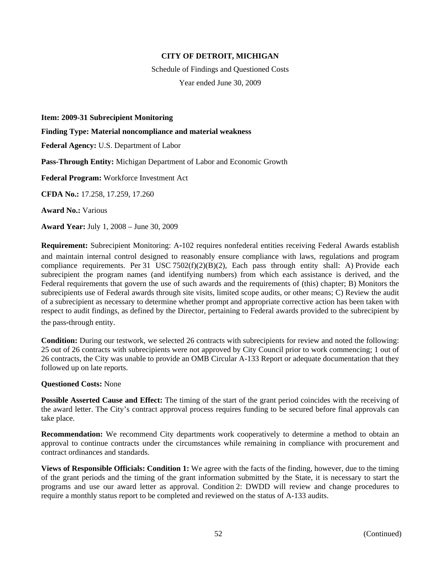Schedule of Findings and Questioned Costs Year ended June 30, 2009

**Item: 2009-31 Subrecipient Monitoring** 

**Finding Type: Material noncompliance and material weakness** 

**Federal Agency:** U.S. Department of Labor

**Pass-Through Entity:** Michigan Department of Labor and Economic Growth

**Federal Program:** Workforce Investment Act

**CFDA No.:** 17.258, 17.259, 17.260

**Award No.:** Various

**Award Year:** July 1, 2008 – June 30, 2009

**Requirement:** Subrecipient Monitoring: A‑102 requires nonfederal entities receiving Federal Awards establish and maintain internal control designed to reasonably ensure compliance with laws, regulations and program compliance requirements. Per 31 USC 7502(f)(2)(B)(2), Each pass through entity shall: A) Provide each subrecipient the program names (and identifying numbers) from which each assistance is derived, and the Federal requirements that govern the use of such awards and the requirements of (this) chapter; B) Monitors the subrecipients use of Federal awards through site visits, limited scope audits, or other means; C) Review the audit of a subrecipient as necessary to determine whether prompt and appropriate corrective action has been taken with respect to audit findings, as defined by the Director, pertaining to Federal awards provided to the subrecipient by the pass‑through entity.

**Condition:** During our testwork, we selected 26 contracts with subrecipients for review and noted the following: 25 out of 26 contracts with subrecipients were not approved by City Council prior to work commencing; 1 out of 26 contracts, the City was unable to provide an OMB Circular A-133 Report or adequate documentation that they followed up on late reports.

## **Questioned Costs:** None

**Possible Asserted Cause and Effect:** The timing of the start of the grant period coincides with the receiving of the award letter. The City's contract approval process requires funding to be secured before final approvals can take place.

**Recommendation:** We recommend City departments work cooperatively to determine a method to obtain an approval to continue contracts under the circumstances while remaining in compliance with procurement and contract ordinances and standards.

**Views of Responsible Officials: Condition 1:** We agree with the facts of the finding, however, due to the timing of the grant periods and the timing of the grant information submitted by the State, it is necessary to start the programs and use our award letter as approval. Condition 2: DWDD will review and change procedures to require a monthly status report to be completed and reviewed on the status of A-133 audits.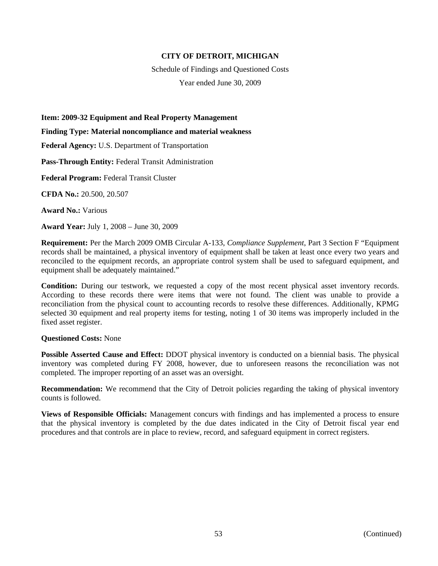Schedule of Findings and Questioned Costs Year ended June 30, 2009

**Item: 2009-32 Equipment and Real Property Management** 

**Finding Type: Material noncompliance and material weakness** 

**Federal Agency:** U.S. Department of Transportation

**Pass-Through Entity:** Federal Transit Administration

**Federal Program:** Federal Transit Cluster

**CFDA No.:** 20.500, 20.507

**Award No.:** Various

**Award Year:** July 1, 2008 – June 30, 2009

**Requirement:** Per the March 2009 OMB Circular A-133, *Compliance Supplement*, Part 3 Section F "Equipment records shall be maintained, a physical inventory of equipment shall be taken at least once every two years and reconciled to the equipment records, an appropriate control system shall be used to safeguard equipment, and equipment shall be adequately maintained."

**Condition:** During our testwork, we requested a copy of the most recent physical asset inventory records. According to these records there were items that were not found. The client was unable to provide a reconciliation from the physical count to accounting records to resolve these differences. Additionally, KPMG selected 30 equipment and real property items for testing, noting 1 of 30 items was improperly included in the fixed asset register.

## **Questioned Costs:** None

**Possible Asserted Cause and Effect:** DDOT physical inventory is conducted on a biennial basis. The physical inventory was completed during FY 2008, however, due to unforeseen reasons the reconciliation was not completed. The improper reporting of an asset was an oversight.

**Recommendation:** We recommend that the City of Detroit policies regarding the taking of physical inventory counts is followed.

**Views of Responsible Officials:** Management concurs with findings and has implemented a process to ensure that the physical inventory is completed by the due dates indicated in the City of Detroit fiscal year end procedures and that controls are in place to review, record, and safeguard equipment in correct registers.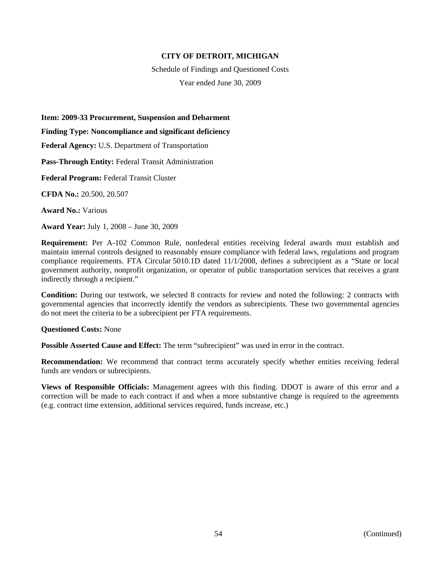Schedule of Findings and Questioned Costs Year ended June 30, 2009

**Item: 2009-33 Procurement, Suspension and Debarment** 

**Finding Type: Noncompliance and significant deficiency** 

**Federal Agency:** U.S. Department of Transportation

**Pass-Through Entity:** Federal Transit Administration

**Federal Program:** Federal Transit Cluster

**CFDA No.:** 20.500, 20.507

**Award No.:** Various

**Award Year:** July 1, 2008 – June 30, 2009

**Requirement:** Per A-102 Common Rule, nonfederal entities receiving federal awards must establish and maintain internal controls designed to reasonably ensure compliance with federal laws, regulations and program compliance requirements. FTA Circular 5010.1D dated 11/1/2008, defines a subrecipient as a "State or local government authority, nonprofit organization, or operator of public transportation services that receives a grant indirectly through a recipient."

**Condition:** During our testwork, we selected 8 contracts for review and noted the following: 2 contracts with governmental agencies that incorrectly identify the vendors as subrecipients. These two governmental agencies do not meet the criteria to be a subrecipient per FTA requirements.

**Questioned Costs:** None

**Possible Asserted Cause and Effect:** The term "subrecipient" was used in error in the contract.

**Recommendation:** We recommend that contract terms accurately specify whether entities receiving federal funds are vendors or subrecipients.

**Views of Responsible Officials:** Management agrees with this finding. DDOT is aware of this error and a correction will be made to each contract if and when a more substantive change is required to the agreements (e.g. contract time extension, additional services required, funds increase, etc.)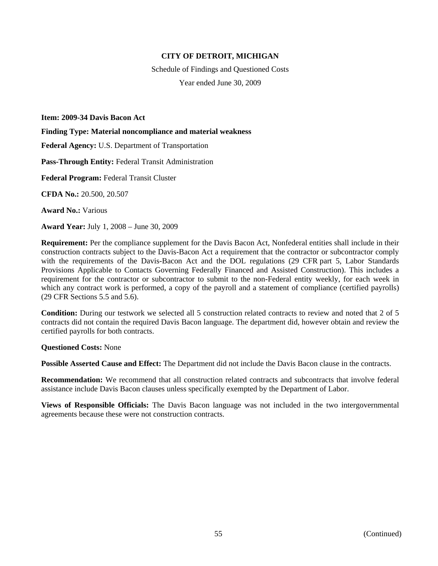Schedule of Findings and Questioned Costs Year ended June 30, 2009

**Item: 2009-34 Davis Bacon Act** 

**Finding Type: Material noncompliance and material weakness** 

**Federal Agency:** U.S. Department of Transportation

**Pass-Through Entity:** Federal Transit Administration

**Federal Program:** Federal Transit Cluster

**CFDA No.:** 20.500, 20.507

**Award No.:** Various

**Award Year:** July 1, 2008 – June 30, 2009

**Requirement:** Per the compliance supplement for the Davis Bacon Act, Nonfederal entities shall include in their construction contracts subject to the Davis-Bacon Act a requirement that the contractor or subcontractor comply with the requirements of the Davis-Bacon Act and the DOL regulations (29 CFR part 5, Labor Standards Provisions Applicable to Contacts Governing Federally Financed and Assisted Construction). This includes a requirement for the contractor or subcontractor to submit to the non-Federal entity weekly, for each week in which any contract work is performed, a copy of the payroll and a statement of compliance (certified payrolls) (29 CFR Sections 5.5 and 5.6).

**Condition:** During our testwork we selected all 5 construction related contracts to review and noted that 2 of 5 contracts did not contain the required Davis Bacon language. The department did, however obtain and review the certified payrolls for both contracts.

**Questioned Costs:** None

**Possible Asserted Cause and Effect:** The Department did not include the Davis Bacon clause in the contracts.

**Recommendation:** We recommend that all construction related contracts and subcontracts that involve federal assistance include Davis Bacon clauses unless specifically exempted by the Department of Labor.

**Views of Responsible Officials:** The Davis Bacon language was not included in the two intergovernmental agreements because these were not construction contracts.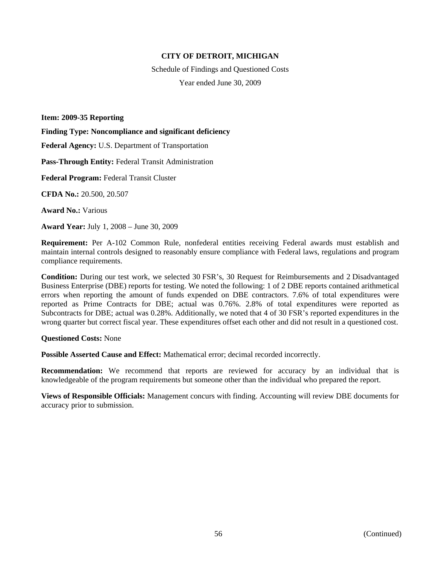Schedule of Findings and Questioned Costs Year ended June 30, 2009

**Item: 2009-35 Reporting** 

**Finding Type: Noncompliance and significant deficiency** 

**Federal Agency:** U.S. Department of Transportation

**Pass-Through Entity:** Federal Transit Administration

**Federal Program:** Federal Transit Cluster

**CFDA No.:** 20.500, 20.507

**Award No.:** Various

**Award Year:** July 1, 2008 – June 30, 2009

**Requirement:** Per A-102 Common Rule, nonfederal entities receiving Federal awards must establish and maintain internal controls designed to reasonably ensure compliance with Federal laws, regulations and program compliance requirements.

**Condition:** During our test work, we selected 30 FSR's, 30 Request for Reimbursements and 2 Disadvantaged Business Enterprise (DBE) reports for testing. We noted the following: 1 of 2 DBE reports contained arithmetical errors when reporting the amount of funds expended on DBE contractors. 7.6% of total expenditures were reported as Prime Contracts for DBE; actual was 0.76%. 2.8% of total expenditures were reported as Subcontracts for DBE; actual was 0.28%. Additionally, we noted that 4 of 30 FSR's reported expenditures in the wrong quarter but correct fiscal year. These expenditures offset each other and did not result in a questioned cost.

**Questioned Costs:** None

**Possible Asserted Cause and Effect:** Mathematical error; decimal recorded incorrectly.

**Recommendation:** We recommend that reports are reviewed for accuracy by an individual that is knowledgeable of the program requirements but someone other than the individual who prepared the report.

**Views of Responsible Officials:** Management concurs with finding. Accounting will review DBE documents for accuracy prior to submission.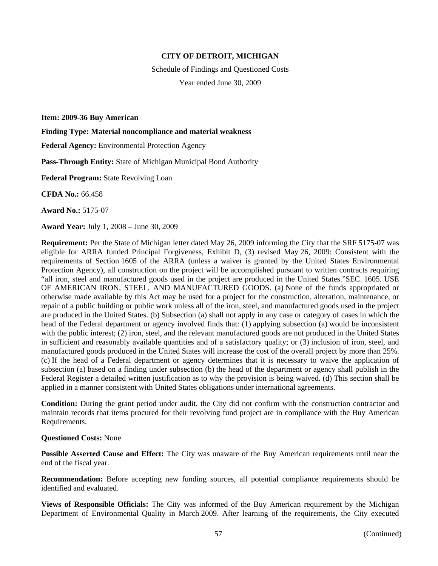Schedule of Findings and Questioned Costs Year ended June 30, 2009

**Item: 2009-36 Buy American** 

**Finding Type: Material noncompliance and material weakness** 

**Federal Agency:** Environmental Protection Agency

**Pass-Through Entity:** State of Michigan Municipal Bond Authority

**Federal Program:** State Revolving Loan

**CFDA No.:** 66.458

**Award No.:** 5175-07

**Award Year:** July 1, 2008 – June 30, 2009

**Requirement:** Per the State of Michigan letter dated May 26, 2009 informing the City that the SRF 5175-07 was eligible for ARRA funded Principal Forgiveness, Exhibit D, (3) revised May 26, 2009: Consistent with the requirements of Section 1605 of the ARRA (unless a waiver is granted by the United States Environmental Protection Agency), all construction on the project will be accomplished pursuant to written contracts requiring "all iron, steel and manufactured goods used in the project are produced in the United States."SEC. 1605. USE OF AMERICAN IRON, STEEL, AND MANUFACTURED GOODS. (a) None of the funds appropriated or otherwise made available by this Act may be used for a project for the construction, alteration, maintenance, or repair of a public building or public work unless all of the iron, steel, and manufactured goods used in the project are produced in the United States. (b) Subsection (a) shall not apply in any case or category of cases in which the head of the Federal department or agency involved finds that: (1) applying subsection (a) would be inconsistent with the public interest; (2) iron, steel, and the relevant manufactured goods are not produced in the United States in sufficient and reasonably available quantities and of a satisfactory quality; or (3) inclusion of iron, steel, and manufactured goods produced in the United States will increase the cost of the overall project by more than 25%. (c) If the head of a Federal department or agency determines that it is necessary to waive the application of subsection (a) based on a finding under subsection (b) the head of the department or agency shall publish in the Federal Register a detailed written justification as to why the provision is being waived. (d) This section shall be applied in a manner consistent with United States obligations under international agreements.

**Condition:** During the grant period under audit, the City did not confirm with the construction contractor and maintain records that items procured for their revolving fund project are in compliance with the Buy American Requirements.

## **Questioned Costs:** None

**Possible Asserted Cause and Effect:** The City was unaware of the Buy American requirements until near the end of the fiscal year.

**Recommendation:** Before accepting new funding sources, all potential compliance requirements should be identified and evaluated.

**Views of Responsible Officials:** The City was informed of the Buy American requirement by the Michigan Department of Environmental Quality in March 2009. After learning of the requirements, the City executed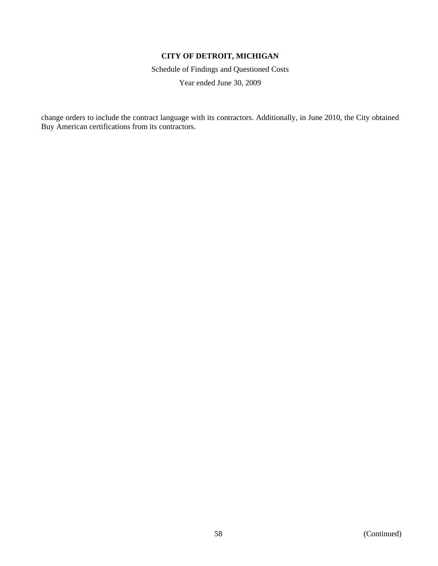Schedule of Findings and Questioned Costs

Year ended June 30, 2009

change orders to include the contract language with its contractors. Additionally, in June 2010, the City obtained Buy American certifications from its contractors.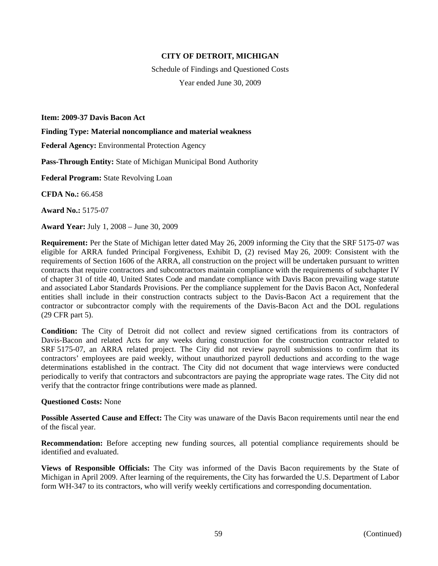Schedule of Findings and Questioned Costs Year ended June 30, 2009

**Item: 2009-37 Davis Bacon Act** 

**Finding Type: Material noncompliance and material weakness** 

**Federal Agency:** Environmental Protection Agency

**Pass-Through Entity:** State of Michigan Municipal Bond Authority

**Federal Program:** State Revolving Loan

**CFDA No.:** 66.458

**Award No.:** 5175-07

**Award Year:** July 1, 2008 – June 30, 2009

**Requirement:** Per the State of Michigan letter dated May 26, 2009 informing the City that the SRF 5175-07 was eligible for ARRA funded Principal Forgiveness, Exhibit D, (2) revised May 26, 2009: Consistent with the requirements of Section 1606 of the ARRA, all construction on the project will be undertaken pursuant to written contracts that require contractors and subcontractors maintain compliance with the requirements of subchapter IV of chapter 31 of title 40, United States Code and mandate compliance with Davis Bacon prevailing wage statute and associated Labor Standards Provisions. Per the compliance supplement for the Davis Bacon Act, Nonfederal entities shall include in their construction contracts subject to the Davis-Bacon Act a requirement that the contractor or subcontractor comply with the requirements of the Davis-Bacon Act and the DOL regulations (29 CFR part 5).

**Condition:** The City of Detroit did not collect and review signed certifications from its contractors of Davis-Bacon and related Acts for any weeks during construction for the construction contractor related to SRF 5175-07, an ARRA related project. The City did not review payroll submissions to confirm that its contractors' employees are paid weekly, without unauthorized payroll deductions and according to the wage determinations established in the contract. The City did not document that wage interviews were conducted periodically to verify that contractors and subcontractors are paying the appropriate wage rates. The City did not verify that the contractor fringe contributions were made as planned.

## **Questioned Costs:** None

**Possible Asserted Cause and Effect:** The City was unaware of the Davis Bacon requirements until near the end of the fiscal year.

**Recommendation:** Before accepting new funding sources, all potential compliance requirements should be identified and evaluated.

**Views of Responsible Officials:** The City was informed of the Davis Bacon requirements by the State of Michigan in April 2009. After learning of the requirements, the City has forwarded the U.S. Department of Labor form WH-347 to its contractors, who will verify weekly certifications and corresponding documentation.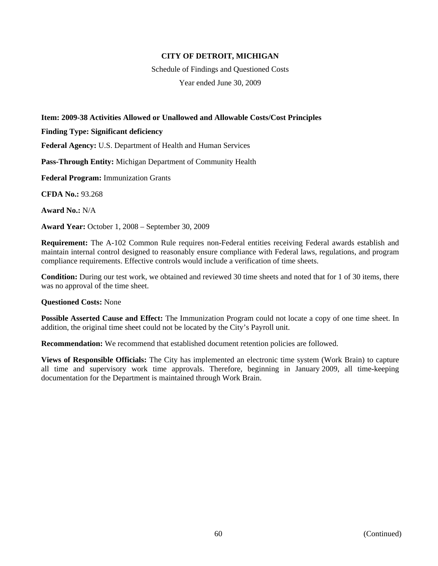Schedule of Findings and Questioned Costs Year ended June 30, 2009

# **Item: 2009-38 Activities Allowed or Unallowed and Allowable Costs/Cost Principles**

## **Finding Type: Significant deficiency**

**Federal Agency:** U.S. Department of Health and Human Services

**Pass-Through Entity:** Michigan Department of Community Health

**Federal Program:** Immunization Grants

**CFDA No.:** 93.268

**Award No.:** N/A

**Award Year:** October 1, 2008 – September 30, 2009

**Requirement:** The A-102 Common Rule requires non-Federal entities receiving Federal awards establish and maintain internal control designed to reasonably ensure compliance with Federal laws, regulations, and program compliance requirements. Effective controls would include a verification of time sheets.

**Condition:** During our test work, we obtained and reviewed 30 time sheets and noted that for 1 of 30 items, there was no approval of the time sheet.

## **Questioned Costs:** None

**Possible Asserted Cause and Effect:** The Immunization Program could not locate a copy of one time sheet. In addition, the original time sheet could not be located by the City's Payroll unit.

**Recommendation:** We recommend that established document retention policies are followed.

**Views of Responsible Officials:** The City has implemented an electronic time system (Work Brain) to capture all time and supervisory work time approvals. Therefore, beginning in January 2009, all time-keeping documentation for the Department is maintained through Work Brain.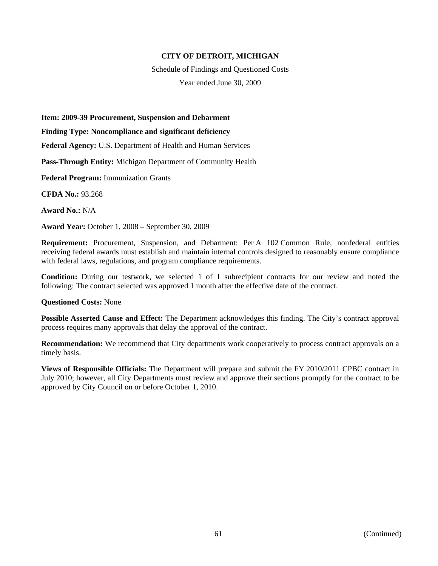Schedule of Findings and Questioned Costs Year ended June 30, 2009

**Item: 2009-39 Procurement, Suspension and Debarment** 

**Finding Type: Noncompliance and significant deficiency** 

**Federal Agency:** U.S. Department of Health and Human Services

**Pass-Through Entity:** Michigan Department of Community Health

**Federal Program:** Immunization Grants

**CFDA No.:** 93.268

**Award No.:** N/A

**Award Year:** October 1, 2008 – September 30, 2009

**Requirement:** Procurement, Suspension, and Debarment: Per A 102 Common Rule, nonfederal entities receiving federal awards must establish and maintain internal controls designed to reasonably ensure compliance with federal laws, regulations, and program compliance requirements.

**Condition:** During our testwork, we selected 1 of 1 subrecipient contracts for our review and noted the following: The contract selected was approved 1 month after the effective date of the contract.

# **Questioned Costs:** None

**Possible Asserted Cause and Effect:** The Department acknowledges this finding. The City's contract approval process requires many approvals that delay the approval of the contract.

**Recommendation:** We recommend that City departments work cooperatively to process contract approvals on a timely basis.

**Views of Responsible Officials:** The Department will prepare and submit the FY 2010/2011 CPBC contract in July 2010; however, all City Departments must review and approve their sections promptly for the contract to be approved by City Council on or before October 1, 2010.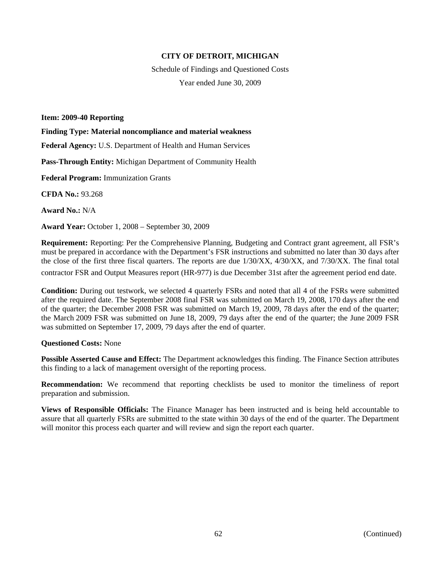Schedule of Findings and Questioned Costs Year ended June 30, 2009

**Item: 2009-40 Reporting** 

**Finding Type: Material noncompliance and material weakness** 

**Federal Agency:** U.S. Department of Health and Human Services

**Pass-Through Entity:** Michigan Department of Community Health

**Federal Program:** Immunization Grants

**CFDA No.:** 93.268

**Award No.:** N/A

**Award Year:** October 1, 2008 – September 30, 2009

**Requirement:** Reporting: Per the Comprehensive Planning, Budgeting and Contract grant agreement, all FSR's must be prepared in accordance with the Department's FSR instructions and submitted no later than 30 days after the close of the first three fiscal quarters. The reports are due 1/30/XX, 4/30/XX, and 7/30/XX. The final total

contractor FSR and Output Measures report (HR‑977) is due December 31st after the agreement period end date.

**Condition:** During out testwork, we selected 4 quarterly FSRs and noted that all 4 of the FSRs were submitted after the required date. The September 2008 final FSR was submitted on March 19, 2008, 170 days after the end of the quarter; the December 2008 FSR was submitted on March 19, 2009, 78 days after the end of the quarter; the March 2009 FSR was submitted on June 18, 2009, 79 days after the end of the quarter; the June 2009 FSR was submitted on September 17, 2009, 79 days after the end of quarter.

## **Questioned Costs:** None

**Possible Asserted Cause and Effect:** The Department acknowledges this finding. The Finance Section attributes this finding to a lack of management oversight of the reporting process.

**Recommendation:** We recommend that reporting checklists be used to monitor the timeliness of report preparation and submission.

**Views of Responsible Officials:** The Finance Manager has been instructed and is being held accountable to assure that all quarterly FSRs are submitted to the state within 30 days of the end of the quarter. The Department will monitor this process each quarter and will review and sign the report each quarter.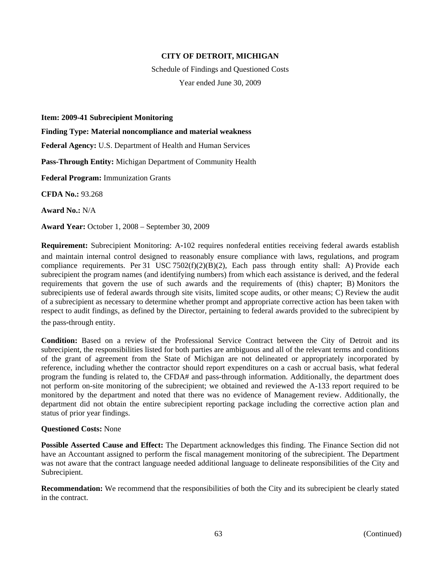Schedule of Findings and Questioned Costs Year ended June 30, 2009

**Item: 2009-41 Subrecipient Monitoring** 

**Finding Type: Material noncompliance and material weakness** 

**Federal Agency:** U.S. Department of Health and Human Services

**Pass-Through Entity:** Michigan Department of Community Health

**Federal Program:** Immunization Grants

**CFDA No.:** 93.268

**Award No.:** N/A

**Award Year:** October 1, 2008 – September 30, 2009

**Requirement:** Subrecipient Monitoring: A-102 requires nonfederal entities receiving federal awards establish and maintain internal control designed to reasonably ensure compliance with laws, regulations, and program compliance requirements. Per 31 USC 7502(f)(2)(B)(2), Each pass through entity shall: A) Provide each subrecipient the program names (and identifying numbers) from which each assistance is derived, and the federal requirements that govern the use of such awards and the requirements of (this) chapter; B) Monitors the subrecipients use of federal awards through site visits, limited scope audits, or other means; C) Review the audit of a subrecipient as necessary to determine whether prompt and appropriate corrective action has been taken with respect to audit findings, as defined by the Director, pertaining to federal awards provided to the subrecipient by

the pass‑through entity.

**Condition:** Based on a review of the Professional Service Contract between the City of Detroit and its subrecipient, the responsibilities listed for both parties are ambiguous and all of the relevant terms and conditions of the grant of agreement from the State of Michigan are not delineated or appropriately incorporated by reference, including whether the contractor should report expenditures on a cash or accrual basis, what federal program the funding is related to, the CFDA# and pass-through information. Additionally, the department does not perform on-site monitoring of the subrecipient; we obtained and reviewed the A-133 report required to be monitored by the department and noted that there was no evidence of Management review. Additionally, the department did not obtain the entire subrecipient reporting package including the corrective action plan and status of prior year findings.

## **Questioned Costs:** None

**Possible Asserted Cause and Effect:** The Department acknowledges this finding. The Finance Section did not have an Accountant assigned to perform the fiscal management monitoring of the subrecipient. The Department was not aware that the contract language needed additional language to delineate responsibilities of the City and Subrecipient.

**Recommendation:** We recommend that the responsibilities of both the City and its subrecipient be clearly stated in the contract.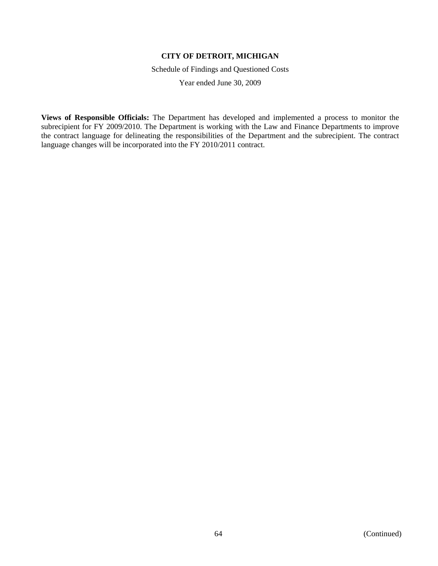Schedule of Findings and Questioned Costs

Year ended June 30, 2009

**Views of Responsible Officials:** The Department has developed and implemented a process to monitor the subrecipient for FY 2009/2010. The Department is working with the Law and Finance Departments to improve the contract language for delineating the responsibilities of the Department and the subrecipient. The contract language changes will be incorporated into the FY 2010/2011 contract.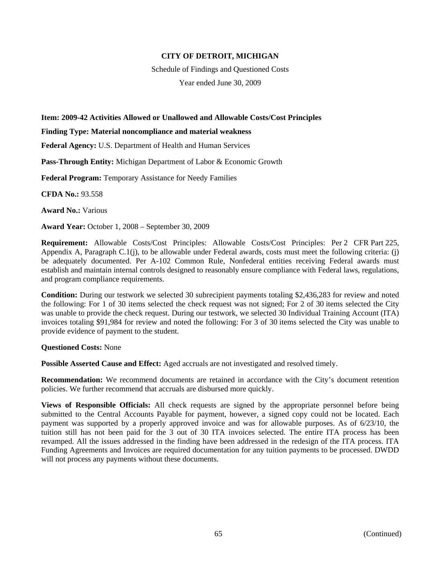Schedule of Findings and Questioned Costs Year ended June 30, 2009

# **Item: 2009-42 Activities Allowed or Unallowed and Allowable Costs/Cost Principles**

## **Finding Type: Material noncompliance and material weakness**

**Federal Agency:** U.S. Department of Health and Human Services

**Pass-Through Entity:** Michigan Department of Labor & Economic Growth

**Federal Program:** Temporary Assistance for Needy Families

**CFDA No.:** 93.558

**Award No.:** Various

**Award Year:** October 1, 2008 – September 30, 2009

**Requirement:** Allowable Costs/Cost Principles: Allowable Costs/Cost Principles: Per 2 CFR Part 225, Appendix A, Paragraph C.1(j), to be allowable under Federal awards, costs must meet the following criteria: (j) be adequately documented. Per A-102 Common Rule, Nonfederal entities receiving Federal awards must establish and maintain internal controls designed to reasonably ensure compliance with Federal laws, regulations, and program compliance requirements.

**Condition:** During our testwork we selected 30 subrecipient payments totaling \$2,436,283 for review and noted the following: For 1 of 30 items selected the check request was not signed; For 2 of 30 items selected the City was unable to provide the check request. During our testwork, we selected 30 Individual Training Account (ITA) invoices totaling \$91,984 for review and noted the following: For 3 of 30 items selected the City was unable to provide evidence of payment to the student.

## **Questioned Costs:** None

**Possible Asserted Cause and Effect:** Aged accruals are not investigated and resolved timely.

**Recommendation:** We recommend documents are retained in accordance with the City's document retention policies. We further recommend that accruals are disbursed more quickly.

**Views of Responsible Officials:** All check requests are signed by the appropriate personnel before being submitted to the Central Accounts Payable for payment, however, a signed copy could not be located. Each payment was supported by a properly approved invoice and was for allowable purposes. As of 6/23/10, the tuition still has not been paid for the 3 out of 30 ITA invoices selected. The entire ITA process has been revamped. All the issues addressed in the finding have been addressed in the redesign of the ITA process. ITA Funding Agreements and Invoices are required documentation for any tuition payments to be processed. DWDD will not process any payments without these documents.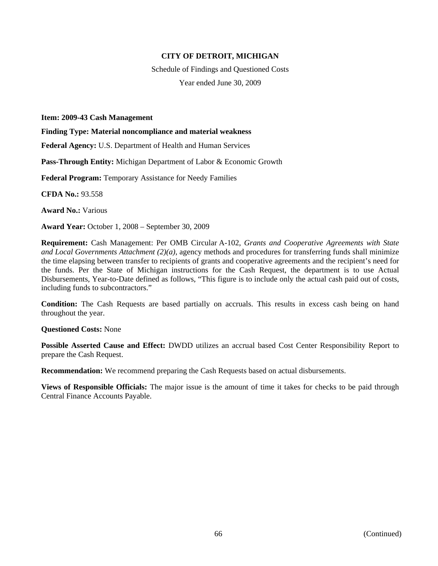Schedule of Findings and Questioned Costs Year ended June 30, 2009

**Item: 2009-43 Cash Management** 

**Finding Type: Material noncompliance and material weakness** 

**Federal Agency:** U.S. Department of Health and Human Services

**Pass-Through Entity:** Michigan Department of Labor & Economic Growth

**Federal Program:** Temporary Assistance for Needy Families

**CFDA No.:** 93.558

**Award No.:** Various

**Award Year:** October 1, 2008 – September 30, 2009

**Requirement:** Cash Management: Per OMB Circular A-102, *Grants and Cooperative Agreements with State and Local Governments Attachment (2)(a)*, agency methods and procedures for transferring funds shall minimize the time elapsing between transfer to recipients of grants and cooperative agreements and the recipient's need for the funds. Per the State of Michigan instructions for the Cash Request, the department is to use Actual Disbursements, Year-to-Date defined as follows, "This figure is to include only the actual cash paid out of costs, including funds to subcontractors."

**Condition:** The Cash Requests are based partially on accruals. This results in excess cash being on hand throughout the year.

#### **Questioned Costs:** None

**Possible Asserted Cause and Effect:** DWDD utilizes an accrual based Cost Center Responsibility Report to prepare the Cash Request.

**Recommendation:** We recommend preparing the Cash Requests based on actual disbursements.

**Views of Responsible Officials:** The major issue is the amount of time it takes for checks to be paid through Central Finance Accounts Payable.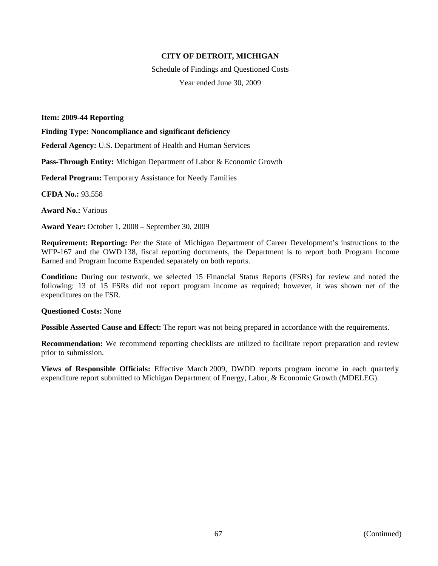Schedule of Findings and Questioned Costs Year ended June 30, 2009

**Item: 2009-44 Reporting** 

**Finding Type: Noncompliance and significant deficiency** 

**Federal Agency:** U.S. Department of Health and Human Services

**Pass-Through Entity:** Michigan Department of Labor & Economic Growth

**Federal Program:** Temporary Assistance for Needy Families

**CFDA No.:** 93.558

**Award No.:** Various

**Award Year:** October 1, 2008 – September 30, 2009

**Requirement: Reporting:** Per the State of Michigan Department of Career Development's instructions to the WFP-167 and the OWD 138, fiscal reporting documents, the Department is to report both Program Income Earned and Program Income Expended separately on both reports.

**Condition:** During our testwork, we selected 15 Financial Status Reports (FSRs) for review and noted the following: 13 of 15 FSRs did not report program income as required; however, it was shown net of the expenditures on the FSR.

**Questioned Costs:** None

**Possible Asserted Cause and Effect:** The report was not being prepared in accordance with the requirements.

**Recommendation:** We recommend reporting checklists are utilized to facilitate report preparation and review prior to submission.

**Views of Responsible Officials:** Effective March 2009, DWDD reports program income in each quarterly expenditure report submitted to Michigan Department of Energy, Labor, & Economic Growth (MDELEG).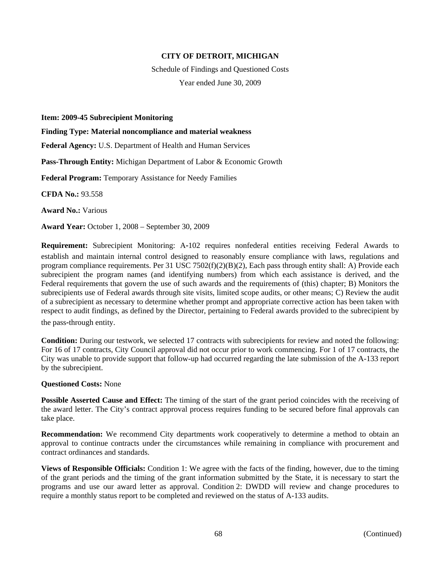Schedule of Findings and Questioned Costs Year ended June 30, 2009

**Item: 2009-45 Subrecipient Monitoring** 

**Finding Type: Material noncompliance and material weakness** 

**Federal Agency:** U.S. Department of Health and Human Services

**Pass-Through Entity:** Michigan Department of Labor & Economic Growth

**Federal Program:** Temporary Assistance for Needy Families

**CFDA No.:** 93.558

**Award No.:** Various

**Award Year:** October 1, 2008 – September 30, 2009

**Requirement:** Subrecipient Monitoring: A‑102 requires nonfederal entities receiving Federal Awards to establish and maintain internal control designed to reasonably ensure compliance with laws, regulations and program compliance requirements. Per 31 USC 7502(f)(2)(B)(2), Each pass through entity shall: A) Provide each subrecipient the program names (and identifying numbers) from which each assistance is derived, and the Federal requirements that govern the use of such awards and the requirements of (this) chapter; B) Monitors the subrecipients use of Federal awards through site visits, limited scope audits, or other means; C) Review the audit of a subrecipient as necessary to determine whether prompt and appropriate corrective action has been taken with respect to audit findings, as defined by the Director, pertaining to Federal awards provided to the subrecipient by the pass‑through entity.

**Condition:** During our testwork, we selected 17 contracts with subrecipients for review and noted the following: For 16 of 17 contracts, City Council approval did not occur prior to work commencing. For 1 of 17 contracts, the City was unable to provide support that follow-up had occurred regarding the late submission of the A-133 report by the subrecipient.

## **Questioned Costs:** None

**Possible Asserted Cause and Effect:** The timing of the start of the grant period coincides with the receiving of the award letter. The City's contract approval process requires funding to be secured before final approvals can take place.

**Recommendation:** We recommend City departments work cooperatively to determine a method to obtain an approval to continue contracts under the circumstances while remaining in compliance with procurement and contract ordinances and standards.

**Views of Responsible Officials:** Condition 1: We agree with the facts of the finding, however, due to the timing of the grant periods and the timing of the grant information submitted by the State, it is necessary to start the programs and use our award letter as approval. Condition 2: DWDD will review and change procedures to require a monthly status report to be completed and reviewed on the status of A-133 audits.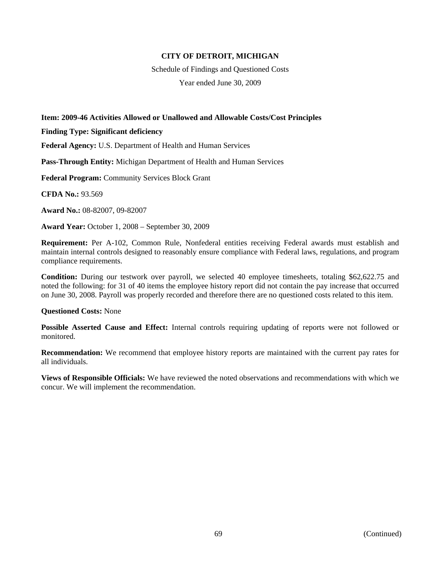Schedule of Findings and Questioned Costs Year ended June 30, 2009

## **Item: 2009-46 Activities Allowed or Unallowed and Allowable Costs/Cost Principles**

**Finding Type: Significant deficiency** 

**Federal Agency:** U.S. Department of Health and Human Services

**Pass-Through Entity:** Michigan Department of Health and Human Services

**Federal Program:** Community Services Block Grant

**CFDA No.:** 93.569

**Award No.:** 08-82007, 09-82007

**Award Year:** October 1, 2008 – September 30, 2009

**Requirement:** Per A-102, Common Rule, Nonfederal entities receiving Federal awards must establish and maintain internal controls designed to reasonably ensure compliance with Federal laws, regulations, and program compliance requirements.

**Condition:** During our testwork over payroll, we selected 40 employee timesheets, totaling \$62,622.75 and noted the following: for 31 of 40 items the employee history report did not contain the pay increase that occurred on June 30, 2008. Payroll was properly recorded and therefore there are no questioned costs related to this item.

## **Questioned Costs:** None

**Possible Asserted Cause and Effect:** Internal controls requiring updating of reports were not followed or monitored.

**Recommendation:** We recommend that employee history reports are maintained with the current pay rates for all individuals.

**Views of Responsible Officials:** We have reviewed the noted observations and recommendations with which we concur. We will implement the recommendation.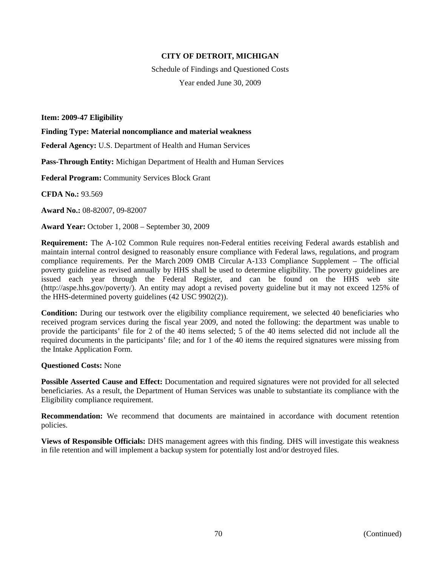Schedule of Findings and Questioned Costs Year ended June 30, 2009

**Item: 2009-47 Eligibility** 

**Finding Type: Material noncompliance and material weakness** 

**Federal Agency:** U.S. Department of Health and Human Services

**Pass-Through Entity:** Michigan Department of Health and Human Services

**Federal Program:** Community Services Block Grant

**CFDA No.:** 93.569

**Award No.:** 08-82007, 09-82007

**Award Year:** October 1, 2008 – September 30, 2009

**Requirement:** The A-102 Common Rule requires non-Federal entities receiving Federal awards establish and maintain internal control designed to reasonably ensure compliance with Federal laws, regulations, and program compliance requirements. Per the March 2009 OMB Circular A-133 Compliance Supplement – The official poverty guideline as revised annually by HHS shall be used to determine eligibility. The poverty guidelines are issued each year through the Federal Register, and can be found on the HHS web site (http://aspe.hhs.gov/poverty/). An entity may adopt a revised poverty guideline but it may not exceed 125% of the HHS-determined poverty guidelines (42 USC 9902(2)).

**Condition:** During our testwork over the eligibility compliance requirement, we selected 40 beneficiaries who received program services during the fiscal year 2009, and noted the following: the department was unable to provide the participants' file for 2 of the 40 items selected; 5 of the 40 items selected did not include all the required documents in the participants' file; and for 1 of the 40 items the required signatures were missing from the Intake Application Form.

## **Questioned Costs:** None

**Possible Asserted Cause and Effect:** Documentation and required signatures were not provided for all selected beneficiaries. As a result, the Department of Human Services was unable to substantiate its compliance with the Eligibility compliance requirement.

**Recommendation:** We recommend that documents are maintained in accordance with document retention policies.

**Views of Responsible Officials:** DHS management agrees with this finding. DHS will investigate this weakness in file retention and will implement a backup system for potentially lost and/or destroyed files.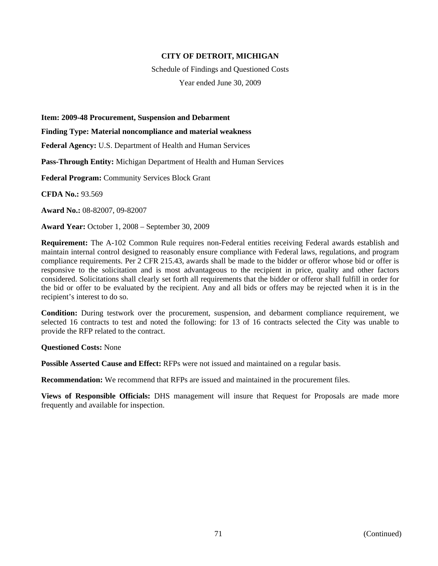Schedule of Findings and Questioned Costs

Year ended June 30, 2009

**Item: 2009-48 Procurement, Suspension and Debarment** 

**Finding Type: Material noncompliance and material weakness** 

**Federal Agency:** U.S. Department of Health and Human Services

**Pass-Through Entity:** Michigan Department of Health and Human Services

**Federal Program:** Community Services Block Grant

**CFDA No.:** 93.569

**Award No.:** 08-82007, 09-82007

**Award Year:** October 1, 2008 – September 30, 2009

**Requirement:** The A-102 Common Rule requires non-Federal entities receiving Federal awards establish and maintain internal control designed to reasonably ensure compliance with Federal laws, regulations, and program compliance requirements. Per 2 CFR 215.43, awards shall be made to the bidder or offeror whose bid or offer is responsive to the solicitation and is most advantageous to the recipient in price, quality and other factors considered. Solicitations shall clearly set forth all requirements that the bidder or offeror shall fulfill in order for the bid or offer to be evaluated by the recipient. Any and all bids or offers may be rejected when it is in the recipient's interest to do so.

**Condition:** During testwork over the procurement, suspension, and debarment compliance requirement, we selected 16 contracts to test and noted the following: for 13 of 16 contracts selected the City was unable to provide the RFP related to the contract.

**Questioned Costs:** None

**Possible Asserted Cause and Effect:** RFPs were not issued and maintained on a regular basis.

**Recommendation:** We recommend that RFPs are issued and maintained in the procurement files.

**Views of Responsible Officials:** DHS management will insure that Request for Proposals are made more frequently and available for inspection.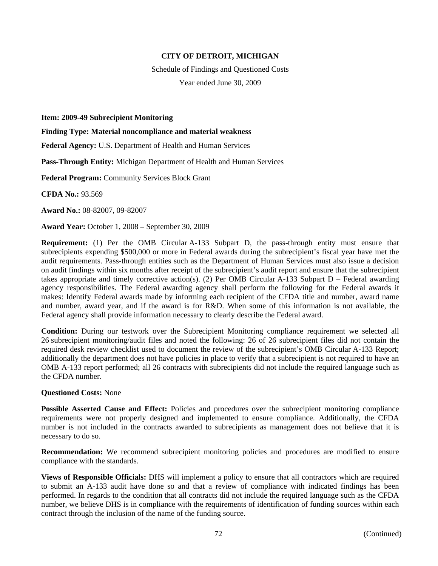Schedule of Findings and Questioned Costs Year ended June 30, 2009

**Item: 2009-49 Subrecipient Monitoring** 

**Finding Type: Material noncompliance and material weakness** 

**Federal Agency:** U.S. Department of Health and Human Services

**Pass-Through Entity:** Michigan Department of Health and Human Services

**Federal Program:** Community Services Block Grant

**CFDA No.:** 93.569

**Award No.:** 08-82007, 09-82007

**Award Year:** October 1, 2008 – September 30, 2009

**Requirement:** (1) Per the OMB Circular A-133 Subpart D, the pass-through entity must ensure that subrecipients expending \$500,000 or more in Federal awards during the subrecipient's fiscal year have met the audit requirements. Pass-through entities such as the Department of Human Services must also issue a decision on audit findings within six months after receipt of the subrecipient's audit report and ensure that the subrecipient takes appropriate and timely corrective action(s). (2) Per OMB Circular A-133 Subpart D – Federal awarding agency responsibilities. The Federal awarding agency shall perform the following for the Federal awards it makes: Identify Federal awards made by informing each recipient of the CFDA title and number, award name and number, award year, and if the award is for R&D. When some of this information is not available, the Federal agency shall provide information necessary to clearly describe the Federal award.

**Condition:** During our testwork over the Subrecipient Monitoring compliance requirement we selected all 26 subrecipient monitoring/audit files and noted the following: 26 of 26 subrecipient files did not contain the required desk review checklist used to document the review of the subrecipient's OMB Circular A-133 Report; additionally the department does not have policies in place to verify that a subrecipient is not required to have an OMB A-133 report performed; all 26 contracts with subrecipients did not include the required language such as the CFDA number.

### **Questioned Costs:** None

**Possible Asserted Cause and Effect:** Policies and procedures over the subrecipient monitoring compliance requirements were not properly designed and implemented to ensure compliance. Additionally, the CFDA number is not included in the contracts awarded to subrecipients as management does not believe that it is necessary to do so.

**Recommendation:** We recommend subrecipient monitoring policies and procedures are modified to ensure compliance with the standards.

**Views of Responsible Officials:** DHS will implement a policy to ensure that all contractors which are required to submit an A-133 audit have done so and that a review of compliance with indicated findings has been performed. In regards to the condition that all contracts did not include the required language such as the CFDA number, we believe DHS is in compliance with the requirements of identification of funding sources within each contract through the inclusion of the name of the funding source.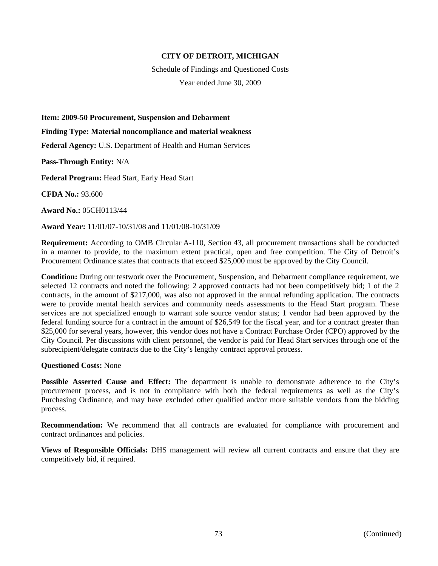Schedule of Findings and Questioned Costs Year ended June 30, 2009

**Item: 2009-50 Procurement, Suspension and Debarment** 

**Finding Type: Material noncompliance and material weakness** 

**Federal Agency:** U.S. Department of Health and Human Services

**Pass-Through Entity:** N/A

**Federal Program:** Head Start, Early Head Start

**CFDA No.:** 93.600

**Award No.:** 05CH0113/44

**Award Year:** 11/01/07-10/31/08 and 11/01/08-10/31/09

**Requirement:** According to OMB Circular A-110, Section 43, all procurement transactions shall be conducted in a manner to provide, to the maximum extent practical, open and free competition. The City of Detroit's Procurement Ordinance states that contracts that exceed \$25,000 must be approved by the City Council.

**Condition:** During our testwork over the Procurement, Suspension, and Debarment compliance requirement, we selected 12 contracts and noted the following: 2 approved contracts had not been competitively bid; 1 of the 2 contracts, in the amount of \$217,000, was also not approved in the annual refunding application. The contracts were to provide mental health services and community needs assessments to the Head Start program. These services are not specialized enough to warrant sole source vendor status; 1 vendor had been approved by the federal funding source for a contract in the amount of \$26,549 for the fiscal year, and for a contract greater than \$25,000 for several years, however, this vendor does not have a Contract Purchase Order (CPO) approved by the City Council. Per discussions with client personnel, the vendor is paid for Head Start services through one of the subrecipient/delegate contracts due to the City's lengthy contract approval process.

### **Questioned Costs:** None

**Possible Asserted Cause and Effect:** The department is unable to demonstrate adherence to the City's procurement process, and is not in compliance with both the federal requirements as well as the City's Purchasing Ordinance, and may have excluded other qualified and/or more suitable vendors from the bidding process.

**Recommendation:** We recommend that all contracts are evaluated for compliance with procurement and contract ordinances and policies.

**Views of Responsible Officials:** DHS management will review all current contracts and ensure that they are competitively bid, if required.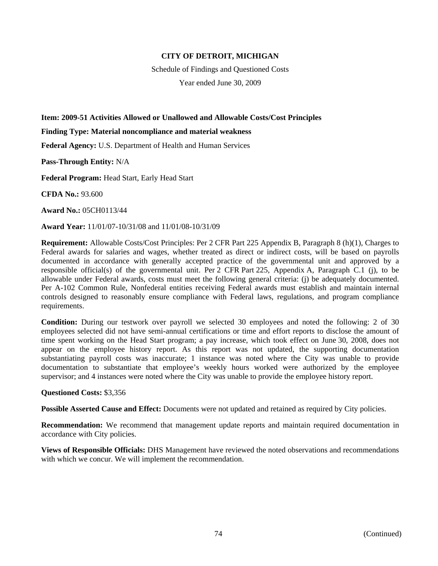Schedule of Findings and Questioned Costs

Year ended June 30, 2009

## **Item: 2009-51 Activities Allowed or Unallowed and Allowable Costs/Cost Principles**

**Finding Type: Material noncompliance and material weakness** 

**Federal Agency:** U.S. Department of Health and Human Services

**Pass-Through Entity:** N/A

**Federal Program:** Head Start, Early Head Start

**CFDA No.:** 93.600

**Award No.:** 05CH0113/44

**Award Year:** 11/01/07-10/31/08 and 11/01/08-10/31/09

**Requirement:** Allowable Costs/Cost Principles: Per 2 CFR Part 225 Appendix B, Paragraph 8 (h)(1), Charges to Federal awards for salaries and wages, whether treated as direct or indirect costs, will be based on payrolls documented in accordance with generally accepted practice of the governmental unit and approved by a responsible official(s) of the governmental unit. Per 2 CFR Part 225, Appendix A, Paragraph C.1 (j), to be allowable under Federal awards, costs must meet the following general criteria: (j) be adequately documented. Per A-102 Common Rule, Nonfederal entities receiving Federal awards must establish and maintain internal controls designed to reasonably ensure compliance with Federal laws, regulations, and program compliance requirements.

**Condition:** During our testwork over payroll we selected 30 employees and noted the following: 2 of 30 employees selected did not have semi-annual certifications or time and effort reports to disclose the amount of time spent working on the Head Start program; a pay increase, which took effect on June 30, 2008, does not appear on the employee history report. As this report was not updated, the supporting documentation substantiating payroll costs was inaccurate; 1 instance was noted where the City was unable to provide documentation to substantiate that employee's weekly hours worked were authorized by the employee supervisor; and 4 instances were noted where the City was unable to provide the employee history report.

### **Questioned Costs:** \$3,356

**Possible Asserted Cause and Effect:** Documents were not updated and retained as required by City policies.

**Recommendation:** We recommend that management update reports and maintain required documentation in accordance with City policies.

**Views of Responsible Officials:** DHS Management have reviewed the noted observations and recommendations with which we concur. We will implement the recommendation.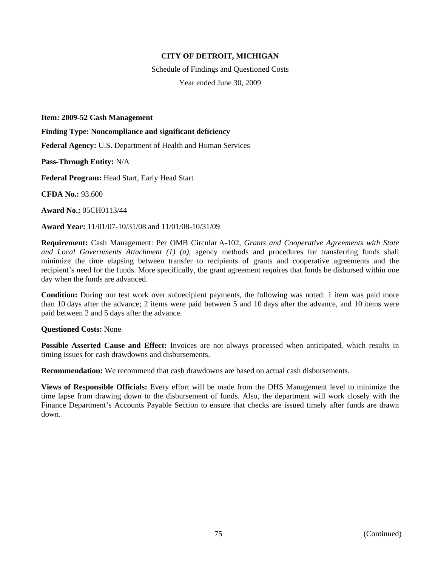Schedule of Findings and Questioned Costs Year ended June 30, 2009

**Item: 2009-52 Cash Management** 

**Finding Type: Noncompliance and significant deficiency** 

**Federal Agency:** U.S. Department of Health and Human Services

**Pass-Through Entity:** N/A

**Federal Program:** Head Start, Early Head Start

**CFDA No.:** 93.600

**Award No.:** 05CH0113/44

**Award Year:** 11/01/07-10/31/08 and 11/01/08-10/31/09

**Requirement:** Cash Management: Per OMB Circular A-102, *Grants and Cooperative Agreements with State and Local Governments Attachment (1) (a)*, agency methods and procedures for transferring funds shall minimize the time elapsing between transfer to recipients of grants and cooperative agreements and the recipient's need for the funds. More specifically, the grant agreement requires that funds be disbursed within one day when the funds are advanced.

**Condition:** During our test work over subrecipient payments, the following was noted: 1 item was paid more than 10 days after the advance; 2 items were paid between 5 and 10 days after the advance, and 10 items were paid between 2 and 5 days after the advance.

### **Questioned Costs:** None

**Possible Asserted Cause and Effect:** Invoices are not always processed when anticipated, which results in timing issues for cash drawdowns and disbursements.

**Recommendation:** We recommend that cash drawdowns are based on actual cash disbursements.

**Views of Responsible Officials:** Every effort will be made from the DHS Management level to minimize the time lapse from drawing down to the disbursement of funds. Also, the department will work closely with the Finance Department's Accounts Payable Section to ensure that checks are issued timely after funds are drawn down.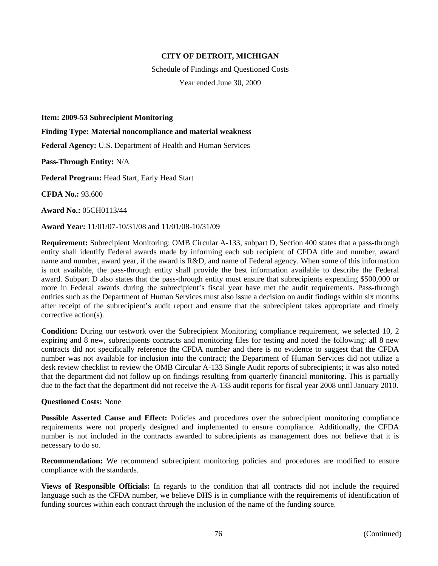Schedule of Findings and Questioned Costs Year ended June 30, 2009

**Item: 2009-53 Subrecipient Monitoring** 

**Finding Type: Material noncompliance and material weakness** 

**Federal Agency:** U.S. Department of Health and Human Services

**Pass-Through Entity:** N/A

**Federal Program:** Head Start, Early Head Start

**CFDA No.:** 93.600

**Award No.:** 05CH0113/44

**Award Year:** 11/01/07-10/31/08 and 11/01/08-10/31/09

**Requirement:** Subrecipient Monitoring: OMB Circular A-133, subpart D, Section 400 states that a pass-through entity shall identify Federal awards made by informing each sub recipient of CFDA title and number, award name and number, award year, if the award is R&D, and name of Federal agency. When some of this information is not available, the pass-through entity shall provide the best information available to describe the Federal award. Subpart D also states that the pass-through entity must ensure that subrecipients expending \$500,000 or more in Federal awards during the subrecipient's fiscal year have met the audit requirements. Pass-through entities such as the Department of Human Services must also issue a decision on audit findings within six months after receipt of the subrecipient's audit report and ensure that the subrecipient takes appropriate and timely corrective action(s).

**Condition:** During our testwork over the Subrecipient Monitoring compliance requirement, we selected 10, 2 expiring and 8 new, subrecipients contracts and monitoring files for testing and noted the following: all 8 new contracts did not specifically reference the CFDA number and there is no evidence to suggest that the CFDA number was not available for inclusion into the contract; the Department of Human Services did not utilize a desk review checklist to review the OMB Circular A-133 Single Audit reports of subrecipients; it was also noted that the department did not follow up on findings resulting from quarterly financial monitoring. This is partially due to the fact that the department did not receive the A-133 audit reports for fiscal year 2008 until January 2010.

### **Questioned Costs:** None

**Possible Asserted Cause and Effect:** Policies and procedures over the subrecipient monitoring compliance requirements were not properly designed and implemented to ensure compliance. Additionally, the CFDA number is not included in the contracts awarded to subrecipients as management does not believe that it is necessary to do so.

**Recommendation:** We recommend subrecipient monitoring policies and procedures are modified to ensure compliance with the standards.

**Views of Responsible Officials:** In regards to the condition that all contracts did not include the required language such as the CFDA number, we believe DHS is in compliance with the requirements of identification of funding sources within each contract through the inclusion of the name of the funding source.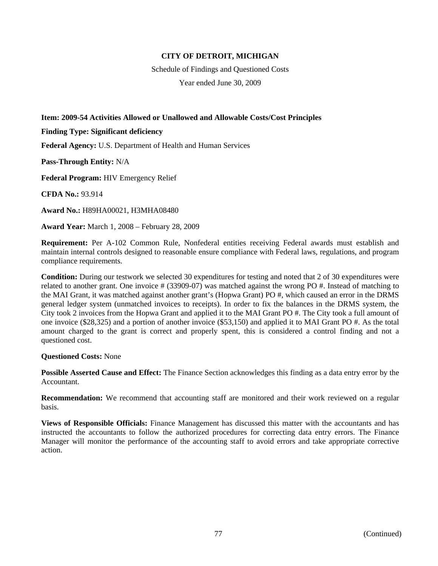Schedule of Findings and Questioned Costs Year ended June 30, 2009

### **Item: 2009-54 Activities Allowed or Unallowed and Allowable Costs/Cost Principles**

**Finding Type: Significant deficiency** 

**Federal Agency:** U.S. Department of Health and Human Services

**Pass-Through Entity:** N/A

**Federal Program:** HIV Emergency Relief

**CFDA No.:** 93.914

**Award No.:** H89HA00021, H3MHA08480

**Award Year:** March 1, 2008 – February 28, 2009

**Requirement:** Per A-102 Common Rule, Nonfederal entities receiving Federal awards must establish and maintain internal controls designed to reasonable ensure compliance with Federal laws, regulations, and program compliance requirements.

**Condition:** During our testwork we selected 30 expenditures for testing and noted that 2 of 30 expenditures were related to another grant. One invoice # (33909-07) was matched against the wrong PO #. Instead of matching to the MAI Grant, it was matched against another grant's (Hopwa Grant) PO #, which caused an error in the DRMS general ledger system (unmatched invoices to receipts). In order to fix the balances in the DRMS system, the City took 2 invoices from the Hopwa Grant and applied it to the MAI Grant PO #. The City took a full amount of one invoice (\$28,325) and a portion of another invoice (\$53,150) and applied it to MAI Grant PO #. As the total amount charged to the grant is correct and properly spent, this is considered a control finding and not a questioned cost.

**Questioned Costs:** None

**Possible Asserted Cause and Effect:** The Finance Section acknowledges this finding as a data entry error by the Accountant.

**Recommendation:** We recommend that accounting staff are monitored and their work reviewed on a regular basis.

**Views of Responsible Officials:** Finance Management has discussed this matter with the accountants and has instructed the accountants to follow the authorized procedures for correcting data entry errors. The Finance Manager will monitor the performance of the accounting staff to avoid errors and take appropriate corrective action.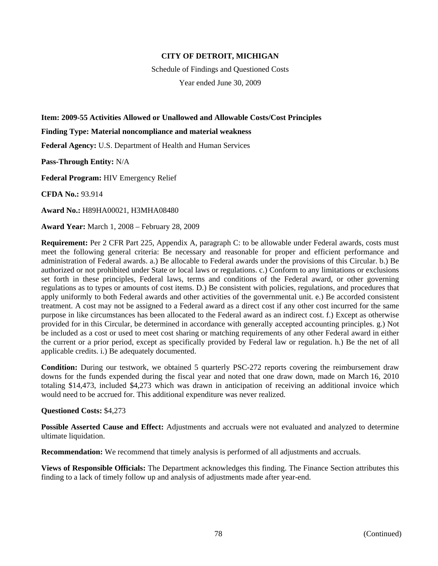Schedule of Findings and Questioned Costs

Year ended June 30, 2009

**Item: 2009-55 Activities Allowed or Unallowed and Allowable Costs/Cost Principles** 

**Finding Type: Material noncompliance and material weakness** 

**Federal Agency:** U.S. Department of Health and Human Services

**Pass-Through Entity:** N/A

**Federal Program:** HIV Emergency Relief

**CFDA No.:** 93.914

**Award No.:** H89HA00021, H3MHA08480

**Award Year:** March 1, 2008 – February 28, 2009

**Requirement:** Per 2 CFR Part 225, Appendix A, paragraph C: to be allowable under Federal awards, costs must meet the following general criteria: Be necessary and reasonable for proper and efficient performance and administration of Federal awards. a.) Be allocable to Federal awards under the provisions of this Circular. b.) Be authorized or not prohibited under State or local laws or regulations. c.) Conform to any limitations or exclusions set forth in these principles, Federal laws, terms and conditions of the Federal award, or other governing regulations as to types or amounts of cost items. D.) Be consistent with policies, regulations, and procedures that apply uniformly to both Federal awards and other activities of the governmental unit. e.) Be accorded consistent treatment. A cost may not be assigned to a Federal award as a direct cost if any other cost incurred for the same purpose in like circumstances has been allocated to the Federal award as an indirect cost. f.) Except as otherwise provided for in this Circular, be determined in accordance with generally accepted accounting principles. g.) Not be included as a cost or used to meet cost sharing or matching requirements of any other Federal award in either the current or a prior period, except as specifically provided by Federal law or regulation. h.) Be the net of all applicable credits. i.) Be adequately documented.

**Condition:** During our testwork, we obtained 5 quarterly PSC-272 reports covering the reimbursement draw downs for the funds expended during the fiscal year and noted that one draw down, made on March 16, 2010 totaling \$14,473, included \$4,273 which was drawn in anticipation of receiving an additional invoice which would need to be accrued for. This additional expenditure was never realized.

### **Questioned Costs:** \$4,273

**Possible Asserted Cause and Effect:** Adjustments and accruals were not evaluated and analyzed to determine ultimate liquidation.

**Recommendation:** We recommend that timely analysis is performed of all adjustments and accruals.

**Views of Responsible Officials:** The Department acknowledges this finding. The Finance Section attributes this finding to a lack of timely follow up and analysis of adjustments made after year-end.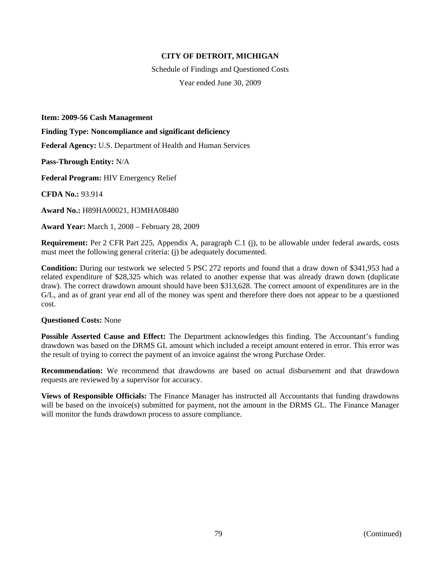Schedule of Findings and Questioned Costs Year ended June 30, 2009

**Item: 2009-56 Cash Management** 

**Finding Type: Noncompliance and significant deficiency** 

**Federal Agency:** U.S. Department of Health and Human Services

**Pass-Through Entity:** N/A

**Federal Program:** HIV Emergency Relief

**CFDA No.:** 93.914

**Award No.:** H89HA00021, H3MHA08480

**Award Year:** March 1, 2008 – February 28, 2009

**Requirement:** Per 2 CFR Part 225, Appendix A, paragraph C.1 (j), to be allowable under federal awards, costs must meet the following general criteria: (j) be adequately documented.

**Condition:** During our testwork we selected 5 PSC 272 reports and found that a draw down of \$341,953 had a related expenditure of \$28,325 which was related to another expense that was already drawn down (duplicate draw). The correct drawdown amount should have been \$313,628. The correct amount of expenditures are in the G/L, and as of grant year end all of the money was spent and therefore there does not appear to be a questioned cost.

### **Questioned Costs:** None

**Possible Asserted Cause and Effect:** The Department acknowledges this finding. The Accountant's funding drawdown was based on the DRMS GL amount which included a receipt amount entered in error. This error was the result of trying to correct the payment of an invoice against the wrong Purchase Order.

**Recommendation:** We recommend that drawdowns are based on actual disbursement and that drawdown requests are reviewed by a supervisor for accuracy.

**Views of Responsible Officials:** The Finance Manager has instructed all Accountants that funding drawdowns will be based on the invoice(s) submitted for payment, not the amount in the DRMS GL. The Finance Manager will monitor the funds drawdown process to assure compliance.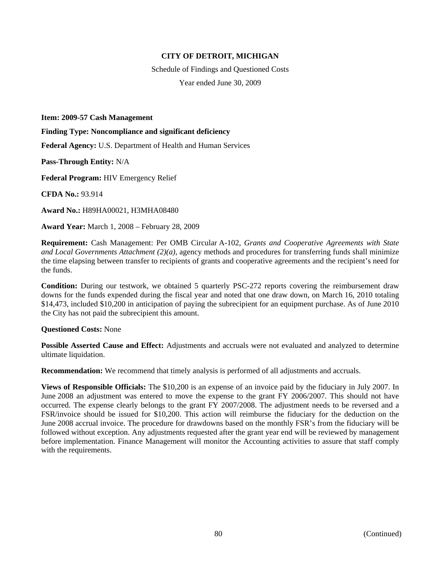Schedule of Findings and Questioned Costs Year ended June 30, 2009

**Item: 2009-57 Cash Management** 

**Finding Type: Noncompliance and significant deficiency** 

**Federal Agency:** U.S. Department of Health and Human Services

**Pass-Through Entity:** N/A

**Federal Program:** HIV Emergency Relief

**CFDA No.:** 93.914

**Award No.:** H89HA00021, H3MHA08480

**Award Year:** March 1, 2008 – February 28, 2009

**Requirement:** Cash Management: Per OMB Circular A-102, *Grants and Cooperative Agreements with State and Local Governments Attachment (2)(a)*, agency methods and procedures for transferring funds shall minimize the time elapsing between transfer to recipients of grants and cooperative agreements and the recipient's need for the funds.

**Condition:** During our testwork, we obtained 5 quarterly PSC-272 reports covering the reimbursement draw downs for the funds expended during the fiscal year and noted that one draw down, on March 16, 2010 totaling \$14,473, included \$10,200 in anticipation of paying the subrecipient for an equipment purchase. As of June 2010 the City has not paid the subrecipient this amount.

### **Questioned Costs:** None

**Possible Asserted Cause and Effect:** Adjustments and accruals were not evaluated and analyzed to determine ultimate liquidation.

**Recommendation:** We recommend that timely analysis is performed of all adjustments and accruals.

**Views of Responsible Officials:** The \$10,200 is an expense of an invoice paid by the fiduciary in July 2007. In June 2008 an adjustment was entered to move the expense to the grant FY 2006/2007. This should not have occurred. The expense clearly belongs to the grant FY 2007/2008. The adjustment needs to be reversed and a FSR/invoice should be issued for \$10,200. This action will reimburse the fiduciary for the deduction on the June 2008 accrual invoice. The procedure for drawdowns based on the monthly FSR's from the fiduciary will be followed without exception. Any adjustments requested after the grant year end will be reviewed by management before implementation. Finance Management will monitor the Accounting activities to assure that staff comply with the requirements.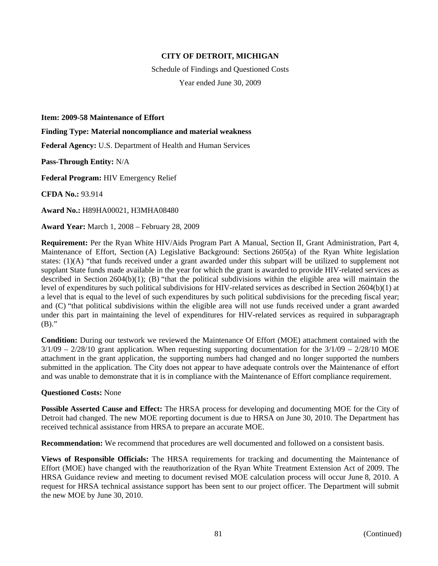Schedule of Findings and Questioned Costs Year ended June 30, 2009

**Item: 2009-58 Maintenance of Effort** 

**Finding Type: Material noncompliance and material weakness** 

**Federal Agency:** U.S. Department of Health and Human Services

**Pass-Through Entity:** N/A

**Federal Program:** HIV Emergency Relief

**CFDA No.:** 93.914

**Award No.:** H89HA00021, H3MHA08480

**Award Year:** March 1, 2008 – February 28, 2009

**Requirement:** Per the Ryan White HIV/Aids Program Part A Manual, Section II, Grant Administration, Part 4, Maintenance of Effort, Section (A) Legislative Background: Sections 2605(a) of the Ryan White legislation states: (1)(A) "that funds received under a grant awarded under this subpart will be utilized to supplement not supplant State funds made available in the year for which the grant is awarded to provide HIV-related services as described in Section 2604(b)(1); (B) "that the political subdivisions within the eligible area will maintain the level of expenditures by such political subdivisions for HIV-related services as described in Section 2604(b)(1) at a level that is equal to the level of such expenditures by such political subdivisions for the preceding fiscal year; and (C) "that political subdivisions within the eligible area will not use funds received under a grant awarded under this part in maintaining the level of expenditures for HIV-related services as required in subparagraph  $(B)$ ."

**Condition:** During our testwork we reviewed the Maintenance Of Effort (MOE) attachment contained with the  $3/1/09 - 2/28/10$  grant application. When requesting supporting documentation for the  $3/1/09 - 2/28/10$  MOE attachment in the grant application, the supporting numbers had changed and no longer supported the numbers submitted in the application. The City does not appear to have adequate controls over the Maintenance of effort and was unable to demonstrate that it is in compliance with the Maintenance of Effort compliance requirement.

### **Questioned Costs:** None

**Possible Asserted Cause and Effect:** The HRSA process for developing and documenting MOE for the City of Detroit had changed. The new MOE reporting document is due to HRSA on June 30, 2010. The Department has received technical assistance from HRSA to prepare an accurate MOE.

**Recommendation:** We recommend that procedures are well documented and followed on a consistent basis.

**Views of Responsible Officials:** The HRSA requirements for tracking and documenting the Maintenance of Effort (MOE) have changed with the reauthorization of the Ryan White Treatment Extension Act of 2009. The HRSA Guidance review and meeting to document revised MOE calculation process will occur June 8, 2010. A request for HRSA technical assistance support has been sent to our project officer. The Department will submit the new MOE by June 30, 2010.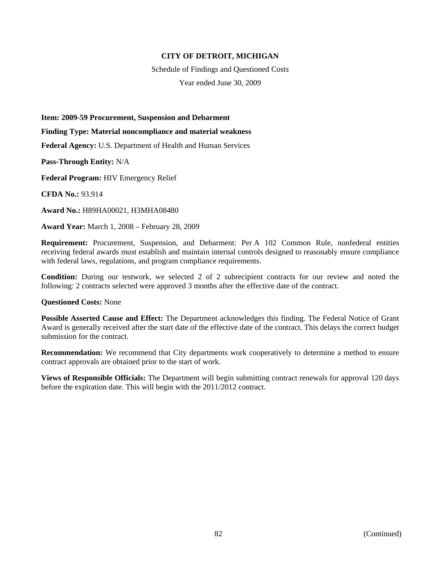Schedule of Findings and Questioned Costs Year ended June 30, 2009

**Item: 2009-59 Procurement, Suspension and Debarment** 

**Finding Type: Material noncompliance and material weakness** 

**Federal Agency:** U.S. Department of Health and Human Services

**Pass-Through Entity:** N/A

**Federal Program:** HIV Emergency Relief

**CFDA No.:** 93.914

**Award No.:** H89HA00021, H3MHA08480

**Award Year:** March 1, 2008 – February 28, 2009

**Requirement:** Procurement, Suspension, and Debarment: Per A 102 Common Rule, nonfederal entities receiving federal awards must establish and maintain internal controls designed to reasonably ensure compliance with federal laws, regulations, and program compliance requirements.

**Condition:** During our testwork, we selected 2 of 2 subrecipient contracts for our review and noted the following: 2 contracts selected were approved 3 months after the effective date of the contract.

### **Questioned Costs:** None

**Possible Asserted Cause and Effect:** The Department acknowledges this finding. The Federal Notice of Grant Award is generally received after the start date of the effective date of the contract. This delays the correct budget submission for the contract.

**Recommendation:** We recommend that City departments work cooperatively to determine a method to ensure contract approvals are obtained prior to the start of work.

**Views of Responsible Officials:** The Department will begin submitting contract renewals for approval 120 days before the expiration date. This will begin with the 2011/2012 contract.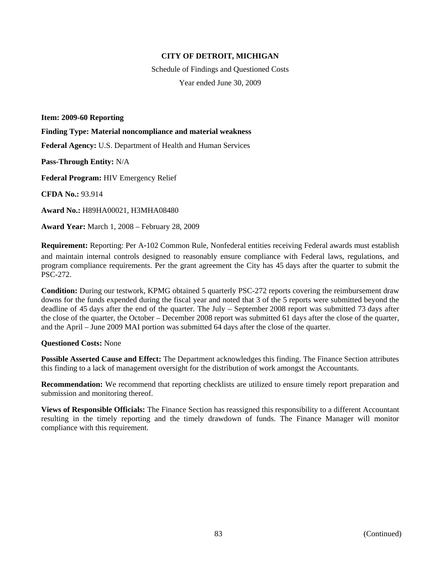Schedule of Findings and Questioned Costs Year ended June 30, 2009

**Item: 2009-60 Reporting** 

**Finding Type: Material noncompliance and material weakness** 

**Federal Agency:** U.S. Department of Health and Human Services

**Pass-Through Entity:** N/A

**Federal Program:** HIV Emergency Relief

**CFDA No.:** 93.914

**Award No.:** H89HA00021, H3MHA08480

**Award Year:** March 1, 2008 – February 28, 2009

**Requirement:** Reporting: Per A‑102 Common Rule, Nonfederal entities receiving Federal awards must establish and maintain internal controls designed to reasonably ensure compliance with Federal laws, regulations, and program compliance requirements. Per the grant agreement the City has 45 days after the quarter to submit the PSC-272.

**Condition:** During our testwork, KPMG obtained 5 quarterly PSC-272 reports covering the reimbursement draw downs for the funds expended during the fiscal year and noted that 3 of the 5 reports were submitted beyond the deadline of 45 days after the end of the quarter. The July – September 2008 report was submitted 73 days after the close of the quarter, the October – December 2008 report was submitted 61 days after the close of the quarter, and the April – June 2009 MAI portion was submitted 64 days after the close of the quarter.

**Questioned Costs:** None

**Possible Asserted Cause and Effect:** The Department acknowledges this finding. The Finance Section attributes this finding to a lack of management oversight for the distribution of work amongst the Accountants.

**Recommendation:** We recommend that reporting checklists are utilized to ensure timely report preparation and submission and monitoring thereof.

**Views of Responsible Officials:** The Finance Section has reassigned this responsibility to a different Accountant resulting in the timely reporting and the timely drawdown of funds. The Finance Manager will monitor compliance with this requirement.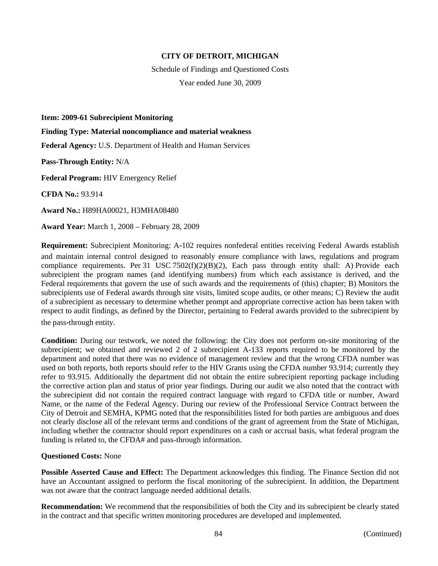Schedule of Findings and Questioned Costs Year ended June 30, 2009

**Item: 2009-61 Subrecipient Monitoring** 

**Finding Type: Material noncompliance and material weakness** 

**Federal Agency:** U.S. Department of Health and Human Services

**Pass-Through Entity:** N/A

**Federal Program:** HIV Emergency Relief

**CFDA No.:** 93.914

**Award No.:** H89HA00021, H3MHA08480

**Award Year:** March 1, 2008 – February 28, 2009

**Requirement:** Subrecipient Monitoring: A-102 requires nonfederal entities receiving Federal Awards establish and maintain internal control designed to reasonably ensure compliance with laws, regulations and program compliance requirements. Per 31 USC 7502(f)(2)(B)(2), Each pass through entity shall: A) Provide each subrecipient the program names (and identifying numbers) from which each assistance is derived, and the Federal requirements that govern the use of such awards and the requirements of (this) chapter; B) Monitors the subrecipients use of Federal awards through site visits, limited scope audits, or other means; C) Review the audit of a subrecipient as necessary to determine whether prompt and appropriate corrective action has been taken with respect to audit findings, as defined by the Director, pertaining to Federal awards provided to the subrecipient by the pass‑through entity.

**Condition:** During our testwork, we noted the following: the City does not perform on-site monitoring of the subrecipient; we obtained and reviewed 2 of 2 subrecipient A-133 reports required to be monitored by the department and noted that there was no evidence of management review and that the wrong CFDA number was used on both reports, both reports should refer to the HIV Grants using the CFDA number 93.914; currently they refer to 93.915. Additionally the department did not obtain the entire subrecipient reporting package including the corrective action plan and status of prior year findings. During our audit we also noted that the contract with the subrecipient did not contain the required contract language with regard to CFDA title or number, Award Name, or the name of the Federal Agency. During our review of the Professional Service Contract between the City of Detroit and SEMHA, KPMG noted that the responsibilities listed for both parties are ambiguous and does not clearly disclose all of the relevant terms and conditions of the grant of agreement from the State of Michigan, including whether the contractor should report expenditures on a cash or accrual basis, what federal program the funding is related to, the CFDA# and pass-through information.

### **Questioned Costs:** None

**Possible Asserted Cause and Effect:** The Department acknowledges this finding. The Finance Section did not have an Accountant assigned to perform the fiscal monitoring of the subrecipient. In addition, the Department was not aware that the contract language needed additional details.

**Recommendation:** We recommend that the responsibilities of both the City and its subrecipient be clearly stated in the contract and that specific written monitoring procedures are developed and implemented.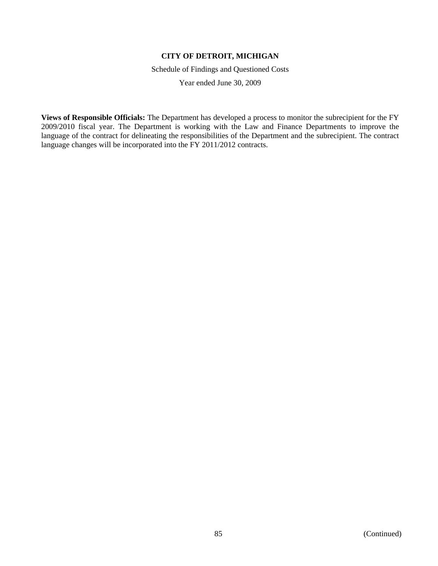Schedule of Findings and Questioned Costs

Year ended June 30, 2009

**Views of Responsible Officials:** The Department has developed a process to monitor the subrecipient for the FY 2009/2010 fiscal year. The Department is working with the Law and Finance Departments to improve the language of the contract for delineating the responsibilities of the Department and the subrecipient. The contract language changes will be incorporated into the FY 2011/2012 contracts.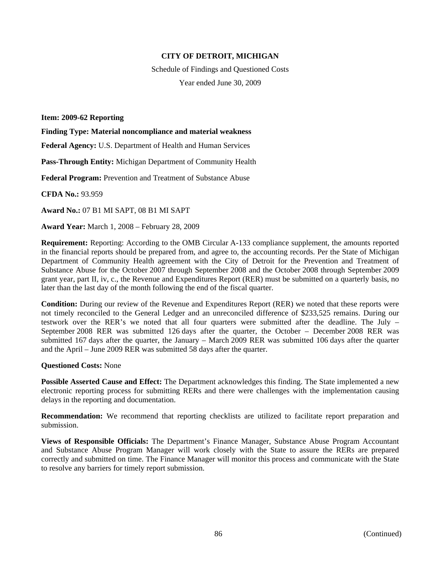Schedule of Findings and Questioned Costs Year ended June 30, 2009

**Item: 2009-62 Reporting** 

**Finding Type: Material noncompliance and material weakness** 

**Federal Agency:** U.S. Department of Health and Human Services

**Pass-Through Entity:** Michigan Department of Community Health

**Federal Program:** Prevention and Treatment of Substance Abuse

**CFDA No.:** 93.959

**Award No.:** 07 B1 MI SAPT, 08 B1 MI SAPT

**Award Year:** March 1, 2008 – February 28, 2009

**Requirement:** Reporting: According to the OMB Circular A-133 compliance supplement, the amounts reported in the financial reports should be prepared from, and agree to, the accounting records. Per the State of Michigan Department of Community Health agreement with the City of Detroit for the Prevention and Treatment of Substance Abuse for the October 2007 through September 2008 and the October 2008 through September 2009 grant year, part II, iv, c., the Revenue and Expenditures Report (RER) must be submitted on a quarterly basis, no later than the last day of the month following the end of the fiscal quarter.

**Condition:** During our review of the Revenue and Expenditures Report (RER) we noted that these reports were not timely reconciled to the General Ledger and an unreconciled difference of \$233,525 remains. During our testwork over the RER's we noted that all four quarters were submitted after the deadline. The July – September 2008 RER was submitted 126 days after the quarter, the October – December 2008 RER was submitted 167 days after the quarter, the January – March 2009 RER was submitted 106 days after the quarter and the April – June 2009 RER was submitted 58 days after the quarter.

### **Questioned Costs:** None

**Possible Asserted Cause and Effect:** The Department acknowledges this finding. The State implemented a new electronic reporting process for submitting RERs and there were challenges with the implementation causing delays in the reporting and documentation.

**Recommendation:** We recommend that reporting checklists are utilized to facilitate report preparation and submission.

**Views of Responsible Officials:** The Department's Finance Manager, Substance Abuse Program Accountant and Substance Abuse Program Manager will work closely with the State to assure the RERs are prepared correctly and submitted on time. The Finance Manager will monitor this process and communicate with the State to resolve any barriers for timely report submission.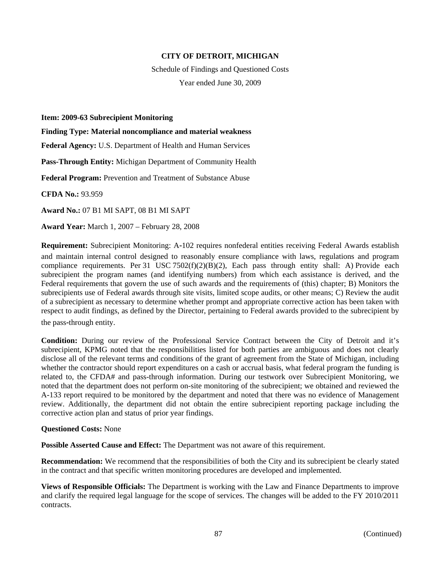Schedule of Findings and Questioned Costs Year ended June 30, 2009

**Item: 2009-63 Subrecipient Monitoring** 

**Finding Type: Material noncompliance and material weakness** 

**Federal Agency:** U.S. Department of Health and Human Services

**Pass-Through Entity:** Michigan Department of Community Health

**Federal Program:** Prevention and Treatment of Substance Abuse

**CFDA No.:** 93.959

**Award No.:** 07 B1 MI SAPT, 08 B1 MI SAPT

**Award Year:** March 1, 2007 – February 28, 2008

**Requirement:** Subrecipient Monitoring: A-102 requires nonfederal entities receiving Federal Awards establish and maintain internal control designed to reasonably ensure compliance with laws, regulations and program compliance requirements. Per 31 USC 7502(f)(2)(B)(2), Each pass through entity shall: A) Provide each subrecipient the program names (and identifying numbers) from which each assistance is derived, and the Federal requirements that govern the use of such awards and the requirements of (this) chapter; B) Monitors the subrecipients use of Federal awards through site visits, limited scope audits, or other means; C) Review the audit of a subrecipient as necessary to determine whether prompt and appropriate corrective action has been taken with respect to audit findings, as defined by the Director, pertaining to Federal awards provided to the subrecipient by the pass‑through entity.

**Condition:** During our review of the Professional Service Contract between the City of Detroit and it's subrecipient, KPMG noted that the responsibilities listed for both parties are ambiguous and does not clearly disclose all of the relevant terms and conditions of the grant of agreement from the State of Michigan, including whether the contractor should report expenditures on a cash or accrual basis, what federal program the funding is related to, the CFDA# and pass-through information. During our testwork over Subrecipient Monitoring, we noted that the department does not perform on-site monitoring of the subrecipient; we obtained and reviewed the A-133 report required to be monitored by the department and noted that there was no evidence of Management review. Additionally, the department did not obtain the entire subrecipient reporting package including the corrective action plan and status of prior year findings.

### **Questioned Costs:** None

**Possible Asserted Cause and Effect:** The Department was not aware of this requirement.

**Recommendation:** We recommend that the responsibilities of both the City and its subrecipient be clearly stated in the contract and that specific written monitoring procedures are developed and implemented.

**Views of Responsible Officials:** The Department is working with the Law and Finance Departments to improve and clarify the required legal language for the scope of services. The changes will be added to the FY 2010/2011 contracts.